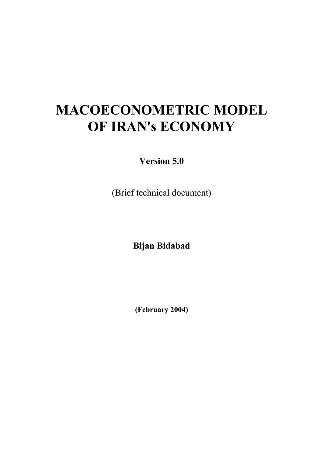# **MACOECONOMETRIC MODEL OF IRAN's ECONOMY**

**Version 5.0** 

(Brief technical document)

**Bijan Bidabad** 

**(February 2004)**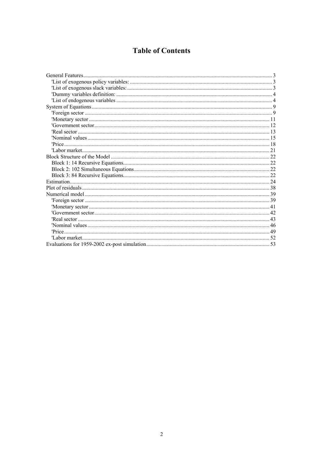## **Table of Contents**

| The external sector $\ldots$ and $\ldots$ $\ldots$ $\ldots$ $\ldots$ $\ldots$ $\ldots$ $\ldots$ $\ldots$ $\ldots$ $\ldots$ $\ldots$ $\ldots$ $\ldots$ $\ldots$ $\ldots$ $\ldots$ $\ldots$ $\ldots$ $\ldots$ $\ldots$ $\ldots$ $\ldots$ $\ldots$ |  |
|-------------------------------------------------------------------------------------------------------------------------------------------------------------------------------------------------------------------------------------------------|--|
|                                                                                                                                                                                                                                                 |  |
|                                                                                                                                                                                                                                                 |  |
|                                                                                                                                                                                                                                                 |  |
|                                                                                                                                                                                                                                                 |  |
|                                                                                                                                                                                                                                                 |  |
|                                                                                                                                                                                                                                                 |  |
|                                                                                                                                                                                                                                                 |  |
|                                                                                                                                                                                                                                                 |  |
|                                                                                                                                                                                                                                                 |  |
|                                                                                                                                                                                                                                                 |  |
|                                                                                                                                                                                                                                                 |  |
|                                                                                                                                                                                                                                                 |  |
|                                                                                                                                                                                                                                                 |  |
|                                                                                                                                                                                                                                                 |  |
|                                                                                                                                                                                                                                                 |  |
|                                                                                                                                                                                                                                                 |  |
|                                                                                                                                                                                                                                                 |  |
|                                                                                                                                                                                                                                                 |  |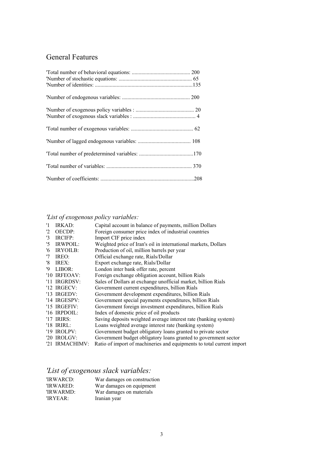# General Features

# *'List of exogenous policy variables:*

| '1             | IRKAD:         | Capital account in balance of payments, million Dollars               |
|----------------|----------------|-----------------------------------------------------------------------|
| $^{12}$        | OECDP:         | Foreign consumer price index of industrial countries                  |
| '3             | IRCIFP:        | Import CIF price index                                                |
| $\overline{5}$ | IRWPOIL:       | Weighted price of Iran's oil in international markets, Dollars        |
| '6             | IRYOILB:       | Production of oil, million barrels per year                           |
| '7             | IREO:          | Official exchange rate, Rials/Dollar                                  |
| '8             | IREX:          | Export exchange rate, Rials/Dollar                                    |
| '9             | LIBOR:         | London inter bank offer rate, percent                                 |
|                | '10 IRFEOAV:   | Foreign exchange obligation account, billion Rials                    |
|                | '11 IRGRDSV:   | Sales of Dollars at exchange unofficial market, billion Rials         |
|                | '12 $IRGECV:$  | Government current expenditures, billion Rials                        |
|                | '13 $IRGEDV$ : | Government development expenditures, billion Rials                    |
|                | '14 IRGESPV:   | Government special payments expenditures, billion Rials               |
|                | '15 $IRGEFIV:$ | Government foreign investment expenditures, billion Rials             |
|                | '16 $IRPOOIL:$ | Index of domestic price of oil products                               |
|                | '17 IRIRS:     | Saving deposits weighted average interest rate (banking system)       |
|                | '18 $IRIRL$ :  | Loans weighted average interest rate (banking system)                 |
|                | '19 IROLPV:    | Government budget obligatory loans granted to private sector          |
|                | '20 IROLGV:    | Government budget obligatory loans granted to government sector       |
|                | '21 IRMACHIMV: | Ratio of import of machineries and equipments to total current import |

# *'List of exogenous slack variables:*

| 'IRWARCD: | War damages on construction |
|-----------|-----------------------------|
| 'IRWARED: | War damages on equipment    |
| 'IRWARMD: | War damages on materials    |
| 'IRYEAR:  | Iranian year                |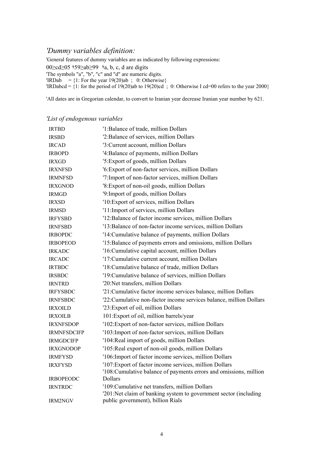### *'Dummy variables definition:*

'General features of dummy variables are as indicated by following expressions:

00≥cd≥05 ؛59≤ab≥99 ؛a, b, c, d are digits

'The symbols "a", "b", "c" and "d" are numeric digits.

 $'IRDab = \{1:$  For the year  $19(20)ab$ ; 0: Otherwise}

 $'IRDabcd = \{1:$  for the period of 19(20)ab to 19(20)cd ; 0: Otherwise I cd=00 refers to the year 2000}

'All dates are in Gregorian calendar, to convert to Iranian year decrease Iranian year number by 621.

|  |  | 'List of endogenous variables |  |  |
|--|--|-------------------------------|--|--|
|--|--|-------------------------------|--|--|

| <b>IRTBD</b>       | '1: Balance of trade, million Dollars                                                                               |
|--------------------|---------------------------------------------------------------------------------------------------------------------|
| <b>IRSBD</b>       | '2: Balance of services, million Dollars                                                                            |
| <b>IRCAD</b>       | '3: Current account, million Dollars                                                                                |
| <b>IRBOPD</b>      | '4: Balance of payments, million Dollars                                                                            |
| <b>IRXGD</b>       | '5: Export of goods, million Dollars                                                                                |
| <b>IRXNFSD</b>     | '6: Export of non-factor services, million Dollars                                                                  |
| <b>IRMNFSD</b>     | '7: Import of non-factor services, million Dollars                                                                  |
| <b>IRXGNOD</b>     | '8: Export of non-oil goods, million Dollars                                                                        |
| <b>IRMGD</b>       | '9: Import of goods, million Dollars                                                                                |
| <b>IRXSD</b>       | '10: Export of services, million Dollars                                                                            |
| <b>IRMSD</b>       | '11: Import of services, million Dollars                                                                            |
| <b>IRFYSBD</b>     | '12: Balance of factor income services, million Dollars                                                             |
| <b>IRNFSBD</b>     | '13: Balance of non-factor income services, million Dollars                                                         |
| <b>IRBOPDC</b>     | '14: Cumulative balance of payments, million Dollars                                                                |
| <b>IRBOPEOD</b>    | '15: Balance of payments errors and omissions, million Dollars                                                      |
| <b>IRKADC</b>      | '16: Cumulative capital account, million Dollars                                                                    |
| <b>IRCADC</b>      | '17: Cumulative current account, million Dollars                                                                    |
| <b>IRTBDC</b>      | '18: Cumulative balance of trade, million Dollars                                                                   |
| <b>IRSBDC</b>      | '19: Cumulative balance of services, million Dollars                                                                |
| <b>IRNTRD</b>      | '20:Net transfers, million Dollars                                                                                  |
| <b>IRFYSBDC</b>    | '21: Cumulative factor income services balance, million Dollars                                                     |
| <b>IRNFSBDC</b>    | '22: Cumulative non-factor income services balance, million Dollars                                                 |
| <b>IRXOILD</b>     | '23: Export of oil, million Dollars                                                                                 |
| <b>IRXOILB</b>     | 101: Export of oil, million barrels/year                                                                            |
| <b>IRXNFSDOP</b>   | '102: Export of non-factor services, million Dollars                                                                |
| <b>IRMNFSDCIFP</b> | '103: Import of non-factor services, million Dollars                                                                |
| <b>IRMGDCIFP</b>   | '104: Real import of goods, million Dollars                                                                         |
| <b>IRXGNODOP</b>   | '105: Real export of non-oil goods, million Dollars                                                                 |
| <b>IRMFYSD</b>     | '106: Import of factor income services, million Dollars                                                             |
| <b>IRXFYSD</b>     | '107: Export of factor income services, million Dollars                                                             |
|                    | '108: Cumulative balance of payments errors and omissions, million                                                  |
| <b>IRBOPEODC</b>   | <b>Dollars</b>                                                                                                      |
| <b>IRNTRDC</b>     | '109: Cumulative net transfers, million Dollars<br>'201:Net claim of banking system to government sector (including |
| <b>IRM2NGV</b>     | public government), billion Rials                                                                                   |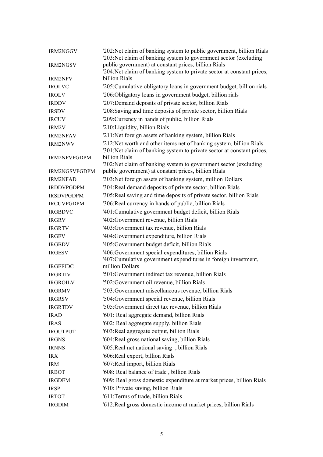| IRM2NGGV            | '202:Net claim of banking system to public government, billion Rials<br>'203:Net claim of banking system to government sector (excluding      |  |
|---------------------|-----------------------------------------------------------------------------------------------------------------------------------------------|--|
| <b>IRM2NGSV</b>     | public government) at constant prices, billion Rials<br>'204: Net claim of banking system to private sector at constant prices,               |  |
| <b>IRM2NPV</b>      | billion Rials                                                                                                                                 |  |
| <b>IROLVC</b>       | '205: Cumulative obligatory loans in government budget, billion rials                                                                         |  |
| <b>IROLV</b>        | '206:Obligatory loans in government budget, billion rials                                                                                     |  |
| <b>IRDDV</b>        | '207: Demand deposits of private sector, billion Rials                                                                                        |  |
| <b>IRSDV</b>        | '208: Saving and time deposits of private sector, billion Rials                                                                               |  |
| <b>IRCUV</b>        | '209: Currency in hands of public, billion Rials                                                                                              |  |
| IRM2V               | '210: Liquidity, billion Rials                                                                                                                |  |
| <b>IRM2NFAV</b>     | '211:Net foreign assets of banking system, billion Rials                                                                                      |  |
| <b>IRM2NWV</b>      | '212:Net worth and other items net of banking system, billion Rials<br>'301:Net claim of banking system to private sector at constant prices, |  |
| <b>IRM2NPVPGDPM</b> | billion Rials<br>'302:Net claim of banking system to government sector (excluding)                                                            |  |
| IRM2NGSVPGDPM       | public government) at constant prices, billion Rials                                                                                          |  |
| <b>IRM2NFAD</b>     | '303:Net foreign assets of banking system, million Dollars                                                                                    |  |
| <b>IRDDVPGDPM</b>   | '304: Real demand deposits of private sector, billion Rials                                                                                   |  |
| <b>IRSDVPGDPM</b>   | '305: Real saving and time deposits of private sector, billion Rials                                                                          |  |
| <b>IRCUVPGDPM</b>   | '306: Real currency in hands of public, billion Rials                                                                                         |  |
| <b>IRGBDVC</b>      | '401: Cumulative government budget deficit, billion Rials                                                                                     |  |
| <b>IRGRV</b>        | '402: Government revenue, billion Rials                                                                                                       |  |
| <b>IRGRTV</b>       | '403: Government tax revenue, billion Rials                                                                                                   |  |
| <b>IRGEV</b>        | '404: Government expenditure, billion Rials                                                                                                   |  |
| <b>IRGBDV</b>       | '405: Government budget deficit, billion Rials                                                                                                |  |
| <b>IRGESV</b>       | '406: Government special expenditures, billion Rials<br>'407: Cumulative government expenditures in foreign investment,                       |  |
| <b>IRGEFIDC</b>     | million Dollars                                                                                                                               |  |
| <b>IRGRTIV</b>      | '501: Government indirect tax revenue, billion Rials                                                                                          |  |
| <b>IRGROILV</b>     | '502: Government oil revenue, billion Rials                                                                                                   |  |
| <b>IRGRMV</b>       | '503: Government miscellaneous revenue, billion Rials                                                                                         |  |
| <b>IRGRSV</b>       | '504: Government special revenue, billion Rials                                                                                               |  |
| <b>IRGRTDV</b>      | '505: Government direct tax revenue, billion Rials                                                                                            |  |
| <b>IRAD</b>         | '601: Real aggregate demand, billion Rials                                                                                                    |  |
| <b>IRAS</b>         | '602: Real aggregate supply, billion Rials                                                                                                    |  |
| <b>IROUTPUT</b>     | '603: Real aggregate output, billion Rials                                                                                                    |  |
| <b>IRGNS</b>        | '604: Real gross national saving, billion Rials                                                                                               |  |
| <b>IRNNS</b>        | '605: Real net national saving, billion Rials                                                                                                 |  |
| <b>IRX</b>          | '606: Real export, billion Rials                                                                                                              |  |
| <b>IRM</b>          | '607: Real import, billion Rials                                                                                                              |  |
| <b>IRBOT</b>        | '608: Real balance of trade, billion Rials                                                                                                    |  |
| <b>IRGDEM</b>       | '609: Real gross domestic expenditure at market prices, billion Rials                                                                         |  |
| <b>IRSP</b>         | '610: Private saving, billion Rials                                                                                                           |  |
| <b>IRTOT</b>        | '611: Terms of trade, billion Rials                                                                                                           |  |
| <b>IRGDIM</b>       | '612: Real gross domestic income at market prices, billion Rials                                                                              |  |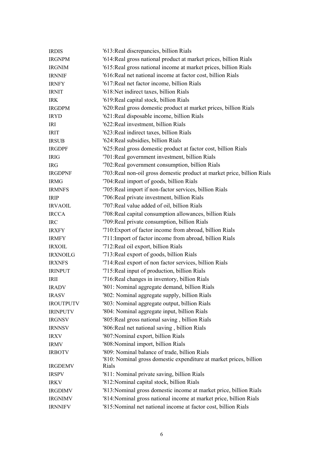| <b>IRDIS</b>     | '613: Real discrepancies, billion Rials                                                                             |
|------------------|---------------------------------------------------------------------------------------------------------------------|
| <b>IRGNPM</b>    | '614: Real gross national product at market prices, billion Rials                                                   |
| <b>IRGNIM</b>    | '615: Real gross national income at market prices, billion Rials                                                    |
| <b>IRNNIF</b>    | '616: Real net national income at factor cost, billion Rials                                                        |
| <b>IRNFY</b>     | '617: Real net factor income, billion Rials                                                                         |
| <b>IRNIT</b>     | '618:Net indirect taxes, billion Rials                                                                              |
| <b>IRK</b>       | '619: Real capital stock, billion Rials                                                                             |
| <b>IRGDPM</b>    | '620: Real gross domestic product at market prices, billion Rials                                                   |
| <b>IRYD</b>      | '621: Real disposable income, billion Rials                                                                         |
| IRI              | '622: Real investment, billion Rials                                                                                |
| <b>IRIT</b>      | '623: Real indirect taxes, billion Rials                                                                            |
| <b>IRSUB</b>     | '624: Real subsidies, billion Rials                                                                                 |
| <b>IRGDPF</b>    | '625: Real gross domestic product at factor cost, billion Rials                                                     |
| <b>IRIG</b>      | '701: Real government investment, billion Rials                                                                     |
| <b>IRG</b>       | '702: Real government consumption, billion Rials                                                                    |
| <b>IRGDPNF</b>   | '703: Real non-oil gross domestic product at market price, billion Rials                                            |
| <b>IRMG</b>      | '704: Real import of goods, billion Rials                                                                           |
| <b>IRMNFS</b>    | '705: Real import if non-factor services, billion Rials                                                             |
| <b>IRIP</b>      | '706: Real private investment, billion Rials                                                                        |
| <b>IRVAOIL</b>   | '707: Real value added of oil, billion Rials                                                                        |
| <b>IRCCA</b>     | '708: Real capital consumption allowances, billion Rials                                                            |
| <b>IRC</b>       | '709: Real private consumption, billion Rials                                                                       |
| <b>IRXFY</b>     | '710: Export of factor income from abroad, billion Rials                                                            |
| <b>IRMFY</b>     | '711: Import of factor income from abroad, billion Rials                                                            |
| <b>IRXOIL</b>    | '712: Real oil export, billion Rials                                                                                |
| <b>IRXNOILG</b>  | '713: Real export of goods, billion Rials                                                                           |
| <b>IRXNFS</b>    | '714: Real export of non factor services, billion Rials                                                             |
| <b>IRINPUT</b>   | '715: Real input of production, billion Rials                                                                       |
| <b>IRII</b>      | '716: Real changes in inventory, billion Rials                                                                      |
| <b>IRADV</b>     | '801: Nominal aggregate demand, billion Rials                                                                       |
| <b>IRASV</b>     | '802: Nominal aggregate supply, billion Rials                                                                       |
| <b>IROUTPUTV</b> | '803: Nominal aggregate output, billion Rials                                                                       |
| <b>IRINPUTV</b>  | '804: Nominal aggregate input, billion Rials                                                                        |
| <b>IRGNSV</b>    | '805: Real gross national saving, billion Rials                                                                     |
| <b>IRNNSV</b>    | '806: Real net national saving, billion Rials                                                                       |
| <b>IRXV</b>      | '807: Nominal export, billion Rials                                                                                 |
| <b>IRMV</b>      | '808: Nominal import, billion Rials                                                                                 |
| <b>IRBOTV</b>    | '809: Nominal balance of trade, billion Rials<br>'810: Nominal gross domestic expenditure at market prices, billion |
| <b>IRGDEMV</b>   | Rials                                                                                                               |
| <b>IRSPV</b>     | '811: Nominal private saving, billion Rials                                                                         |
| <b>IRKV</b>      | '812: Nominal capital stock, billion Rials                                                                          |
| <b>IRGDIMV</b>   | '813: Nominal gross domestic income at market price, billion Rials                                                  |
| <b>IRGNIMV</b>   | '814: Nominal gross national income at market price, billion Rials                                                  |
| <b>IRNNIFV</b>   | '815: Nominal net national income at factor cost, billion Rials                                                     |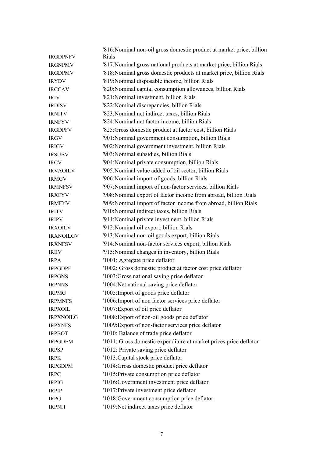|                  | '816: Nominal non-oil gross domestic product at market price, billion |  |
|------------------|-----------------------------------------------------------------------|--|
| <b>IRGDPNFV</b>  | Rials                                                                 |  |
| <b>IRGNPMV</b>   | '817: Nominal gross national products at market price, billion Rials  |  |
| <b>IRGDPMV</b>   | '818: Nominal gross domestic products at market price, billion Rials  |  |
| <b>IRYDV</b>     | '819: Nominal disposable income, billion Rials                        |  |
| <b>IRCCAV</b>    | '820: Nominal capital consumption allowances, billion Rials           |  |
| <b>IRIV</b>      | '821: Nominal investment, billion Rials                               |  |
| <b>IRDISV</b>    | '822: Nominal discrepancies, billion Rials                            |  |
| <b>IRNITV</b>    | '823: Nominal net indirect taxes, billion Rials                       |  |
| <b>IRNFYV</b>    | '824: Nominal net factor income, billion Rials                        |  |
| <b>IRGDPFV</b>   | '825: Gross domestic product at factor cost, billion Rials            |  |
| <b>IRGV</b>      | '901: Nominal government consumption, billion Rials                   |  |
| <b>IRIGV</b>     | '902: Nominal government investment, billion Rials                    |  |
| <b>IRSUBV</b>    | '903: Nominal subsidies, billion Rials                                |  |
| <b>IRCV</b>      | '904: Nominal private consumption, billion Rials                      |  |
| <b>IRVAOILV</b>  | '905: Nominal value added of oil sector, billion Rials                |  |
| <b>IRMGV</b>     | '906: Nominal import of goods, billion Rials                          |  |
| <b>IRMNFSV</b>   | '907: Nominal import of non-factor services, billion Rials            |  |
| <b>IRXFYV</b>    | '908: Nominal export of factor income from abroad, billion Rials      |  |
| <b>IRMFYV</b>    | '909: Nominal import of factor income from abroad, billion Rials      |  |
| <b>IRITV</b>     | '910: Nominal indirect taxes, billion Rials                           |  |
| <b>IRIPV</b>     | '911: Nominal private investment, billion Rials                       |  |
| <b>IRXOILV</b>   | '912: Nominal oil export, billion Rials                               |  |
| <b>IRXNOILGV</b> | '913: Nominal non-oil goods export, billion Rials                     |  |
| <b>IRXNFSV</b>   | '914: Nominal non-factor services export, billion Rials               |  |
| <b>IRIIV</b>     | '915: Nominal changes in inventory, billion Rials                     |  |
| <b>IRPA</b>      | '1001: Agregate price deflator                                        |  |
| <b>IRPGDPF</b>   | '1002: Gross domestic product at factor cost price deflator           |  |
| <b>IRPGNS</b>    | '1003: Gross national saving price deflator                           |  |
| <b>IRPNNS</b>    | '1004:Net national saving price deflator                              |  |
| <b>IRPMG</b>     | '1005: Import of goods price deflator                                 |  |
| <b>IRPMNFS</b>   | '1006: Import of non factor services price deflator                   |  |
| <b>IRPXOIL</b>   | '1007: Export of oil price deflator                                   |  |
| <b>IRPXNOILG</b> | '1008: Export of non-oil goods price deflator                         |  |
| <b>IRPXNFS</b>   | '1009: Export of non-factor services price deflator                   |  |
| <b>IRPBOT</b>    | '1010: Balance of trade price deflator                                |  |
| <b>IRPGDEM</b>   | '1011: Gross domestic expenditure at market prices price deflator     |  |
| <b>IRPSP</b>     | '1012: Private saving price deflator                                  |  |
| <b>IRPK</b>      | '1013: Capital stock price deflator                                   |  |
| <b>IRPGDPM</b>   | '1014: Gross domestic product price deflator                          |  |
| <b>IRPC</b>      | '1015: Private consumption price deflator                             |  |
| <b>IRPIG</b>     | '1016: Government investment price deflator                           |  |
| <b>IRPIP</b>     | '1017: Private investment price deflator                              |  |
| <b>IRPG</b>      | '1018: Government consumption price deflator                          |  |
| <b>IRPNIT</b>    | '1019: Net indirect taxes price deflator                              |  |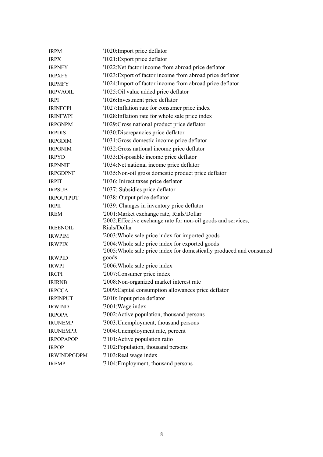| <b>IRPM</b>        | '1020: Import price deflator                                                                                             |
|--------------------|--------------------------------------------------------------------------------------------------------------------------|
| <b>IRPX</b>        | '1021: Export price deflator                                                                                             |
| <b>IRPNFY</b>      | '1022:Net factor income from abroad price deflator                                                                       |
| <b>IRPXFY</b>      | '1023: Export of factor income from abroad price deflator                                                                |
| <b>IRPMFY</b>      | '1024: Import of factor income from abroad price deflator                                                                |
| <b>IRPVAOIL</b>    | '1025:Oil value added price deflator                                                                                     |
| <b>IRPI</b>        | '1026: Investment price deflator                                                                                         |
| <b>IRINFCPI</b>    | '1027: Inflation rate for consumer price index                                                                           |
| <b>IRINFWPI</b>    | '1028: Inflation rate for whole sale price index                                                                         |
| <b>IRPGNPM</b>     | '1029: Gross national product price deflator                                                                             |
| <b>IRPDIS</b>      | '1030: Discrepancies price deflator                                                                                      |
| <b>IRPGDIM</b>     | '1031: Gross domestic income price deflator                                                                              |
| <b>IRPGNIM</b>     | '1032: Gross national income price deflator                                                                              |
| <b>IRPYD</b>       | '1033: Disposable income price deflator                                                                                  |
| <b>IRPNNIF</b>     | '1034: Net national income price deflator                                                                                |
| <b>IRPGDPNF</b>    | '1035: Non-oil gross domestic product price deflator                                                                     |
| <b>IRPIT</b>       | '1036: Inirect taxes price deflator                                                                                      |
| <b>IRPSUB</b>      | '1037: Subsidies price deflator                                                                                          |
| <b>IRPOUTPUT</b>   | '1038: Output price deflator                                                                                             |
| <b>IRPII</b>       | '1039: Changes in inventory price deflator                                                                               |
| <b>IREM</b>        | '2001: Market exchange rate, Rials/Dollar                                                                                |
|                    | '2002: Effective exchange rate for non-oil goods and services,                                                           |
| <b>IREENOIL</b>    | Rials/Dollar                                                                                                             |
| <b>IRWPIM</b>      | '2003: Whole sale price index for imported goods                                                                         |
| <b>IRWPIX</b>      | '2004: Whole sale price index for exported goods<br>'2005: Whole sale price index for domestically produced and consumed |
| <b>IRWPID</b>      | goods                                                                                                                    |
| <b>IRWPI</b>       | '2006: Whole sale price index                                                                                            |
| <b>IRCPI</b>       | '2007: Consumer price index                                                                                              |
| <b>IRIRNB</b>      | '2008: Non-organized market interest rate                                                                                |
| <b>IRPCCA</b>      | '2009: Capital consumption allowances price deflator                                                                     |
| <b>IRPINPUT</b>    | '2010: Input price deflator                                                                                              |
| <b>IRWIND</b>      | '3001: Wage index                                                                                                        |
| <b>IRPOPA</b>      | '3002: Active population, thousand persons                                                                               |
| <b>IRUNEMP</b>     | '3003: Unemployment, thousand persons                                                                                    |
| <b>IRUNEMPR</b>    | '3004: Unemployment rate, percent                                                                                        |
| <b>IRPOPAPOP</b>   | '3101: Active population ratio                                                                                           |
| <b>IRPOP</b>       | '3102: Population, thousand persons                                                                                      |
| <b>IRWINDPGDPM</b> | '3103: Real wage index                                                                                                   |
| <b>IREMP</b>       | '3104: Employment, thousand persons                                                                                      |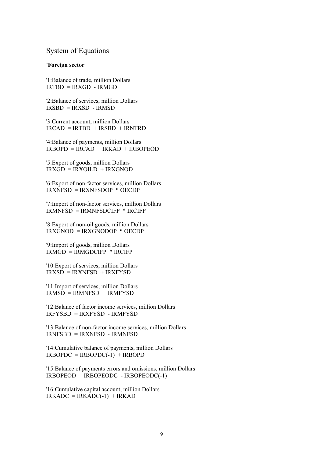### System of Equations

#### **'Foreign sector**

'1:Balance of trade, million Dollars  $IRTRD = IRXGD - IRMGD$ 

'2:Balance of services, million Dollars IRSBD = IRXSD - IRMSD

'3:Current account, million Dollars  $IRCAD = IRTRD + IRSRD + IRNTRD$ 

'4:Balance of payments, million Dollars  $IRBOPD = IRCAD + IRKAD + IRBOPEOD$ 

'5:Export of goods, million Dollars  $IRXGD = IRXOILD + IRXGNOD$ 

'6:Export of non-factor services, million Dollars IRXNFSD = IRXNFSDOP \* OECDP

'7:Import of non-factor services, million Dollars IRMNFSD = IRMNFSDCIFP \* IRCIFP

'8:Export of non-oil goods, million Dollars IRXGNOD = IRXGNODOP \* OECDP

'9:Import of goods, million Dollars  $IRMGD = IRMGDCIFP * IRCIFP$ 

'10:Export of services, million Dollars  $IRXSD = IRXNFSD + IRXFYSD$ 

'11:Import of services, million Dollars  $IRMSD = IRMNFSD + IRMFYSD$ 

'12:Balance of factor income services, million Dollars IRFYSBD = IRXFYSD - IRMFYSD

'13:Balance of non-factor income services, million Dollars IRNFSBD = IRXNFSD - IRMNFSD

'14:Cumulative balance of payments, million Dollars  $IRBOPDC = IRBOPDC(-1) + IRBOPD$ 

'15:Balance of payments errors and omissions, million Dollars  $IRBOPEOD = IRBOPEODC - IRBOPEODC(-1)$ 

'16:Cumulative capital account, million Dollars  $IRKADC = IRKADC(-1) + IRKAD$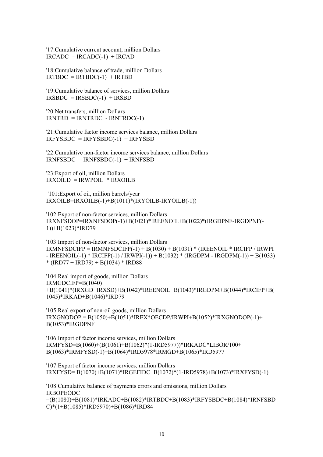'17:Cumulative current account, million Dollars  $IRCADC = IRCADC(-1) + IRCAD$ 

'18:Cumulative balance of trade, million Dollars  $IRTBDC = IRTBDC(-1) + IRTBD$ 

'19:Cumulative balance of services, million Dollars  $IRSBDC = IRSBDC(-1) + IRSBD$ 

'20:Net transfers, million Dollars  $IRNTRD = IRNTRDC - IRNTRDC(-1)$ 

'21:Cumulative factor income services balance, million Dollars  $IRFYSBDC = IRFYSBDC(-1) + IRFYSBD$ 

'22:Cumulative non-factor income services balance, million Dollars  $IRNFSBDC = IRNFSBDC(-1) + IRNFSBD$ 

'23:Export of oil, million Dollars  $IRXOLD = IRWPOL * IRXOLB$ 

 '101:Export of oil, million barrels/year  $IRXOLB=IRXOLB(-1)+B(1011)*(IRYOLB-IRYOLB(-1))$ 

'102:Export of non-factor services, million Dollars IRXNFSDOP=IRXNFSDOP(-1)+B(1021)\*IREENOIL+B(1022)\*(IRGDPNF-IRGDPNF(- 1))+B(1023)\*IRD79

'103:Import of non-factor services, million Dollars  $IRMNFSDCIFP = IRMNFSDCIFP(-1) + B(1030) + B(1031) * (IREENOLL * IRCIFP / IRWPI)$  $-$  IREENOIL(-1) \* IRCIFP(-1) / IRWPI(-1)) + B(1032) \* (IRGDPM - IRGDPM(-1)) + B(1033)  $*(RDT7 + IRD79) + B(1034) * IRD88$ 

'104:Real import of goods, million Dollars IRMGDCIFP=B(1040) +B(1041)\*(IRXGD+IRXSD)+B(1042)\*IREENOIL+B(1043)\*IRGDPM+B(1044)\*IRCIFP+B( 1045)\*IRKAD+B(1046)\*IRD79

'105:Real export of non-oil goods, million Dollars  $IRXGNODOP = B(1050) + B(1051) * IREX * OECDP/I RWPI + B(1052) * IRXGNODOP(-1) +$ B(1053)\*IRGDPNF

```
'106:Import of factor income services, million Dollars 
IRMFYSD=B(1060)+(B(1061)+B(1062)*(1-IRD5977))*IRKADC*LIBOR/100+ 
B(1063)*IRMFYSD(-1)+B(1064)*IRD5978*IRMGD+B(1065)*IRD5977
```

```
'107:Export of factor income services, million Dollars 
IRXFYSD= B(1070)+B(1071)*IRGEFIDC+B(1072)*(1-IRD5978)+B(1073)*IRXFYSD(-1)
```
'108:Cumulative balance of payments errors and omissions, million Dollars IRBOPEODC =(B(1080)+B(1081)\*IRKADC+B(1082)\*IRTBDC+B(1083)\*IRFYSBDC+B(1084)\*IRNFSBD C)\*(1+B(1085)\*IRD5970)+B(1086)\*IRD84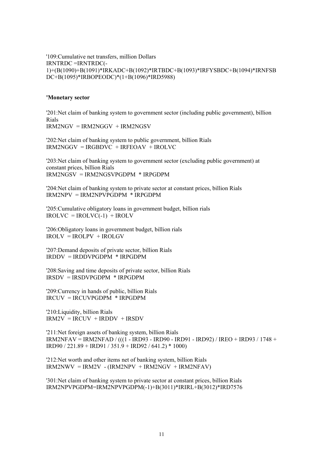'109:Cumulative net transfers, million Dollars IRNTRDC =IRNTRDC(- 1)+(B(1090)+B(1091)\*IRKADC+B(1092)\*IRTBDC+B(1093)\*IRFYSBDC+B(1094)\*IRNFSB DC+B(1095)\*IRBOPEODC)\*(1+B(1096)\*IRD5988)

#### **'Monetary sector**

'201:Net claim of banking system to government sector (including public government), billion Rials IRM2NGV = IRM2NGGV + IRM2NGSV

'202:Net claim of banking system to public government, billion Rials  $IRM2NGGV = IRGBDVC + IRFEOAV + IROLVC$ 

'203:Net claim of banking system to government sector (excluding public government) at constant prices, billion Rials IRM2NGSV = IRM2NGSVPGDPM \* IRPGDPM

'204:Net claim of banking system to private sector at constant prices, billion Rials  $IRM2NPV = IRM2NPVPGDPM * IRPGDPM$ 

'205:Cumulative obligatory loans in government budget, billion rials  $IROLVC = IROLVC(-1) + IROLV$ 

'206:Obligatory loans in government budget, billion rials  $IROLV = IROLPV + IROLGV$ 

'207:Demand deposits of private sector, billion Rials IRDDV = IRDDVPGDPM \* IRPGDPM

'208:Saving and time deposits of private sector, billion Rials IRSDV = IRSDVPGDPM \* IRPGDPM

'209:Currency in hands of public, billion Rials IRCUV = IRCUVPGDPM \* IRPGDPM

'210:Liquidity, billion Rials  $IRM2V = IRCUV + IRDDV + IRSDV$ 

'211:Net foreign assets of banking system, billion Rials IRM2NFAV = IRM2NFAD / (((1 - IRD93 - IRD90 - IRD91 - IRD92) / IREO + IRD93 / 1748 + IRD90 / 221.89 + IRD91 / 351.9 + IRD92 / 641.2) \* 1000)

'212:Net worth and other items net of banking system, billion Rials  $IRM2NWV = IRM2V - (IRM2NPV + IRM2NGV + IRM2NFAV)$ 

'301:Net claim of banking system to private sector at constant prices, billion Rials IRM2NPVPGDPM=IRM2NPVPGDPM(-1)+B(3011)\*IRIRL+B(3012)\*IRD7576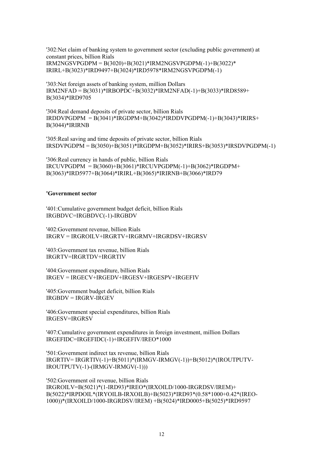'302:Net claim of banking system to government sector (excluding public government) at constant prices, billion Rials IRM2NGSVPGDPM = B(3020)+B(3021)\*IRM2NGSVPGDPM(-1)+B(3022)\* IRIRL+B(3023)\*IRD9497+B(3024)\*IRD5978\*IRM2NGSVPGDPM(-1)

'303:Net foreign assets of banking system, million Dollars IRM2NFAD = B(3031)\*IRBOPDC+B(3032)\*IRM2NFAD(-1)+B(3033)\*IRD8589+ B(3034)\*IRD9705

'304:Real demand deposits of private sector, billion Rials  $IRDDVPGDPM = B(3041)*IRGDPM+B(3042)*IRDDVPGDPM(-1)+B(3043)*IRIRS+$ B(3044)\*IRIRNB

'305:Real saving and time deposits of private sector, billion Rials  $IRSDVPGDPM = B(3050) + \dot{B}(3051) * IRGDPM + B(3052) * IRIRS + B(3053) * IRSDVPGDPM(-1)$ 

'306:Real currency in hands of public, billion Rials  $IRCUVPGDPM = B(3060)+B(3061)*IRCUVPGDPM(-1)+B(3062)*IRGDPM+$ B(3063)\*IRD5977+B(3064)\*IRIRL+B(3065)\*IRIRNB+B(3066)\*IRD79

#### **'Government sector**

'401:Cumulative government budget deficit, billion Rials IRGBDVC=IRGBDVC(-1)-IRGBDV

'402:Government revenue, billion Rials IRGRV = IRGROILV+IRGRTV+IRGRMV+IRGRDSV+IRGRSV

'403:Government tax revenue, billion Rials IRGRTV=IRGRTDV+IRGRTIV

'404:Government expenditure, billion Rials IRGEV = IRGECV+IRGEDV+IRGESV+IRGESPV+IRGEFIV

'405:Government budget deficit, billion Rials IRGBDV = IRGRV-IRGEV

'406:Government special expenditures, billion Rials IRGESV=IRGRSV

'407:Cumulative government expenditures in foreign investment, million Dollars IRGEFIDC=IRGEFIDC(-1)+IRGEFIV/IREO\*1000

'501:Government indirect tax revenue, billion Rials IRGRTIV= IRGRTIV(-1)+B(5011)\*(IRMGV-IRMGV(-1))+B(5012)\*(IROUTPUTV-IROUTPUTV(-1)-(IRMGV-IRMGV(-1)))

'502:Government oil revenue, billion Rials IRGROILV=B(5021)\*(1-IRD93)\*IREO\*(IRXOILD/1000-IRGRDSV/IREM)+ B(5022)\*IRPDOIL\*(IRYOILB-IRXOILB)+B(5023)\*IRD93\*(0.58\*1000+0.42\*(IREO-1000))\*(IRXOILD/1000-IRGRDSV/IREM) +B(5024)\*IRD0005+B(5025)\*IRD9597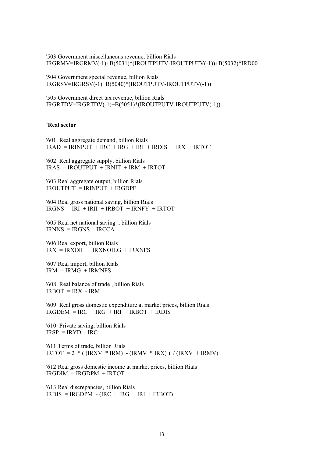'503:Government miscellaneous revenue, billion Rials IRGRMV=IRGRMV(-1)+B(5031)\*(IROUTPUTV-IROUTPUTV(-1))+B(5032)\*IRD00

'504:Government special revenue, billion Rials IRGRSV=IRGRSV(-1)+B(5040)\*(IROUTPUTV-IROUTPUTV(-1))

'505:Government direct tax revenue, billion Rials IRGRTDV=IRGRTDV(-1)+B(5051)\*(IROUTPUTV-IROUTPUTV(-1))

#### **'Real sector**

'601: Real aggregate demand, billion Rials  $IRAD = IRINPUT + IRC + IRG + IRI + IRDIS + IRX + IRTOT$ 

'602: Real aggregate supply, billion Rials  $IRAS = IROUTPUT + IRNIT + IRM + IRTOT$ 

'603:Real aggregate output, billion Rials  $IROUTPUT = IRINPUT + IRGDPF$ 

'604:Real gross national saving, billion Rials  $IRGNS = IRI + IRII + IRBOT + IRNFY + IRTOT$ 

'605:Real net national saving , billion Rials  $IRNNS = IRGNS - IRCCA$ 

'606:Real export, billion Rials  $IRX = IRXOIL + IRXNOILG + IRXNFS$ 

'607:Real import, billion Rials  $IRM = IRM\overline{G} + IRMNFS$ 

'608: Real balance of trade , billion Rials  $IRBOT = IRX - IRM$ 

'609: Real gross domestic expenditure at market prices, billion Rials  $IRGDEM = IRC + IRG + IRI + IRBOT + IRDIS$ 

'610: Private saving, billion Rials  $IRSP = IRYD - IRC$ 

'611:Terms of trade, billion Rials IRTOT =  $2 * ( (IRXV * IRM) - (IRMV * IRX)) / (IRXV + IRMV)$ 

'612:Real gross domestic income at market prices, billion Rials  $IRGDIM = IRGDPM + IRTOT$ 

'613:Real discrepancies, billion Rials  $IRDIS = IRGDPM - (IRC + IRG + IRI + IRBOT)$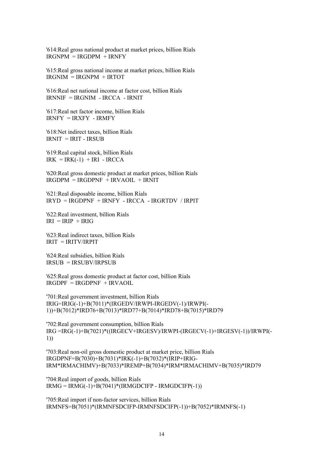'614:Real gross national product at market prices, billion Rials  $IRGNPM = IRGDPM + IRNFY$ 

'615:Real gross national income at market prices, billion Rials IRGNIM = IRGNPM + IRTOT

'616:Real net national income at factor cost, billion Rials IRNNIF = IRGNIM - IRCCA - IRNIT

'617:Real net factor income, billion Rials  $IRNFY = IRXFY - IRMFY$ 

'618:Net indirect taxes, billion Rials  $IRNIT = IRIT - IRSUB$ 

'619:Real capital stock, billion Rials  $IRK = IRK(-1) + IRI - IRCCA$ 

'620:Real gross domestic product at market prices, billion Rials  $IRGDPM = IRGDPNF + IRVAOIL + IRNIT$ 

'621:Real disposable income, billion Rials IRYD = IRGDPNF + IRNFY - IRCCA - IRGRTDV / IRPIT

'622:Real investment, billion Rials  $IRI = IRIP + IRIG$ 

'623:Real indirect taxes, billion Rials IRIT = IRITV/IRPIT

'624:Real subsidies, billion Rials IRSUB = IRSUBV/IRPSUB

'625:Real gross domestic product at factor cost, billion Rials  $IRGDPF = IRGDPNF + IRVAOIL$ 

'701:Real government investment, billion Rials IRIG=IRIG(-1)+B(7011)\*(IRGEDV/IRWPI-IRGEDV(-1)/IRWPI(- 1))+B(7012)\*IRD76+B(7013)\*IRD77+B(7014)\*IRD78+B(7015)\*IRD79

'702:Real government consumption, billion Rials IRG =IRG(-1)+B(7021)\*((IRGECV+IRGESV)/IRWPI-(IRGECV(-1)+IRGESV(-1))/IRWPI(- 1))

'703:Real non-oil gross domestic product at market price, billion Rials IRGDPNF=B(7030)+B(7031)\*IRK(-1)+B(7032)\*(IRIP+IRIG-IRM\*IRMACHIMV)+B(7033)\*IREMP+B(7034)\*IRM\*IRMACHIMV+B(7035)\*IRD79

'704:Real import of goods, billion Rials  $IRMG = IRMG(-1)+B(7041)*(IRMGDCIFP - IRMGDCIFP(-1))$ 

'705:Real import if non-factor services, billion Rials IRMNFS=B(7051)\*(IRMNFSDCIFP-IRMNFSDCIFP(-1))+B(7052)\*IRMNFS(-1)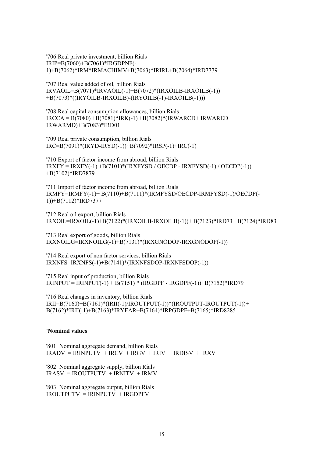'706:Real private investment, billion Rials IRIP=B(7060)+B(7061)\*IRGDPNF(- 1)+B(7062)\*IRM\*IRMACHIMV+B(7063)\*IRIRL+B(7064)\*IRD7779

'707:Real value added of oil, billion Rials  $IRVAOIL=B(7071)*IRVAOIL(-1)+B(7072)*(IRXOILB-IRXOILB(-1))$ +B(7073)\*((IRYOILB-IRXOILB)-(IRYOILB(-1)-IRXOILB(-1)))

'708:Real capital consumption allowances, billion Rials  $IRCCA = B(7080) + B(7081) * IRK(-1) + B(7082) * (IRWARCD + IRWARED +$ IRWARMD)+B(7083)\*IRD01

'709:Real private consumption, billion Rials  $IRC=B(7091)*(IRYD-IRYD(-1))+B(7092)*IRSP(-1)+IRC(-1)$ 

'710:Export of factor income from abroad, billion Rials IRXFY = IRXFY(-1) +B(7101)\*(IRXFYSD / OECDP - IRXFYSD(-1) / OECDP(-1)) +B(7102)\*IRD7879

'711:Import of factor income from abroad, billion Rials IRMFY=IRMFY(-1)+ B(7110)+B(7111)\*(IRMFYSD/OECDP-IRMFYSD(-1)/OECDP(- 1))+B(7112)\*IRD7377

'712:Real oil export, billion Rials IRXOIL=IRXOIL(-1)+B(7122)\*(IRXOILB-IRXOILB(-1))+ B(7123)\*IRD73+ B(7124)\*IRD83

'713:Real export of goods, billion Rials IRXNOILG=IRXNOILG(-1)+B(7131)\*(IRXGNODOP-IRXGNODOP(-1))

'714:Real export of non factor services, billion Rials IRXNFS=IRXNFS(-1)+B(7141)\*(IRXNFSDOP-IRXNFSDOP(-1))

'715:Real input of production, billion Rials  $IRINPUT = IRINPUT(-1) + B(7151) * (IRGDPF - IRGDPF(-1)) + B(7152) * IRD79$ 

'716:Real changes in inventory, billion Rials IRII=B(7160)+B(7161)\*(IRII(-1)/IROUTPUT(-1))\*(IROUTPUT-IROUTPUT(-1))+ B(7162)\*IRII(-1)+B(7163)\*IRYEAR+B(7164)\*IRPGDPF+B(7165)\*IRD8285

#### **'Nominal values**

'801: Nominal aggregate demand, billion Rials  $IRADV = IRINPUTV + IRCV + IRGV + IRIV + IRDISV + IRXV$ 

'802: Nominal aggregate supply, billion Rials  $IRASV = IROUTPIITY + IRNITY + IRMV$ 

'803: Nominal aggregate output, billion Rials IROUTPUTV = IRINPUTV + IRGDPFV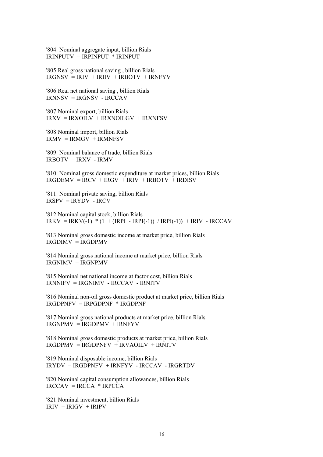'804: Nominal aggregate input, billion Rials IRINPUTV = IRPINPUT \* IRINPUT

'805:Real gross national saving , billion Rials  $IRGNSV = IRIV + IRIIV + IRBOTV + IRNFYV$ 

'806:Real net national saving , billion Rials IRNNSV = IRGNSV - IRCCAV

'807:Nominal export, billion Rials IRXV = IRXOILV + IRXNOILGV + IRXNFSV

'808:Nominal import, billion Rials  $IRMV = IRMGV + IRMNFSV$ 

'809: Nominal balance of trade, billion Rials IRBOTV = IRXV - IRMV

'810: Nominal gross domestic expenditure at market prices, billion Rials  $IRGDEMV = IRCV + IRGV + IRIV + IRBOTV + IRDISV$ 

'811: Nominal private saving, billion Rials  $IRSPV = IRYDV$  -  $IRCV$ 

'812:Nominal capital stock, billion Rials IRKV = IRKV(-1) \* (1 + (IRPI - IRPI(-1)) / IRPI(-1)) + IRIV - IRCCAV

'813:Nominal gross domestic income at market price, billion Rials  $IRGDIMV = IRGDPMV$ 

'814:Nominal gross national income at market price, billion Rials IRGNIMV = IRGNPMV

'815:Nominal net national income at factor cost, billion Rials IRNNIFV = IRGNIMV - IRCCAV - IRNITV

'816:Nominal non-oil gross domestic product at market price, billion Rials IRGDPNFV = IRPGDPNF \* IRGDPNF

'817:Nominal gross national products at market price, billion Rials  $IRGNPMV = IRGDPMV + IRNFYV$ 

'818:Nominal gross domestic products at market price, billion Rials IRGDPMV = IRGDPNFV + IRVAOILV + IRNITV

'819:Nominal disposable income, billion Rials IRYDV = IRGDPNFV + IRNFYV - IRCCAV - IRGRTDV

'820:Nominal capital consumption allowances, billion Rials  $IRCCAV = IRCCA * IRPCCA$ 

'821:Nominal investment, billion Rials  $IRIV = IRIGV + IRIPV$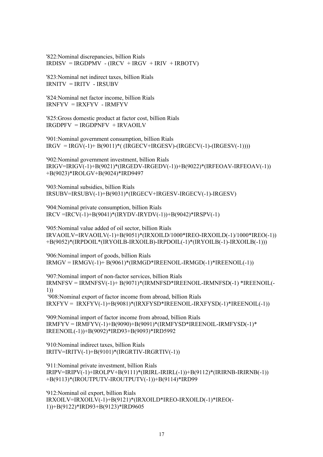'822:Nominal discrepancies, billion Rials  $IRDISV = IRGDPMV - (IRCV + IRGV + IRIV + IRBOTV)$ 

'823:Nominal net indirect taxes, billion Rials  $IRNITU = IRITV - IRSIJBV$ 

'824:Nominal net factor income, billion Rials IRNFYV = IRXFYV - IRMFYV

'825:Gross domestic product at factor cost, billion Rials IRGDPFV = IRGDPNFV + IRVAOILV

'901:Nominal government consumption, billion Rials  $IRGV = IRGV(-1)+B(9011)*$ ( $IRGECV+IRGESV$ )- $(RGECV(-1)$ - $(IRGESV(-1))$ ))

'902:Nominal government investment, billion Rials IRIGV=IRIGV(-1)+B(9021)\*(IRGEDV-IRGEDV(-1))+B(9022)\*(IRFEOAV-IRFEOAV(-1)) +B(9023)\*IROLGV+B(9024)\*IRD9497

'903:Nominal subsidies, billion Rials IRSUBV=IRSUBV(-1)+B(9031)\*(IRGECV+IRGESV-IRGECV(-1)-IRGESV)

'904:Nominal private consumption, billion Rials IRCV =IRCV(-1)+B(9041)\*(IRYDV-IRYDV(-1))+B(9042)\*IRSPV(-1)

'905:Nominal value added of oil sector, billion Rials IRVAOILV=IRVAOILV(-1)+B(9051)\*(IRXOILD/1000\*IREO-IRXOILD(-1)/1000\*IREO(-1)) +B(9052)\*(IRPDOIL\*(IRYOILB-IRXOILB)-IRPDOIL(-1)\*(IRYOILB(-1)-IRXOILB(-1)))

'906:Nominal import of goods, billion Rials  $IRMGV = IRMGV(-1) + B(9061) * (IRMGD * IREENOLL - IRMGD(-1) * IREENOLL(-1))$ 

'907:Nominal import of non-factor services, billion Rials IRMNFSV = IRMNFSV(-1)+ B(9071)\*(IRMNFSD\*IREENOIL-IRMNFSD(-1) \*IREENOIL(- 1)) '908:Nominal export of factor income from abroad, billion Rials

IRXFYV = IRXFYV(-1)+B(9081)\*(IRXFYSD\*IREENOIL-IRXFYSD(-1)\*IREENOIL(-1))

'909:Nominal import of factor income from abroad, billion Rials  $IRMFYV = IRMFYV(-1)+B(9090)+B(9091)*IRRWFYSD*IREENOII.-IRMFYSD(-1)*$ IREENOIL(-1))+B(9092)\*IRD93+B(9093)\*IRD5992

'910:Nominal indirect taxes, billion Rials IRITV=IRITV(-1)+B(9101)\*(IRGRTIV-IRGRTIV(-1))

'911:Nominal private investment, billion Rials IRIPV=IRIPV(-1)+IROLPV+B(9111)\*(IRIRL-IRIRL(-1))+B(9112)\*(IRIRNB-IRIRNB(-1)) +B(9113)\*(IROUTPUTV-IROUTPUTV(-1))+B(9114)\*IRD99

'912:Nominal oil export, billion Rials IRXOILV=IRXOILV(-1)+B(9121)\*(IRXOILD\*IREO-IRXOILD(-1)\*IREO(- 1))+B(9122)\*IRD93+B(9123)\*IRD9605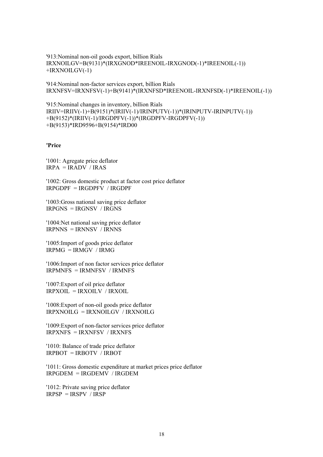'913:Nominal non-oil goods export, billion Rials IRXNOILGV=B(9131)\*(IRXGNOD\*IREENOIL-IRXGNOD(-1)\*IREENOIL(-1)) +IRXNOILGV(-1)

'914:Nominal non-factor services export, billion Rials IRXNFSV=IRXNFSV(-1)+B(9141)\*(IRXNFSD\*IREENOIL-IRXNFSD(-1)\*IREENOIL(-1))

```
'915:Nominal changes in inventory, billion Rials 
IRIIV=IRIIV(-1)+B(9151)*(IRIIV(-1)/IRINPUTV(-1))*(IRINPUTV-IRINPUTV(-1)) 
+B(9152)*(IRIIV(-1)/IRGDPFV(-1))*(IRGDPFV-IRGDPFV(-1)) 
+B(9153)*IRD9596+B(9154)*IRD00
```
**'Price** 

'1001: Agregate price deflator  $IRPA = IRADV / IRAS$ 

'1002: Gross domestic product at factor cost price deflator  $IRPGDPF = IRGDPFV / IRGDPF$ 

'1003:Gross national saving price deflator IRPGNS = IRGNSV / IRGNS

'1004:Net national saving price deflator IRPNNS = IRNNSV / IRNNS

'1005:Import of goods price deflator  $IRPMG = IRMGV / IRMG$ 

'1006:Import of non factor services price deflator  $IRPMNFS = IRMNFSV / IRMNFS$ 

'1007:Export of oil price deflator IRPXOIL = IRXOILV / IRXOIL

'1008:Export of non-oil goods price deflator  $IRPXNOILG = IRXNOILGV / IRXNOILG$ 

'1009:Export of non-factor services price deflator IRPXNFS = IRXNFSV / IRXNFS

'1010: Balance of trade price deflator IRPBOT = IRBOTV / IRBOT

'1011: Gross domestic expenditure at market prices price deflator IRPGDEM = IRGDEMV / IRGDEM

'1012: Private saving price deflator IRPSP = IRSPV / IRSP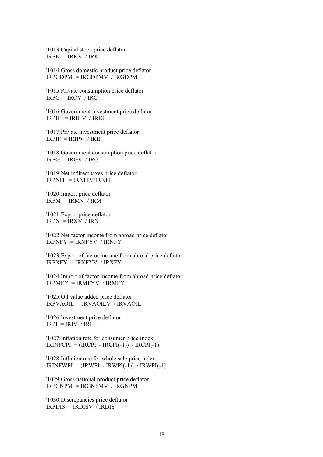'1013:Capital stock price deflator  $IRPK = IRKV / IRK$ 

'1014:Gross domestic product price deflator  $IRPGDPM = IRGDPMV / IRGDPM$ 

'1015:Private consumption price deflator  $IRPC = IRCV / IRC$ 

'1016:Government investment price deflator IRPIG = IRIGV / IRIG

'1017:Private investment price deflator  $IRPIP = IRIPV / IRIP$ 

'1018:Government consumption price deflator  $IRPG = IRGV / IRG$ 

'1019:Net indirect taxes price deflator IRPNIT = IRNITV/IRNIT

'1020:Import price deflator  $IRPM = IRMV / IRM$ 

'1021:Export price deflator  $IRPX = IRXY / IRX$ 

'1022:Net factor income from abroad price deflator IRPNFY = IRNFYV / IRNFY

'1023:Export of factor income from abroad price deflator IRPXFY = IRXFYV / IRXFY

'1024:Import of factor income from abroad price deflator IRPMFY = IRMFYV / IRMFY

'1025:Oil value added price deflator IRPVAOIL = IRVAOILV / IRVAOIL

'1026:Investment price deflator  $IRPI = IRIV / IRI$ 

'1027:Inflation rate for consumer price index  $IRINFCPI = (IRCPI - IRCPI(-1)) / IRCPI(-1)$ 

'1028:Inflation rate for whole sale price index  $IRINFWPI = (IRWPI - IRWPI(-1)) / IRWPI(-1)$ 

'1029:Gross national product price deflator IRPGNPM = IRGNPMV / IRGNPM

'1030:Discrepancies price deflator  $IRPDIS = IRDISV$  *IRDIS*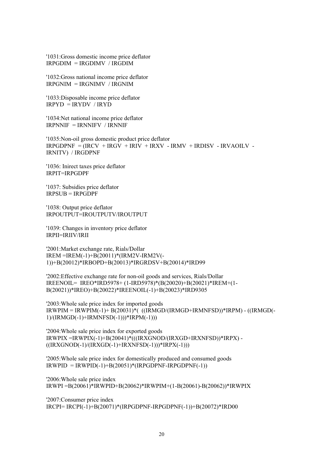'1031:Gross domestic income price deflator IRPGDIM = IRGDIMV / IRGDIM

'1032:Gross national income price deflator  $IRPGNIM = IRGNIMV / IRGNIM$ 

'1033:Disposable income price deflator  $IRPYD = IRYDV / IRYD$ 

'1034:Net national income price deflator IRPNNIF = IRNNIFV / IRNNIF

'1035:Non-oil gross domestic product price deflator  $IRPGDPNF = (IRCV + IRGV + IRIV + IRXV - IRMV + IRDISV - IRVAOLV -$ IRNITV) / IRGDPNF

'1036: Inirect taxes price deflator IRPIT=IRPGDPF

'1037: Subsidies price deflator  $IRPSUB = IRPGDPF$ 

'1038: Output price deflator IRPOUTPUT=IROUTPUTV/IROUTPUT

'1039: Changes in inventory price deflator IRPII=IRIIV/IRII

'2001:Market exchange rate, Rials/Dollar IREM =IREM(-1)+B(20011)\*(IRM2V-IRM2V(- 1))+B(20012)\*IRBOPD+B(20013)\*IRGRDSV+B(20014)\*IRD99

'2002:Effective exchange rate for non-oil goods and services, Rials/Dollar IREENOIL= IREO\*IRD5978+ (1-IRD5978)\*(B(20020)+B(20021)\*IREM+(1- B(20021))\*IREO)+B(20022)\*IREENOIL(-1)+B(20023)\*IRD9305

'2003:Whole sale price index for imported goods IRWPIM = IRWPIM(-1)+ B(20031)\*( ((IRMGD/(IRMGD+IRMNFSD))\*IRPM) - ((IRMGD(- 1)/(IRMGD(-1)+IRMNFSD(-1)))\*IRPM(-1)))

'2004:Whole sale price index for exported goods IRWPIX =IRWPIX(-1)+B(20041)\*(((IRXGNOD/(IRXGD+IRXNFSD))\*IRPX) -  $((IRXGNOD(-1)/(IRXGD(-1)+IRXNFSD(-1))) *IRPX(-1)))$ 

'2005:Whole sale price index for domestically produced and consumed goods  $IRWPID = IRWPID(-1)+B(20051)*(IRPGDPNF-IRPGDPNF(-1))$ 

'2006:Whole sale price index IRWPI =B(20061)\*IRWPID+B(20062)\*IRWPIM+(1-B(20061)-B(20062))\*IRWPIX

'2007:Consumer price index IRCPI= IRCPI(-1)+B(20071)\*(IRPGDPNF-IRPGDPNF(-1))+B(20072)\*IRD00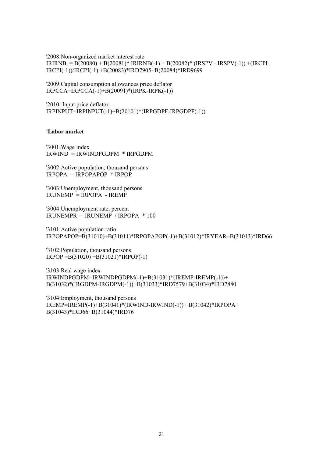'2008:Non-organized market interest rate  $IRIRNB = B(20080) + B(20081)^* IRIRNB(-1) + B(20082)^* (IRSPV - IRSPV(-1)) + (IRCPI-$ IRCPI(-1))/IRCPI(-1) +B(20083)\*IRD7905+B(20084)\*IRD9699

'2009:Capital consumption allowances price deflator IRPCCA=IRPCCA(-1)+B(20091)\*(IRPK-IRPK(-1))

'2010: Input price deflator IRPINPUT=IRPINPUT(-1)+B(20101)\*(IRPGDPF-IRPGDPF(-1))

#### **'Labor market**

'3001:Wage index IRWIND = IRWINDPGDPM \* IRPGDPM

'3002:Active population, thousand persons IRPOPA = IRPOPAPOP \* IRPOP

'3003:Unemployment, thousand persons  $IRLINEMP = IRPOPA - IREMP$ 

'3004:Unemployment rate, percent IRUNEMPR = IRUNEMP / IRPOPA \* 100

'3101:Active population ratio IRPOPAPOP=B(31010)+B(31011)\*IRPOPAPOP(-1)+B(31012)\*IRYEAR+B(31013)\*IRD66

'3102:Population, thousand persons IRPOP =B(31020) +B(31021)\*IRPOP(-1)

'3103:Real wage index IRWINDPGDPM=IRWINDPGDPM(-1)+B(31031)\*(IREMP-IREMP(-1))+ B(31032)\*(IRGDPM-IRGDPM(-1))+B(31033)\*IRD7579+B(31034)\*IRD7880

'3104:Employment, thousand persons IREMP=IREMP(-1)+B(31041)\*(IRWIND-IRWIND(-1))+ B(31042)\*IRPOPA+ B(31043)\*IRD66+B(31044)\*IRD76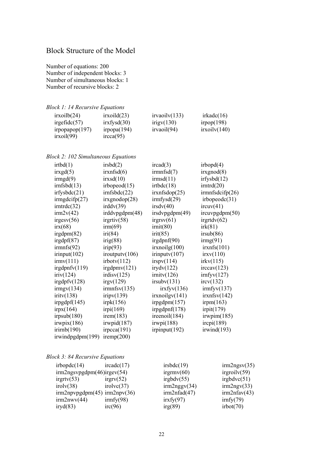### Block Structure of the Model

Number of equations: 200 Number of independent blocks: 3 Number of simultaneous blocks: 1 Number of recursive blocks: 2

*Block 1: 14 Recursive Equations* 

| irxoilb(24)       | irxoid(23)         | irvaoilv(133) | irkadc(16)    |
|-------------------|--------------------|---------------|---------------|
| irgefidc $(57)$   | irxfysd(30)        | irigv(130)    | irpop $(198)$ |
| irpopapop $(197)$ | irpopa $(194)$     | irvaoil(94)   | irxoilv(140)  |
| irxoil(99)        | $\text{ircca}(95)$ |               |               |

*Block 2: 102 Simultaneous Equations* 

| irtbd(1)           | irsbd(2)               | $\text{ircad}(3)$    | irbopd(4)            |
|--------------------|------------------------|----------------------|----------------------|
| irxgd(5)           | irxnfsd(6)             | irmnfsd(7)           | irxgnod(8)           |
| irmgd(9)           | irxsd(10)              | irmsd(11)            | irfysbd(12)          |
| irnfsbd(13)        | irbopeod $(15)$        | irtbdc(18)           | irntrd(20)           |
| irfysbdc(21)       | irnfsbdc(22)           | irxnfsdop(25)        | irmnfsdcifp(26)      |
| irmgdcifp $(27)$   | irxgnodop(28)          | irmfysd(29)          | irbopeedc(31)        |
| irntrdc(32)        | irddv(39)              | irsdv(40)            | ircuv(41)            |
| irm2v(42)          | irddvpgdpm(48)         | irsdvpgdpm(49)       | ircuvpgdpm(50)       |
| irgesv(56)         | irgrtiv(58)            | irgrsv(61)           | irgrtdv(62)          |
| irx(68)            | irm(69)                | irnit(80)            | irk(81)              |
| irgdpm(82)         | iri(84)                | irit(85)             | irsub(86)            |
| irgdpf(87)         | irig(88)               | irgdpnf(90)          | img(91)              |
| irmnfs(92)         | irip(93)               | irxnoilg(100)        | irxnfs(101)          |
| irinput(102)       | $\text{iroutput}(106)$ | irinputv(107)        | irxv(110)            |
| $\text{irmv}(111)$ | irbotv(112)            | irspv(114)           | irkv(115)            |
| irgdpnfv(119)      | irgdpmv(121)           | irydv(122)           | $\text{irccav}(123)$ |
| iriv(124)          | irdisv(125)            | $\text{irnity}(126)$ | irnfyv(127)          |
| irgdpfv(128)       | irgv(129)              | irsubv(131)          | ircv(132)            |
| $\text{impv}(134)$ | irmnfsv(135)           | irxfyv(136)          | $\text{imfyv}(137)$  |
| iritv(138)         | iripv(139)             | irxnoilgy(141)       | irxnfsv(142)         |
| irpgdpf(145)       | irpk(156)              | irpgdpm(157)         | irpm(163)            |
| irpx(164)          | irpi(169)              | irpgdpnf(178)        | irpit(179)           |
| irpsub(180)        | $i$ rem $(183)$        | ireenoil(184)        | irwpim(185)          |
| irwpix(186)        | irwpid(187)            | irwpi(188)           | irepi(189)           |
| irirnb(190)        | irpcca(191)            | irpinput $(192)$     | irwind(193)          |
| irwindpgdpm(199)   | iremp $(200)$          |                      |                      |

#### *Block 3: 84 Recursive Equations*

| irbopdc(14)                 | $\text{ircadc}(17)$ | irsbdc(19)   | irm2ngsv(35)       |
|-----------------------------|---------------------|--------------|--------------------|
| irm2ngsvpgdpm(46)irgev(54)  |                     | irgrmv(60)   | irgroidv(59)       |
| irgrtv(53)                  | irgrv(52)           | irgbdv(55)   | irgbdvc(51)        |
| $i$ rolv $(38)$             | $i_{\text{ro}}(37)$ | irm2nggv(34) | irm2ngv(33)        |
| irm2npypgdpm(45)irm2npv(36) |                     | irm2nfad(47) | $irm2n$ fav $(43)$ |
| irm2nwv(44)                 | $\text{imfy}(98)$   | irxfy(97)    | irnfy(79)          |
| iryd(83)                    | irc(96)             | irg(89)      | irbot(70)          |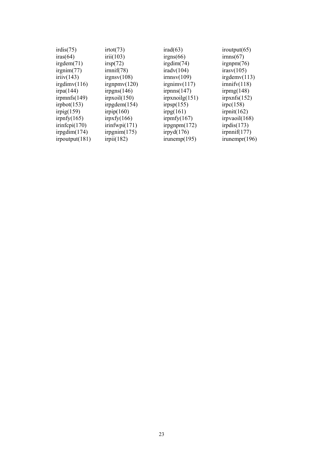| irdis(75)       | irtot(73)       | irad(63)             | iroutput $(65)$  |
|-----------------|-----------------|----------------------|------------------|
| iras(64)        | iri(103)        | irgns(66)            | irnns(67)        |
| irgdem(71)      | irsp(72)        | irgdim $(74)$        | irgnpm $(76)$    |
| irgnim(77)      | irnnif(78)      | iradv(104)           | irasv(105)       |
| iriiv(143)      | irgnsv(108)     | $\text{irnnsv}(109)$ | irgdemv(113)     |
| irgdim $v(116)$ | irgnpmv(120)    | irgnimv(117)         | irnnify(118)     |
| irpa(144)       | irpgns $(146)$  | irpnns $(147)$       | irpmg $(148)$    |
| irpmnfs $(149)$ | irpxoil(150)    | irpxnoilg(151)       | irpxnfs $(152)$  |
| irpbot $(153)$  | irpgdem(154)    | irpsp(155)           | irpc(158)        |
| irpig $(159)$   | irpip $(160)$   | irpg(161)            | irpnit $(162)$   |
| irpnfy $(165)$  | irpxfy $(166)$  | irpmfy $(167)$       | irpvaoil $(168)$ |
| irinfepi(170)   | irinfwpi(171)   | irpgnpm $(172)$      | irpdis $(173)$   |
| irpgdim $(174)$ | irpgnim $(175)$ | irpyd $(176)$        | irpnnif $(177)$  |
| irpoutput(181)  | irpi(182)       | irunemp(195)         | irunempr(196)    |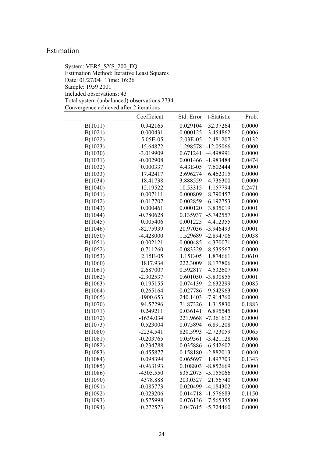### Estimation

System: VER5\_SYS\_200\_EQ Estimation Method: Iterative Least Squares Date: 01/27/04 Time: 16:26 Sample: 1959 2001 Included observations: 43 Total system (unbalanced) observations 2734 Convergence achieved after 2 iterations

|         | Coefficient | Std. Error | t-Statistic | Prob.  |
|---------|-------------|------------|-------------|--------|
| B(1011) | 0.942165    | 0.029104   | 32.37264    | 0.0000 |
| B(1021) | 0.000431    | 0.000125   | 3.454862    | 0.0006 |
| B(1022) | 5.05E-05    | 2.03E-05   | 2.481207    | 0.0132 |
| B(1023) | $-15.64872$ | 1.298578   | $-12.05066$ | 0.0000 |
| B(1030) | $-3.019909$ | 0.671241   | -4.498991   | 0.0000 |
| B(1031) | $-0.002908$ | 0.001466   | $-1.983484$ | 0.0474 |
| B(1032) | 0.000337    | 4.43E-05   | 7.602444    | 0.0000 |
| B(1033) | 17.42417    | 2.696274   | 6.462315    | 0.0000 |
| B(1034) | 18.41738    | 3.888559   | 4.736300    | 0.0000 |
| B(1040) | 12.19522    | 10.53315   | 1.157794    | 0.2471 |
| B(1041) | 0.007111    | 0.000809   | 8.790457    | 0.0000 |
| B(1042) | $-0.017707$ | 0.002859   | $-6.192753$ | 0.0000 |
| B(1043) | 0.000461    | 0.000120   | 3.835019    | 0.0001 |
| B(1044) | $-0.780628$ | 0.135937   | $-5.742557$ | 0.0000 |
| B(1045) | 0.005406    | 0.001225   | 4.412355    | 0.0000 |
| B(1046) | $-82.75939$ | 20.97036   | $-3.946493$ | 0.0001 |
| B(1050) | $-4.428000$ | 1.529689   | $-2.894706$ | 0.0038 |
| B(1051) | 0.002121    | 0.000485   | 4.370071    | 0.0000 |
| B(1052) | 0.711260    | 0.083329   | 8.535567    | 0.0000 |
| B(1053) | 2.15E-05    | 1.15E-05   | 1.874661    | 0.0610 |
| B(1060) | 1817.934    | 222.3009   | 8.177806    | 0.0000 |
| B(1061) | 2.687007    | 0.592817   | 4.532607    | 0.0000 |
| B(1062) | $-2.302537$ | 0.601050   | -3.830855   | 0.0001 |
| B(1063) | 0.195155    | 0.074139   | 2.632299    | 0.0085 |
| B(1064) | 0.265164    | 0.027786   | 9.542963    | 0.0000 |
| B(1065) | $-1900.653$ | 240.1403   | $-7.914760$ | 0.0000 |
| B(1070) | 94.57296    | 71.87326   | 1.315830    | 0.1883 |
| B(1071) | 0.249211    | 0.036141   | 6.895545    | 0.0000 |
| B(1072) | $-1634.034$ | 221.9668   | $-7.361612$ | 0.0000 |
| B(1073) | 0.523004    | 0.075894   | 6.891208    | 0.0000 |
| B(1080) | $-2234.541$ | 820.5993   | $-2.723059$ | 0.0065 |
| B(1081) | $-0.203765$ | 0.059561   | $-3.421128$ | 0.0006 |
| B(1082) | $-0.234788$ | 0.035886   | $-6.542602$ | 0.0000 |
| B(1083) | $-0.455877$ | 0.158180   | $-2.882013$ | 0.0040 |
| B(1084) | 0.098394    | 0.065697   | 1.497703    | 0.1343 |
| B(1085) | $-0.963193$ | 0.108803   | $-8.852669$ | 0.0000 |
| B(1086) | -4305.550   | 835.2075   | $-5.155066$ | 0.0000 |
| B(1090) | 4378.888    | 203.0327   | 21.56740    | 0.0000 |
| B(1091) | $-0.085773$ | 0.020499   | $-4.184302$ | 0.0000 |
| B(1092) | $-0.023206$ | 0.014718   | $-1.576683$ | 0.1150 |
| B(1093) | 0.575998    | 0.076136   | 7.565355    | 0.0000 |
| B(1094) | $-0.272573$ | 0.047615   | $-5.724460$ | 0.0000 |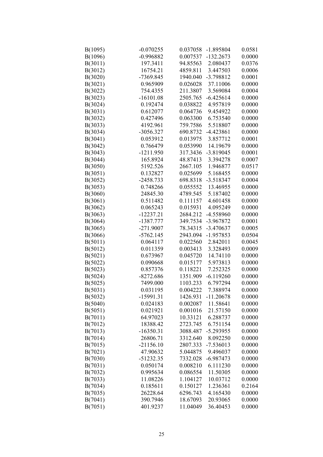| B(1095) | $-0.070255$ | 0.037058 | $-1.895804$ | 0.0581 |
|---------|-------------|----------|-------------|--------|
| B(1096) | $-0.996882$ | 0.007537 | $-132.2673$ | 0.0000 |
| B(3011) | 197.3411    | 94.85563 | 2.080437    | 0.0376 |
| B(3012) | 16754.21    | 4859.811 | 3.447503    | 0.0006 |
| B(3020) | -7369.845   | 1940.040 | -3.798812   | 0.0001 |
| B(3021) | 0.965909    | 0.026028 | 37.11006    | 0.0000 |
| B(3022) | 754.4355    | 211.3807 | 3.569084    | 0.0004 |
| B(3023) | $-16101.08$ | 2505.765 | $-6.425614$ | 0.0000 |
| B(3024) | 0.192474    | 0.038822 | 4.957819    | 0.0000 |
| B(3031) | 0.612077    | 0.064736 | 9.454922    | 0.0000 |
| B(3032) | 0.427496    | 0.063300 | 6.753540    | 0.0000 |
| B(3033) | 4192.961    | 759.7586 | 5.518807    | 0.0000 |
| B(3034) | -3056.327   | 690.8732 | $-4.423861$ | 0.0000 |
| B(3041) | 0.053912    | 0.013975 | 3.857712    | 0.0001 |
| B(3042) | 0.766479    | 0.053990 | 14.19679    | 0.0000 |
| B(3043) | $-1211.950$ | 317.3436 | $-3.819045$ | 0.0001 |
| B(3044) | 165.8924    | 48.87413 | 3.394278    | 0.0007 |
| B(3050) | 5192.526    | 2667.105 | 1.946877    | 0.0517 |
| B(3051) | 0.132827    | 0.025699 | 5.168455    | 0.0000 |
| B(3052) | $-2458.733$ | 698.8318 | $-3.518347$ | 0.0004 |
| B(3053) | 0.748266    | 0.055552 | 13.46955    | 0.0000 |
| B(3060) | 24845.30    | 4789.545 | 5.187402    | 0.0000 |
| B(3061) | 0.511482    | 0.111157 | 4.601458    | 0.0000 |
| B(3062) | 0.065243    | 0.015931 | 4.095249    | 0.0000 |
| B(3063) | $-12237.21$ | 2684.212 | -4.558960   | 0.0000 |
| B(3064) | -1387.777   | 349.7534 | -3.967872   | 0.0001 |
| B(3065) | $-271.9007$ | 78.34315 | $-3.470637$ | 0.0005 |
| B(3066) | $-5762.145$ | 2943.094 | $-1.957853$ | 0.0504 |
| B(5011) | 0.064117    | 0.022560 | 2.842011    | 0.0045 |
| B(5012) | 0.011359    | 0.003413 | 3.328493    | 0.0009 |
| B(5021) | 0.673967    | 0.045720 | 14.74110    | 0.0000 |
| B(5022) | 0.090668    | 0.015177 | 5.973813    | 0.0000 |
| B(5023) | 0.857376    | 0.118221 | 7.252325    | 0.0000 |
| B(5024) | $-8272.686$ | 1351.909 | $-6.119260$ | 0.0000 |
| B(5025) | 7499.000    | 1103.233 | 6.797294    | 0.0000 |
| B(5031) | 0.031195    | 0.004222 | 7.388974    | 0.0000 |
| B(5032) | $-15991.31$ | 1426.931 | $-11.20678$ | 0.0000 |
| B(5040) | 0.024183    | 0.002087 | 11.58641    | 0.0000 |
| B(5051) | 0.021921    | 0.001016 | 21.57150    | 0.0000 |
| B(7011) | 64.97023    | 10.33121 | 6.288737    | 0.0000 |
| B(7012) | 18388.42    | 2723.745 | 6.751154    | 0.0000 |
| B(7013) | $-16350.31$ | 3088.487 | $-5.293955$ | 0.0000 |
| B(7014) | 26806.71    | 3312.640 | 8.092250    | 0.0000 |
| B(7015) | $-21156.10$ | 2807.333 | $-7.536013$ | 0.0000 |
| B(7021) | 47.90632    | 5.044875 | 9.496037    | 0.0000 |
| B(7030) | -51232.35   | 7332.028 | $-6.987473$ | 0.0000 |
|         |             |          |             |        |
| B(7031) | 0.050174    | 0.008210 | 6.111230    | 0.0000 |
| B(7032) | 0.995634    | 0.086554 | 11.50305    | 0.0000 |
| B(7033) | 11.08226    | 1.104127 | 10.03712    | 0.0000 |
| B(7034) | 0.185611    | 0.150127 | 1.236361    | 0.2164 |
| B(7035) | 26228.64    | 6296.743 | 4.165430    | 0.0000 |
| B(7041) | 390.7946    | 18.67093 | 20.93065    | 0.0000 |
| B(7051) | 401.9237    | 11.04049 | 36.40453    | 0.0000 |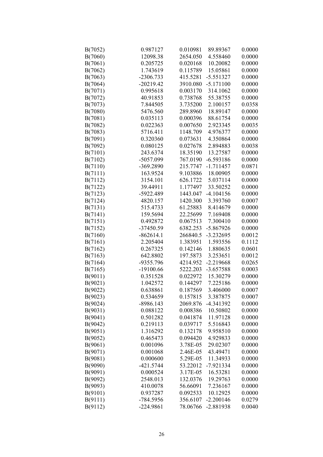| B(7052) | 0.987127             | 0.010981             | 89.89367             | 0.0000           |
|---------|----------------------|----------------------|----------------------|------------------|
| B(7060) | 12098.38             | 2654.050             | 4.558460             | 0.0000           |
| B(7061) | 0.205725             | 0.020168             | 10.20082             | 0.0000           |
| B(7062) | 1.743619             | 0.115789             | 15.05861             | 0.0000           |
| B(7063) | $-2306.733$          | 415.5281             | $-5.551327$          | 0.0000           |
| B(7064) | $-20219.42$          | 3910.080             | $-5.171100$          | 0.0000           |
| B(7071) | 0.995618             | 0.003170             | 314.1062             | 0.0000           |
| B(7072) | 40.91853             | 0.738768             | 55.38755             | 0.0000           |
| B(7073) | 7.844505             | 3.735200             | 2.100157             | 0.0358           |
| B(7080) | 5476.560             | 289.8960             | 18.89147             | 0.0000           |
| B(7081) | 0.035113             | 0.000396             | 88.61754             | 0.0000           |
| B(7082) | 0.022363             | 0.007650             | 2.923345             | 0.0035           |
| B(7083) | 5716.411             | 1148.709             | 4.976377             | 0.0000           |
| B(7091) | 0.320360             | 0.073631             | 4.350864             | 0.0000           |
| B(7092) | 0.080125             | 0.027678             | 2.894883             | 0.0038           |
| B(7101) | 243.6374             | 18.35190             | 13.27587             | 0.0000           |
| B(7102) | -5057.099            | 767.0190             | $-6.593186$          | 0.0000           |
| B(7110) | -369.2890            | 215.7747             | $-1.711457$          | 0.0871           |
| B(7111) | 163.9524             | 9.103886             | 18.00905             | 0.0000           |
| B(7112) | 3154.101             | 626.1722             | 5.037114             | 0.0000           |
| B(7122) | 39.44911             | 1.177497             | 33.50252             | 0.0000           |
| B(7123) | -5922.489            | 1443.047             | $-4.104156$          | 0.0000           |
| B(7124) | 4820.157             | 1420.300             | 3.393760             | 0.0007           |
| B(7131) | 515.4733             | 61.25883             | 8.414679             | 0.0000           |
| B(7141) | 159.5694             | 22.25699             | 7.169408             | 0.0000           |
| B(7151) | 0.492872             | 0.067513             | 7.300410             | 0.0000           |
| B(7152) | -37450.59            | 6382.253             | $-5.867926$          | 0.0000           |
| B(7160) | $-862614.1$          | 266840.5             | $-3.232695$          | 0.0012           |
| B(7161) | 2.205404             | 1.383951             | 1.593556             | 0.1112           |
| B(7162) | 0.267325             | 0.142146             | 1.880635             | 0.0601           |
| B(7163) | 642.8802             | 197.5873             | 3.253651             | 0.0012           |
| B(7164) | -9355.796            | 4214.952             | $-2.219668$          | 0.0265           |
| B(7165) | $-19100.66$          | 5222.203             | $-3.657588$          | 0.0003           |
| B(9011) | 0.351528             | 0.022972             | 15.30279             | 0.0000           |
| B(9021) | 1.042572             | 0.144297             | 7.225186             | 0.0000           |
| B(9022) | 0.638861             | 0.187569             | 3.406000             | 0.0007           |
| B(9023) | 0.534659             | 0.157815             | 3.387875             | 0.0007           |
| B(9024) | $-8986.143$          | 2069.876             | -4.341392            | 0.0000           |
| B(9031) | 0.088122             | 0.008386             | 10.50802             | 0.0000           |
| B(9041) | 0.501282             | 0.041874             | 11.97128             | 0.0000           |
| B(9042) | 0.219113             | 0.039717             | 5.516843             | 0.0000           |
| B(9051) | 1.316292             | 0.132178             | 9.958510             | 0.0000           |
| B(9052) | 0.465473             | 0.094420             | 4.929833             | 0.0000           |
| B(9061) | 0.001096             | 3.78E-05             | 29.02307             | 0.0000           |
| B(9071) | 0.001068             | 2.46E-05             |                      | 0.0000           |
|         |                      |                      | 43.49471             |                  |
| B(9081) | 0.000600             | 5.29E-05             | 11.34933             | 0.0000           |
| B(9090) | $-421.5744$          | 53.22012             | -7.921334            | 0.0000           |
| B(9091) | 0.000524<br>2548.013 | 3.17E-05             | 16.53281<br>19.29763 | 0.0000           |
| B(9092) |                      | 132.0376             |                      | 0.0000           |
| B(9093) | 410.0078<br>0.937287 | 56.66091<br>0.092533 | 7.236167             | 0.0000           |
| B(9101) |                      |                      | 10.12925             | 0.0000<br>0.0279 |
| B(9111) | -784.5956            | 356.6107             | $-2.200146$          |                  |
| B(9112) | $-224.9861$          | 78.06766             | -2.881938            | 0.0040           |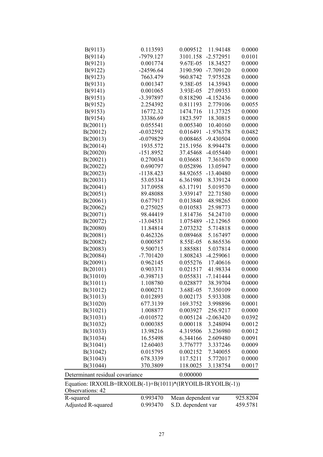| B(9113)                                                     | 0.113593    | 0.009512 | 11.94148    | 0.0000 |
|-------------------------------------------------------------|-------------|----------|-------------|--------|
| B(9114)                                                     | $-7979.127$ | 3101.158 | $-2.572951$ | 0.0101 |
| B(9121)                                                     | 0.001774    | 9.67E-05 | 18.34527    | 0.0000 |
| B(9122)                                                     | $-24596.64$ | 3190.590 | $-7.709120$ | 0.0000 |
| B(9123)                                                     | 7663.479    | 960.8742 | 7.975528    | 0.0000 |
| B(9131)                                                     | 0.001347    | 9.38E-05 | 14.35943    | 0.0000 |
| B(9141)                                                     | 0.001065    | 3.93E-05 | 27.09353    | 0.0000 |
| B(9151)                                                     | -3.397897   | 0.818290 | $-4.152436$ | 0.0000 |
| B(9152)                                                     | 2.254392    | 0.811193 | 2.779106    | 0.0055 |
| B(9153)                                                     | 16772.32    | 1474.716 | 11.37325    | 0.0000 |
| B(9154)                                                     | 33386.69    | 1823.597 | 18.30815    | 0.0000 |
| B(20011)                                                    | 0.055541    | 0.005340 | 10.40160    | 0.0000 |
| B(20012)                                                    | $-0.032592$ | 0.016491 | $-1.976378$ | 0.0482 |
| B(20013)                                                    | $-0.079829$ | 0.008465 | -9.430504   | 0.0000 |
| B(20014)                                                    | 1935.572    | 215.1956 | 8.994478    | 0.0000 |
| B(20020)                                                    | $-151.8952$ | 37.45468 | $-4.055440$ | 0.0001 |
| B(20021)                                                    | 0.270034    | 0.036681 | 7.361670    | 0.0000 |
| B(20022)                                                    | 0.690797    | 0.052896 | 13.05947    | 0.0000 |
| B(20023)                                                    | $-1138.423$ | 84.92655 | $-13.40480$ | 0.0000 |
| B(20031)                                                    | 53.05334    | 6.361980 | 8.339124    | 0.0000 |
| B(20041)                                                    | 317.0958    | 63.17191 | 5.019570    | 0.0000 |
| B(20051)                                                    | 89.48088    | 3.939147 | 22.71580    | 0.0000 |
| B(20061)                                                    | 0.677917    | 0.013840 | 48.98265    | 0.0000 |
| B(20062)                                                    | 0.275025    | 0.010583 | 25.98773    | 0.0000 |
| B(20071)                                                    | 98.44419    | 1.814736 | 54.24710    | 0.0000 |
| B(20072)                                                    | $-13.04531$ | 1.075489 | $-12.12965$ | 0.0000 |
| B(20080)                                                    | 11.84814    | 2.073232 | 5.714818    | 0.0000 |
| B(20081)                                                    | 0.462326    | 0.089468 | 5.167497    | 0.0000 |
| B(20082)                                                    | 0.000587    | 8.55E-05 | 6.865536    | 0.0000 |
| B(20083)                                                    | 9.500715    | 1.885881 | 5.037814    | 0.0000 |
| B(20084)                                                    | $-7.701420$ | 1.808243 | $-4.259061$ | 0.0000 |
| B(20091)                                                    | 0.962145    | 0.055276 | 17.40616    | 0.0000 |
| B(20101)                                                    | 0.903371    | 0.021517 | 41.98334    | 0.0000 |
| B(31010)                                                    | $-0.398713$ | 0.055831 | $-7.141444$ | 0.0000 |
| B(31011)                                                    | 1.108780    | 0.028877 | 38.39704    | 0.0000 |
| B(31012)                                                    | 0.000271    | 3.68E-05 | 7.350109    | 0.0000 |
| B(31013)                                                    | 0.012893    | 0.002173 | 5.933308    | 0.0000 |
| B(31020)                                                    | 677.3139    | 169.3752 | 3.998896    | 0.0001 |
| B(31021)                                                    | 1.008877    | 0.003927 | 256.9217    | 0.0000 |
| B(31031)                                                    | $-0.010572$ | 0.005124 | $-2.063420$ | 0.0392 |
| B(31032)                                                    | 0.000385    | 0.000118 | 3.248094    | 0.0012 |
| B(31033)                                                    | 13.98216    | 4.319506 | 3.236980    | 0.0012 |
| B(31034)                                                    | 16.55498    | 6.344166 | 2.609480    | 0.0091 |
| B(31041)                                                    | 12.60403    | 3.776777 | 3.337246    | 0.0009 |
| B(31042)                                                    | 0.015795    | 0.002152 | 7.340055    | 0.0000 |
| B(31043)                                                    | 678.3339    | 117.5211 | 5.772017    | 0.0000 |
| B(31044)                                                    | 370.3809    | 118.0025 | 3.138754    | 0.0017 |
|                                                             |             |          |             |        |
| Determinant residual covariance                             |             | 0.000000 |             |        |
| Equation: IRXOILB=IRXOILB(-1)+B(1011)*(IRYOILB-IRYOILB(-1)) |             |          |             |        |
| Observations: 42                                            |             |          |             |        |

| Equation: IRXOILB=IRXOILB(-1)+B(1011)*(IRYOILB-IRYOILB(-1))<br>Observations: 42 |          |                    |          |
|---------------------------------------------------------------------------------|----------|--------------------|----------|
| R-squared                                                                       | 0.993470 | Mean dependent var | 925.8204 |
| Adjusted R-squared                                                              | 0.993470 | S.D. dependent var | 459.5781 |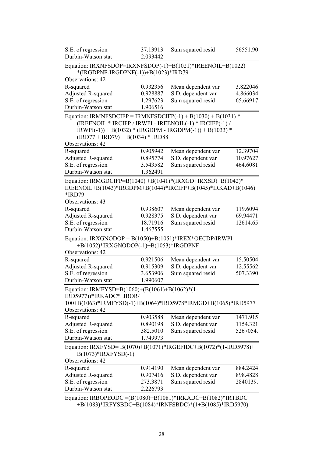| S.E. of regression                                                                                 | 37.13913 | Sum squared resid                                         | 56551.90 |
|----------------------------------------------------------------------------------------------------|----------|-----------------------------------------------------------|----------|
| Durbin-Watson stat                                                                                 | 2.093442 |                                                           |          |
| Equation: IRXNFSDOP=IRXNFSDOP(-1)+B(1021)*IREENOIL+B(1022)<br>*(IRGDPNF-IRGDPNF(-1))+B(1023)*IRD79 |          |                                                           |          |
| Observations: 42                                                                                   |          |                                                           |          |
| R-squared                                                                                          | 0.932356 | Mean dependent var                                        | 3.822046 |
| Adjusted R-squared                                                                                 | 0.928887 | S.D. dependent var                                        | 4.866034 |
| S.E. of regression                                                                                 | 1.297623 | Sum squared resid                                         | 65.66917 |
| Durbin-Watson stat                                                                                 | 1.906516 |                                                           |          |
| Equation: IRMNFSDCIFP = IRMNFSDCIFP $(-1)$ + B $(1030)$ + B $(1031)$ *                             |          |                                                           |          |
|                                                                                                    |          | (IREENOIL * IRCIFP / IRWPI - IREENOIL(-1) * IRCIFP(-1) /  |          |
|                                                                                                    |          | $IRWPI(-1)$ + B(1032) * (IRGDPM - IRGDPM(-1)) + B(1033) * |          |
| $(IRD77 + IRD79) + B(1034) * IRD88$                                                                |          |                                                           |          |
| Observations: 42                                                                                   |          |                                                           |          |
| R-squared                                                                                          | 0.905942 | Mean dependent var                                        | 12.39704 |
| <b>Adjusted R-squared</b>                                                                          | 0.895774 | S.D. dependent var                                        | 10.97627 |
| S.E. of regression                                                                                 | 3.543582 | Sum squared resid                                         | 464.6081 |
| Durbin-Watson stat                                                                                 | 1.362491 |                                                           |          |
| Equation: IRMGDCIFP=B(1040) +B(1041)*(IRXGD+IRXSD)+B(1042)*                                        |          |                                                           |          |
| IREENOIL+B(1043)*IRGDPM+B(1044)*IRCIFP+B(1045)*IRKAD+B(1046)                                       |          |                                                           |          |
| *IRD79                                                                                             |          |                                                           |          |
| Observations: 43                                                                                   |          |                                                           |          |
| R-squared                                                                                          | 0.938607 | Mean dependent var                                        | 119.6094 |
| Adjusted R-squared                                                                                 | 0.928375 | S.D. dependent var                                        | 69.94471 |
| S.E. of regression                                                                                 | 18.71916 | Sum squared resid                                         | 12614.65 |
| Durbin-Watson stat                                                                                 | 1.467555 |                                                           |          |
| Equation: IRXGNODOP = $B(1050)+B(1051)*IREX*OECDP/IRWPI$                                           |          |                                                           |          |
| +B(1052)*IRXGNODOP(-1)+B(1053)*IRGDPNF                                                             |          |                                                           |          |
| Observations: 42                                                                                   |          |                                                           |          |
| R-squared                                                                                          | 0.921506 | Mean dependent var                                        | 15.50504 |
| <b>Adjusted R-squared</b>                                                                          | 0.915309 | S.D. dependent var                                        | 12.55562 |
| S.E. of regression                                                                                 | 3.653906 | Sum squared resid                                         | 507.3390 |
| Durbin-Watson stat                                                                                 | 1.990607 |                                                           |          |
|                                                                                                    |          |                                                           |          |
| Equation: IRMFYSD=B(1060)+(B(1061)+B(1062)*(1-<br>IRD5977))*IRKADC*LIBOR/                          |          |                                                           |          |
| 100+B(1063)*IRMFYSD(-1)+B(1064)*IRD5978*IRMGD+B(1065)*IRD5977                                      |          |                                                           |          |
| Observations: 42                                                                                   |          |                                                           |          |
| R-squared                                                                                          | 0.903588 | Mean dependent var                                        | 1471.915 |
| Adjusted R-squared                                                                                 | 0.890198 | S.D. dependent var                                        | 1154.321 |
| S.E. of regression                                                                                 | 382.5010 | Sum squared resid                                         | 5267054. |
| Durbin-Watson stat                                                                                 | 1.749973 |                                                           |          |
|                                                                                                    |          |                                                           |          |
| Equation: IRXFYSD= B(1070)+B(1071)*IRGEFIDC+B(1072)*(1-IRD5978)+<br>$B(1073)*IRXFYSD(-1)$          |          |                                                           |          |
| Observations: 42                                                                                   |          |                                                           |          |
| R-squared                                                                                          | 0.914190 | Mean dependent var                                        | 884.2424 |
| Adjusted R-squared                                                                                 | 0.907416 | S.D. dependent var                                        | 898.4828 |
| S.E. of regression                                                                                 | 273.3871 | Sum squared resid                                         | 2840139. |
| Durbin-Watson stat                                                                                 | 2.226793 |                                                           |          |
|                                                                                                    |          |                                                           |          |
| Equation: IRBOPEODC = $(B(1080) + B(1081) * IRKADC + B(1082) * IRTBDC$                             |          |                                                           |          |

+B(1083)\*IRFYSBDC+B(1084)\*IRNFSBDC)\*(1+B(1085)\*IRD5970)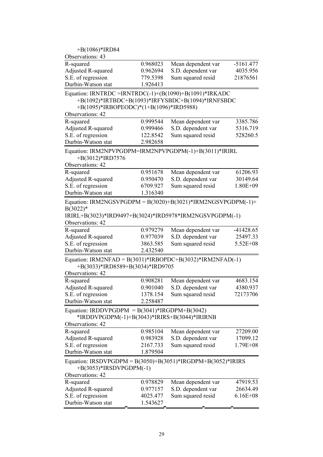|                                  |                                                                                                                      | $-5161.477$                                                                                                                                                                                                                                                                                                                                                                                                                                                                                                                                                                                                                                          |
|----------------------------------|----------------------------------------------------------------------------------------------------------------------|------------------------------------------------------------------------------------------------------------------------------------------------------------------------------------------------------------------------------------------------------------------------------------------------------------------------------------------------------------------------------------------------------------------------------------------------------------------------------------------------------------------------------------------------------------------------------------------------------------------------------------------------------|
|                                  |                                                                                                                      | 4035.956                                                                                                                                                                                                                                                                                                                                                                                                                                                                                                                                                                                                                                             |
|                                  |                                                                                                                      | 21876561                                                                                                                                                                                                                                                                                                                                                                                                                                                                                                                                                                                                                                             |
| 1.926413                         |                                                                                                                      |                                                                                                                                                                                                                                                                                                                                                                                                                                                                                                                                                                                                                                                      |
|                                  |                                                                                                                      |                                                                                                                                                                                                                                                                                                                                                                                                                                                                                                                                                                                                                                                      |
|                                  |                                                                                                                      | 3385.786                                                                                                                                                                                                                                                                                                                                                                                                                                                                                                                                                                                                                                             |
|                                  |                                                                                                                      | 5316.719                                                                                                                                                                                                                                                                                                                                                                                                                                                                                                                                                                                                                                             |
|                                  |                                                                                                                      | 528260.5                                                                                                                                                                                                                                                                                                                                                                                                                                                                                                                                                                                                                                             |
| 2.982658                         |                                                                                                                      |                                                                                                                                                                                                                                                                                                                                                                                                                                                                                                                                                                                                                                                      |
|                                  |                                                                                                                      |                                                                                                                                                                                                                                                                                                                                                                                                                                                                                                                                                                                                                                                      |
| 0.951678                         | Mean dependent var                                                                                                   | 61206.93                                                                                                                                                                                                                                                                                                                                                                                                                                                                                                                                                                                                                                             |
| 0.950470                         | S.D. dependent var                                                                                                   | 30149.64                                                                                                                                                                                                                                                                                                                                                                                                                                                                                                                                                                                                                                             |
| 6709.927                         | Sum squared resid                                                                                                    | 1.80E+09                                                                                                                                                                                                                                                                                                                                                                                                                                                                                                                                                                                                                                             |
| 1.316340                         |                                                                                                                      |                                                                                                                                                                                                                                                                                                                                                                                                                                                                                                                                                                                                                                                      |
| 0.979279<br>0.977039<br>3863.585 | Mean dependent var<br>S.D. dependent var<br>Sum squared resid                                                        | $-41428.65$<br>25497.33<br>$5.52E + 08$                                                                                                                                                                                                                                                                                                                                                                                                                                                                                                                                                                                                              |
|                                  |                                                                                                                      |                                                                                                                                                                                                                                                                                                                                                                                                                                                                                                                                                                                                                                                      |
|                                  |                                                                                                                      | 4683.154                                                                                                                                                                                                                                                                                                                                                                                                                                                                                                                                                                                                                                             |
|                                  |                                                                                                                      | 4380.937                                                                                                                                                                                                                                                                                                                                                                                                                                                                                                                                                                                                                                             |
|                                  |                                                                                                                      | 72173706                                                                                                                                                                                                                                                                                                                                                                                                                                                                                                                                                                                                                                             |
|                                  |                                                                                                                      |                                                                                                                                                                                                                                                                                                                                                                                                                                                                                                                                                                                                                                                      |
| 2.258487                         |                                                                                                                      |                                                                                                                                                                                                                                                                                                                                                                                                                                                                                                                                                                                                                                                      |
|                                  | Equation: IRDDVPGDPM = $B(3041)$ *IRGDPM+B(3042)<br>*IRDDVPGDPM(-1)+B(3043)*IRIRS+B(3044)*IRIRNB                     |                                                                                                                                                                                                                                                                                                                                                                                                                                                                                                                                                                                                                                                      |
| 0.985104                         | Mean dependent var                                                                                                   | 27209.00                                                                                                                                                                                                                                                                                                                                                                                                                                                                                                                                                                                                                                             |
| 0.983928                         | S.D. dependent var                                                                                                   | 17099.12                                                                                                                                                                                                                                                                                                                                                                                                                                                                                                                                                                                                                                             |
| 2167.733                         | Sum squared resid                                                                                                    | $1.79E + 08$                                                                                                                                                                                                                                                                                                                                                                                                                                                                                                                                                                                                                                         |
| 1.879504                         |                                                                                                                      |                                                                                                                                                                                                                                                                                                                                                                                                                                                                                                                                                                                                                                                      |
| $+B(3053)*IRSDVPGDPM(-1)$        | Equation: IRSDVPGDPM = $B(3050)+B(3051)*IRGDPM+B(3052)*IRIRS$                                                        |                                                                                                                                                                                                                                                                                                                                                                                                                                                                                                                                                                                                                                                      |
|                                  |                                                                                                                      |                                                                                                                                                                                                                                                                                                                                                                                                                                                                                                                                                                                                                                                      |
| 0.978829                         | Mean dependent var                                                                                                   | 47919.53                                                                                                                                                                                                                                                                                                                                                                                                                                                                                                                                                                                                                                             |
| 0.977157<br>4025.477             | S.D. dependent var<br>Sum squared resid                                                                              | 26634.49<br>$6.16E + 08$                                                                                                                                                                                                                                                                                                                                                                                                                                                                                                                                                                                                                             |
|                                  | 0.968023<br>0.962694<br>779.5398<br>0.999544<br>0.999466<br>122.8542<br>2.432540<br>0.908281<br>0.901040<br>1378.154 | Mean dependent var<br>S.D. dependent var<br>Sum squared resid<br>Equation: IRNTRDC = IRNTRDC(-1)+(B(1090)+B(1091)*IRKADC<br>+B(1092)*IRTBDC+B(1093)*IRFYSBDC+B(1094)*IRNFSBDC<br>+B(1095)*IRBOPEODC)*(1+B(1096)*IRD5988)<br>Mean dependent var<br>S.D. dependent var<br>Sum squared resid<br>Equation: IRM2NPVPGDPM=IRM2NPVPGDPM(-1)+B(3011)*IRIRL<br>Equation: IRM2NGSVPGDPM = $B(3020)+B(3021)*IRM2NGSVPGDPM(-1)+$<br>IRIRL+B(3023)*IRD9497+B(3024)*IRD5978*IRM2NGSVPGDPM(-1)<br>Equation: IRM2NFAD = $B(3031)$ *IRBOPDC+B(3032)*IRM2NFAD(-1)<br>+B(3033)*IRD8589+B(3034)*IRD9705<br>Mean dependent var<br>S.D. dependent var<br>Sum squared resid |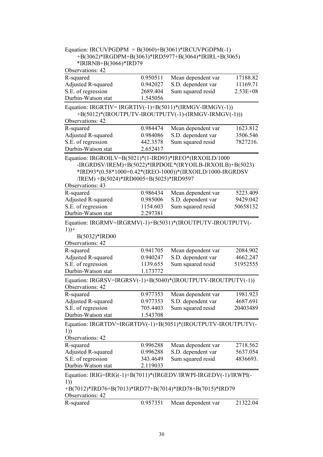| Equation: IRCUVPGDPM = $B(3060)+B(3061)*IRCUVPGDPM(-1)$          |                      |                                                           |              |
|------------------------------------------------------------------|----------------------|-----------------------------------------------------------|--------------|
|                                                                  |                      | +B(3062)*IRGDPM+B(3063)*IRD5977+B(3064)*IRIRL+B(3065)     |              |
| *IRIRNB+B(3066)*IRD79                                            |                      |                                                           |              |
| Observations: 42                                                 |                      |                                                           |              |
| R-squared                                                        | 0.950511             | Mean dependent var                                        | 17188.82     |
| <b>Adjusted R-squared</b>                                        | 0.942027             | S.D. dependent var                                        | 11169.71     |
| S.E. of regression                                               | 2689.404             | Sum squared resid                                         | $2.53E + 08$ |
| Durbin-Watson stat                                               | 1.545056             |                                                           |              |
| Equation: IRGRTIV= IRGRTIV(-1)+B(5011)*(IRMGV-IRMGV(-1))         |                      |                                                           |              |
|                                                                  |                      | +B(5012)*(IROUTPUTV-IROUTPUTV(-1)-(IRMGV-IRMGV(-1)))      |              |
| Observations: 42                                                 |                      |                                                           |              |
| R-squared                                                        | 0.984474             | Mean dependent var                                        | 1623.812     |
| <b>Adjusted R-squared</b>                                        | 0.984086             | S.D. dependent var                                        | 3506.546     |
| S.E. of regression                                               | 442.3578             | Sum squared resid                                         | 7827216.     |
| Durbin-Watson stat                                               | 2.652417             |                                                           |              |
| Equation: IRGROILV=B(5021)*(1-IRD93)*IREO*(IRXOILD/1000          |                      |                                                           |              |
|                                                                  |                      | -IRGRDSV/IREM)+B(5022)*IRPDOIL*(IRYOILB-IRXOILB)+B(5023)  |              |
|                                                                  |                      | *IRD93*(0.58*1000+0.42*(IREO-1000))*(IRXOILD/1000-IRGRDSV |              |
| /IREM) +B(5024)*IRD0005+B(5025)*IRD9597                          |                      |                                                           |              |
| Observations: 43                                                 |                      |                                                           |              |
| R-squared                                                        | 0.986434             | Mean dependent var                                        | 5223.409     |
| Adjusted R-squared                                               | 0.985006             | S.D. dependent var                                        | 9429.042     |
| S.E. of regression                                               | 1154.603             | Sum squared resid                                         | 50658132     |
| Durbin-Watson stat                                               | 2.297381             |                                                           |              |
|                                                                  |                      |                                                           |              |
| Equation: IRGRMV=IRGRMV(-1)+B(5031)*(IROUTPUTV-IROUTPUTV(-       |                      |                                                           |              |
| $1)$ +                                                           |                      |                                                           |              |
| B(5032)*IRD00                                                    |                      |                                                           |              |
| Observations: 42                                                 |                      |                                                           |              |
| R-squared                                                        | 0.941705             | Mean dependent var                                        | 2084.902     |
| Adjusted R-squared<br>S.E. of regression                         | 0.940247             | S.D. dependent var                                        | 4662.247     |
|                                                                  | 1139.655<br>1.173772 | Sum squared resid                                         | 51952555     |
| Durbin-Watson stat                                               |                      |                                                           |              |
| Equation: IRGRSV=IRGRSV(-1)+B(5040)*(IROUTPUTV-IROUTPUTV(-1))    |                      |                                                           |              |
| Observations: 42                                                 |                      |                                                           |              |
| R-squared                                                        | 0.977353             | Mean dependent var                                        | 1981.923     |
| Adjusted R-squared                                               | 0.977353             | S.D. dependent var                                        | 4687.691     |
| S.E. of regression                                               | 705.4403             | Sum squared resid                                         | 20403489     |
| Durbin-Watson stat                                               | 1.543708             |                                                           |              |
| Equation: IRGRTDV=IRGRTDV(-1)+B(5051)*(IROUTPUTV-IROUTPUTV(-     |                      |                                                           |              |
| 1))                                                              |                      |                                                           |              |
| Observations: 42                                                 |                      |                                                           |              |
| R-squared                                                        | 0.996288             | Mean dependent var                                        | 2718.562     |
| Adjusted R-squared                                               | 0.996288             | S.D. dependent var                                        | 5637.054     |
| S.E. of regression                                               | 343.4649             | Sum squared resid                                         | 4836693.     |
| Durbin-Watson stat                                               | 2.119033             |                                                           |              |
| Equation: IRIG=IRIG(-1)+B(7011)*(IRGEDV/IRWPI-IRGEDV(-1)/IRWPI(- |                      |                                                           |              |
| 1))                                                              |                      |                                                           |              |
| +B(7012)*IRD76+B(7013)*IRD77+B(7014)*IRD78+B(7015)*IRD79         |                      |                                                           |              |
| Observations: 42                                                 |                      |                                                           |              |
| R-squared                                                        | 0.957351             | Mean dependent var                                        | 21322.04     |
|                                                                  |                      |                                                           |              |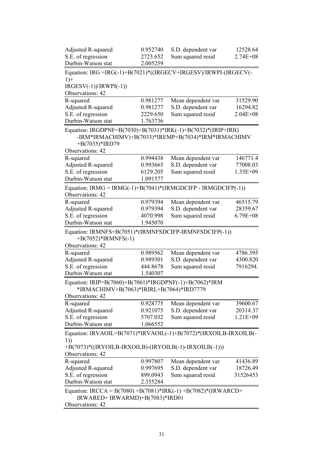| Adjusted R-squared                                                                                     | 0.952740             | S.D. dependent var                                  | 12528.64                             |
|--------------------------------------------------------------------------------------------------------|----------------------|-----------------------------------------------------|--------------------------------------|
| S.E. of regression                                                                                     | 2723.652             | Sum squared resid                                   | $2.74E + 08$                         |
| Durbin-Watson stat                                                                                     | 2.005259             |                                                     |                                      |
| Equation: IRG =IRG(-1)+B(7021)*((IRGECV+IRGESV)/IRWPI-(IRGECV(-                                        |                      |                                                     |                                      |
| $1) +$                                                                                                 |                      |                                                     |                                      |
| $IRGESV(-1))/IRWPI(-1))$                                                                               |                      |                                                     |                                      |
| Observations: 42                                                                                       |                      |                                                     |                                      |
| R-squared                                                                                              | 0.981277             | Mean dependent var                                  | 31529.90                             |
| <b>Adjusted R-squared</b>                                                                              | 0.981277             | S.D. dependent var                                  | 16294.82                             |
| S.E. of regression                                                                                     | 2229.650             | Sum squared resid                                   | $2.04E + 08$                         |
| Durbin-Watson stat                                                                                     | 1.763736             |                                                     |                                      |
| Equation: IRGDPNF=B(7030)+B(7031)*IRK(-1)+B(7032)*(IRIP+IRIG<br>+B $(7035)$ *IRD79<br>Observations: 42 |                      | -IRM*IRMACHIMV)+B(7033)*IREMP+B(7034)*IRM*IRMACHIMV |                                      |
| R-squared                                                                                              |                      |                                                     |                                      |
|                                                                                                        | 0.994438<br>0.993665 | Mean dependent var<br>S.D. dependent var            | 146771.4<br>77008.03                 |
| Adjusted R-squared<br>S.E. of regression                                                               | 6129.205             | Sum squared resid                                   | 1.35E+09                             |
| Durbin-Watson stat                                                                                     | 1.091577             |                                                     |                                      |
|                                                                                                        |                      |                                                     |                                      |
| Equation: IRMG = IRMG(-1)+B(7041)*(IRMGDCIFP - IRMGDCIFP(-1))<br>Observations: 42                      |                      |                                                     |                                      |
|                                                                                                        | 0.979394             | Mean dependent var                                  | 46515.79                             |
|                                                                                                        |                      |                                                     |                                      |
| R-squared                                                                                              |                      |                                                     |                                      |
| Adjusted R-squared                                                                                     | 0.979394             | S.D. dependent var                                  |                                      |
| S.E. of regression<br>Durbin-Watson stat<br>Equation: IRMNFS=B(7051)*(IRMNFSDCIFP-IRMNFSDCIFP(-1))     | 4070.998<br>1.945070 | Sum squared resid                                   |                                      |
| $+B(7052)*IRMNFS(-1)$<br>Observations: 42                                                              |                      |                                                     | 28359.67<br>$6.79E + 08$             |
| R-squared                                                                                              | 0.989562             | Mean dependent var                                  |                                      |
| Adjusted R-squared                                                                                     | 0.989301             | S.D. dependent var                                  |                                      |
| S.E. of regression                                                                                     | 444.8678             | Sum squared resid                                   |                                      |
| Durbin-Watson stat                                                                                     | 1.540307             |                                                     |                                      |
| Equation: IRIP=B(7060)+B(7061)*IRGDPNF(-1)+B(7062)*IRM<br>*IRMACHIMV+B(7063)*IRIRL+B(7064)*IRD7779     |                      |                                                     | 4786.395<br>4300.820<br>7916294.     |
| Observations: 42                                                                                       |                      |                                                     |                                      |
| R-squared                                                                                              | 0.928775             | Mean dependent var                                  | 39600.67                             |
| Adjusted R-squared                                                                                     | 0.921075             | S.D. dependent var                                  |                                      |
| S.E. of regression                                                                                     | 5707.032             | Sum squared resid                                   |                                      |
| Durbin-Watson stat                                                                                     | 1.066552             |                                                     |                                      |
| Equation: IRVAOIL=B(7071)*IRVAOIL(-1)+B(7072)*(IRXOILB-IRXOILB(-                                       |                      |                                                     |                                      |
| 1)<br>+B(7073)*((IRYOILB-IRXOILB)-(IRYOILB(-1)-IRXOILB(-1)))                                           |                      |                                                     |                                      |
| Observations: 42                                                                                       |                      |                                                     |                                      |
| R-squared                                                                                              | 0.997807             | Mean dependent var                                  | 20314.37<br>$1.21E + 09$<br>41436.89 |
| Adjusted R-squared                                                                                     | 0.997695             | S.D. dependent var                                  |                                      |
| S.E. of regression<br>Durbin-Watson stat                                                               | 899.0943<br>2.355284 | Sum squared resid                                   | 18726.49<br>31526453                 |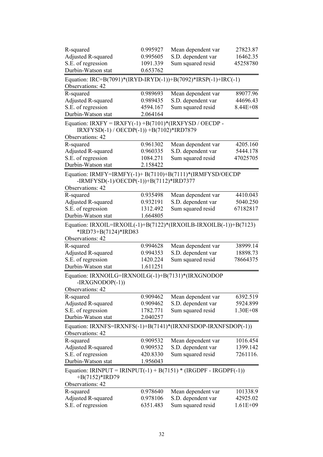| R-squared                                                                                                                | 0.995927 | Mean dependent var | 27823.87     |
|--------------------------------------------------------------------------------------------------------------------------|----------|--------------------|--------------|
| Adjusted R-squared                                                                                                       | 0.995605 | S.D. dependent var | 16462.35     |
| S.E. of regression                                                                                                       | 1091.339 | Sum squared resid  | 45258780     |
| Durbin-Watson stat                                                                                                       | 0.653762 |                    |              |
| Equation: IRC=B(7091)*(IRYD-IRYD(-1))+B(7092)*IRSP(-1)+IRC(-1)<br>Observations: 42                                       |          |                    |              |
| R-squared                                                                                                                | 0.989693 | Mean dependent var | 89077.96     |
| Adjusted R-squared                                                                                                       | 0.989435 | S.D. dependent var | 44696.43     |
| S.E. of regression                                                                                                       | 4594.167 | Sum squared resid  | $8.44E + 08$ |
| Durbin-Watson stat                                                                                                       | 2.064164 |                    |              |
| Equation: IRXFY = IRXFY(-1) +B(7101)*(IRXFYSD / OECDP -<br>IRXFYSD(-1) / OECDP(-1)) +B(7102)*IRD7879<br>Observations: 42 |          |                    |              |
| R-squared                                                                                                                | 0.961302 | Mean dependent var | 4205.160     |
| Adjusted R-squared                                                                                                       | 0.960335 | S.D. dependent var | 5444.178     |
| S.E. of regression                                                                                                       | 1084.271 | Sum squared resid  | 47025705     |
| Durbin-Watson stat                                                                                                       | 2.158422 |                    |              |
| Equation: IRMFY=IRMFY(-1)+ B(7110)+B(7111)*(IRMFYSD/OECDP                                                                |          |                    |              |
| -IRMFYSD(-1)/OECDP(-1))+B(7112)*IRD7377                                                                                  |          |                    |              |
| Observations: 42                                                                                                         |          |                    |              |
| R-squared                                                                                                                | 0.935498 | Mean dependent var | 4410.043     |
| Adjusted R-squared                                                                                                       | 0.932191 | S.D. dependent var | 5040.250     |
| S.E. of regression                                                                                                       | 1312.492 | Sum squared resid  | 67182817     |
| Durbin-Watson stat                                                                                                       | 1.664805 |                    |              |
| Equation: IRXOIL=IRXOIL(-1)+B(7122)*(IRXOILB-IRXOILB(-1))+B(7123)                                                        |          |                    |              |
| *IRD73+B(7124)*IRD83                                                                                                     |          |                    |              |
| Observations: 42                                                                                                         |          |                    |              |
| R-squared                                                                                                                | 0.994628 | Mean dependent var | 38999.14     |
| Adjusted R-squared                                                                                                       | 0.994353 | S.D. dependent var | 18898.73     |
| S.E. of regression                                                                                                       | 1420.224 | Sum squared resid  | 78664375     |
| Durbin-Watson stat                                                                                                       | 1.611251 |                    |              |
| Equation: IRXNOILG=IRXNOILG(-1)+B(7131)*(IRXGNODOP<br>$-IRXGNODOP(-1))$<br>Observations: 42                              |          |                    |              |
| R-squared                                                                                                                | 0.909462 | Mean dependent var | 6392.519     |
| Adjusted R-squared                                                                                                       | 0.909462 | S.D. dependent var | 5924.899     |
| S.E. of regression                                                                                                       | 1782.771 | Sum squared resid  | $1.30E + 08$ |
| Durbin-Watson stat                                                                                                       | 2.040257 |                    |              |
| Equation: IRXNFS=IRXNFS(-1)+B(7141)*(IRXNFSDOP-IRXNFSDOP(-1))<br>Observations: 42                                        |          |                    |              |
| R-squared                                                                                                                | 0.909532 | Mean dependent var | 1016.454     |
| Adjusted R-squared                                                                                                       | 0.909532 | S.D. dependent var | 1399.142     |
| S.E. of regression                                                                                                       | 420.8330 | Sum squared resid  | 7261116.     |
| Durbin-Watson stat                                                                                                       | 1.956043 |                    |              |
| Equation: IRINPUT = IRINPUT(-1) + B(7151) * (IRGDPF - IRGDPF(-1))<br>$+B(7152)*$ IRD79                                   |          |                    |              |
| Observations: 42                                                                                                         |          |                    |              |
| R-squared                                                                                                                | 0.978640 | Mean dependent var | 101338.9     |
| Adjusted R-squared                                                                                                       | 0.978106 | S.D. dependent var | 42925.02     |
| S.E. of regression                                                                                                       | 6351.483 | Sum squared resid  | $1.61E + 09$ |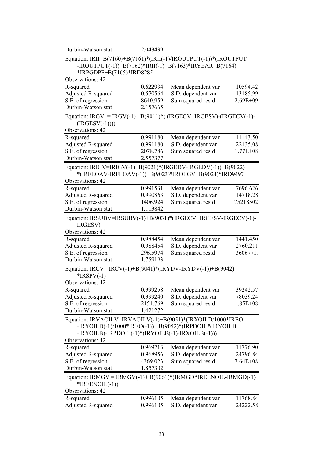| Durbin-Watson stat                                                                                                                                                         | 2.043439 |                                                        |              |  |  |  |  |  |  |
|----------------------------------------------------------------------------------------------------------------------------------------------------------------------------|----------|--------------------------------------------------------|--------------|--|--|--|--|--|--|
| Equation: IRII=B(7160)+B(7161)*(IRII(-1)/IROUTPUT(-1))*(IROUTPUT<br>-IROUTPUT(-1))+B(7162)*IRII(-1)+B(7163)*IRYEAR+B(7164)<br>*IRPGDPF+B(7165)*IRD8285<br>Observations: 42 |          |                                                        |              |  |  |  |  |  |  |
|                                                                                                                                                                            |          |                                                        |              |  |  |  |  |  |  |
| R-squared                                                                                                                                                                  | 0.622934 | Mean dependent var                                     | 10594.42     |  |  |  |  |  |  |
| Adjusted R-squared                                                                                                                                                         | 0.570564 | S.D. dependent var                                     | 13185.99     |  |  |  |  |  |  |
| S.E. of regression<br>Durbin-Watson stat                                                                                                                                   | 8640.959 | Sum squared resid                                      | $2.69E + 09$ |  |  |  |  |  |  |
|                                                                                                                                                                            | 2.157665 |                                                        |              |  |  |  |  |  |  |
| Equation: IRGV = IRGV(-1)+ B(9011)*( (IRGECV+IRGESV)-(IRGECV(-1)-<br>$(IRGESV(-1))))$                                                                                      |          |                                                        |              |  |  |  |  |  |  |
| Observations: 42                                                                                                                                                           |          |                                                        |              |  |  |  |  |  |  |
| R-squared                                                                                                                                                                  | 0.991180 | Mean dependent var                                     | 11143.50     |  |  |  |  |  |  |
| Adjusted R-squared                                                                                                                                                         | 0.991180 | S.D. dependent var                                     | 22135.08     |  |  |  |  |  |  |
| S.E. of regression<br>Durbin-Watson stat                                                                                                                                   | 2078.786 | Sum squared resid                                      | $1.77E + 08$ |  |  |  |  |  |  |
|                                                                                                                                                                            | 2.557377 |                                                        |              |  |  |  |  |  |  |
| Equation: IRIGV=IRIGV(-1)+B(9021)*(IRGEDV-IRGEDV(-1))+B(9022)                                                                                                              |          |                                                        |              |  |  |  |  |  |  |
|                                                                                                                                                                            |          | *(IRFEOAV-IRFEOAV(-1))+B(9023)*IROLGV+B(9024)*IRD9497  |              |  |  |  |  |  |  |
| Observations: 42                                                                                                                                                           |          |                                                        |              |  |  |  |  |  |  |
| R-squared                                                                                                                                                                  | 0.991531 | Mean dependent var                                     | 7696.626     |  |  |  |  |  |  |
| Adjusted R-squared                                                                                                                                                         | 0.990863 | S.D. dependent var                                     | 14718.28     |  |  |  |  |  |  |
| S.E. of regression                                                                                                                                                         | 1406.924 | Sum squared resid                                      | 75218502     |  |  |  |  |  |  |
| Durbin-Watson stat                                                                                                                                                         | 1.113842 |                                                        |              |  |  |  |  |  |  |
| Equation: IRSUBV=IRSUBV(-1)+B(9031)*(IRGECV+IRGESV-IRGECV(-1)-<br>IRGESV)                                                                                                  |          |                                                        |              |  |  |  |  |  |  |
| Observations: 42                                                                                                                                                           |          |                                                        |              |  |  |  |  |  |  |
| R-squared                                                                                                                                                                  | 0.988454 | Mean dependent var                                     | 1441.450     |  |  |  |  |  |  |
| <b>Adjusted R-squared</b>                                                                                                                                                  | 0.988454 | S.D. dependent var                                     | 2760.211     |  |  |  |  |  |  |
| S.E. of regression                                                                                                                                                         | 296.5974 | Sum squared resid                                      | 3606771.     |  |  |  |  |  |  |
| Durbin-Watson stat                                                                                                                                                         | 1.759193 |                                                        |              |  |  |  |  |  |  |
| Equation: IRCV =IRCV(-1)+B(9041)*(IRYDV-IRYDV(-1))+B(9042)<br>$*$ IRSPV $(-1)$<br>Observations: 42                                                                         |          |                                                        |              |  |  |  |  |  |  |
| R-squared                                                                                                                                                                  | 0.999258 | Mean dependent var                                     | 39242.57     |  |  |  |  |  |  |
| Adjusted R-squared                                                                                                                                                         | 0.999240 | S.D. dependent var                                     | 78039.24     |  |  |  |  |  |  |
| S.E. of regression                                                                                                                                                         | 2151.769 | Sum squared resid                                      | $1.85E + 08$ |  |  |  |  |  |  |
| Durbin-Watson stat                                                                                                                                                         | 1.421272 |                                                        |              |  |  |  |  |  |  |
| Equation: IRVAOILV=IRVAOILV(-1)+B(9051)*(IRXOILD/1000*IREO<br>-IRXOILB)-IRPDOIL(-1)*(IRYOILB(-1)-IRXOILB(-1)))                                                             |          | -IRXOILD(-1)/1000*IREO(-1)) +B(9052)*(IRPDOIL*(IRYOILB |              |  |  |  |  |  |  |
| Observations: 42                                                                                                                                                           |          |                                                        |              |  |  |  |  |  |  |
| R-squared                                                                                                                                                                  | 0.969713 | Mean dependent var                                     | 11776.90     |  |  |  |  |  |  |
| Adjusted R-squared                                                                                                                                                         | 0.968956 | S.D. dependent var                                     | 24796.84     |  |  |  |  |  |  |
| S.E. of regression                                                                                                                                                         | 4369.023 | Sum squared resid                                      | $7.64E + 08$ |  |  |  |  |  |  |
| Durbin-Watson stat                                                                                                                                                         | 1.857302 |                                                        |              |  |  |  |  |  |  |
| Equation: IRMGV = IRMGV(-1)+ B(9061)*(IRMGD*IREENOIL-IRMGD(-1)<br>$*IREENOLL(-1))$                                                                                         |          |                                                        |              |  |  |  |  |  |  |
| Observations: 42                                                                                                                                                           |          |                                                        |              |  |  |  |  |  |  |
| R-squared                                                                                                                                                                  | 0.996105 | Mean dependent var                                     | 11768.84     |  |  |  |  |  |  |
| Adjusted R-squared                                                                                                                                                         | 0.996105 | S.D. dependent var                                     | 24222.58     |  |  |  |  |  |  |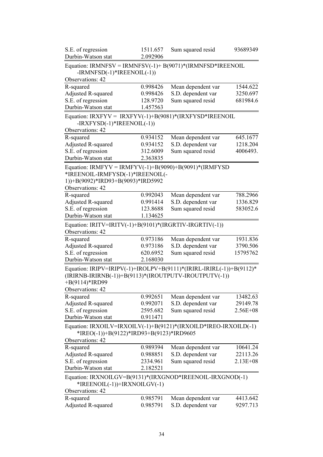| S.E. of regression<br>Durbin-Watson stat                            | 1511.657             | Sum squared resid  | 93689349     |
|---------------------------------------------------------------------|----------------------|--------------------|--------------|
|                                                                     | 2.092906             |                    |              |
| Equation: IRMNFSV = IRMNFSV(-1)+ B(9071)*(IRMNFSD*IREENOIL          |                      |                    |              |
| $-IRMNFSD(-1)*IREENOLL(-1))$<br>Observations: 42                    |                      |                    |              |
|                                                                     |                      |                    |              |
| R-squared                                                           | 0.998426             | Mean dependent var | 1544.622     |
| Adjusted R-squared                                                  | 0.998426             | S.D. dependent var | 3250.697     |
| S.E. of regression<br>Durbin-Watson stat                            | 128.9720<br>1.457563 | Sum squared resid  | 681984.6     |
|                                                                     |                      |                    |              |
| Equation: IRXFYV = IRXFYV(-1)+B(9081)*(IRXFYSD*IREENOIL             |                      |                    |              |
| $-IRXFYSD(-1)*IREENOIL(-1))$                                        |                      |                    |              |
| Observations: 42                                                    |                      |                    |              |
| R-squared                                                           | 0.934152             | Mean dependent var | 645.1677     |
| Adjusted R-squared                                                  | 0.934152             | S.D. dependent var | 1218.204     |
| S.E. of regression                                                  | 312.6009             | Sum squared resid  | 4006493.     |
| Durbin-Watson stat                                                  | 2.363835             |                    |              |
| Equation: IRMFYV = IRMFYV(-1)+B(9090)+B(9091)*(IRMFYSD              |                      |                    |              |
| *IREENOIL-IRMFYSD(-1)*IREENOIL(-                                    |                      |                    |              |
| 1))+B(9092)*IRD93+B(9093)*IRD5992                                   |                      |                    |              |
| Observations: 42                                                    |                      |                    |              |
| R-squared                                                           | 0.992043             | Mean dependent var | 788.2966     |
| Adjusted R-squared                                                  | 0.991414             | S.D. dependent var | 1336.829     |
| S.E. of regression                                                  | 123.8688             | Sum squared resid  | 583052.6     |
| Durbin-Watson stat                                                  | 1.134625             |                    |              |
| Equation: IRITV=IRITV(-1)+B(9101)*(IRGRTIV-IRGRTIV(-1))             |                      |                    |              |
| Observations: 42                                                    |                      |                    |              |
| R-squared                                                           | 0.973186             | Mean dependent var | 1931.836     |
| Adjusted R-squared                                                  | 0.973186             | S.D. dependent var | 3790.506     |
| S.E. of regression                                                  | 620.6952             | Sum squared resid  | 15795762     |
| Durbin-Watson stat                                                  | 2.168030             |                    |              |
| Equation: IRIPV=IRIPV(-1)+IROLPV+B(9111)*(IRIRL-IRIRL(-1))+B(9112)* |                      |                    |              |
| (IRIRNB-IRIRNB(-1))+B(9113)*(IROUTPUTV-IROUTPUTV(-1))               |                      |                    |              |
| $+B(9114)*$ IRD99                                                   |                      |                    |              |
| Observations: 42                                                    |                      |                    |              |
| R-squared                                                           | 0.992651             | Mean dependent var | 13482.63     |
| Adjusted R-squared                                                  | 0.992071             | S.D. dependent var | 29149.78     |
| S.E. of regression                                                  | 2595.682             | Sum squared resid  | $2.56E + 08$ |
| Durbin-Watson stat                                                  | 0.911471             |                    |              |
| Equation: IRXOILV=IRXOILV(-1)+B(9121)*(IRXOILD*IREO-IRXOILD(-1)     |                      |                    |              |
| *IREO(-1))+B(9122)*IRD93+B(9123)*IRD9605                            |                      |                    |              |
| Observations: 42                                                    |                      |                    |              |
| R-squared                                                           | 0.989394             | Mean dependent var | 10641.24     |
| Adjusted R-squared                                                  | 0.988851             | S.D. dependent var | 22113.26     |
| S.E. of regression                                                  | 2334.961             | Sum squared resid  | $2.13E + 08$ |
| Durbin-Watson stat                                                  | 2.182521             |                    |              |
|                                                                     |                      |                    |              |
| Equation: IRXNOILGV=B(9131)*(IRXGNOD*IREENOIL-IRXGNOD(-1)           |                      |                    |              |
| *IREENOIL(-1))+IRXNOILGV(-1)                                        |                      |                    |              |
| Observations: 42                                                    |                      |                    |              |
| R-squared                                                           | 0.985791             | Mean dependent var | 4413.642     |
| Adjusted R-squared                                                  | 0.985791             | S.D. dependent var | 9297.713     |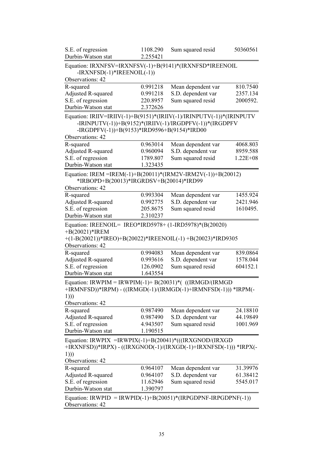| 2.255421<br>$-IRXNFSD(-1)*IREENOIL(-1))$<br>0.991218<br>0.991218<br>220.8957<br>2.372626 | Equation: IRXNFSV=IRXNFSV(-1)+B(9141)*(IRXNFSD*IREENOIL<br>Mean dependent var<br>S.D. dependent var<br>Sum squared resid | 810.7540                                                                                                                                                                                                                                                                      |
|------------------------------------------------------------------------------------------|--------------------------------------------------------------------------------------------------------------------------|-------------------------------------------------------------------------------------------------------------------------------------------------------------------------------------------------------------------------------------------------------------------------------|
|                                                                                          |                                                                                                                          |                                                                                                                                                                                                                                                                               |
|                                                                                          |                                                                                                                          |                                                                                                                                                                                                                                                                               |
|                                                                                          |                                                                                                                          |                                                                                                                                                                                                                                                                               |
|                                                                                          |                                                                                                                          |                                                                                                                                                                                                                                                                               |
|                                                                                          |                                                                                                                          | 2357.134<br>2000592.                                                                                                                                                                                                                                                          |
|                                                                                          |                                                                                                                          |                                                                                                                                                                                                                                                                               |
|                                                                                          | Equation: IRIIV=IRIIV(-1)+B(9151)*(IRIIV(-1)/IRINPUTV(-1))*(IRINPUTV                                                     |                                                                                                                                                                                                                                                                               |
|                                                                                          | -IRINPUTV(-1))+B(9152)*(IRIIV(-1)/IRGDPFV(-1))*(IRGDPFV                                                                  |                                                                                                                                                                                                                                                                               |
|                                                                                          | -IRGDPFV(-1))+B(9153)*IRD9596+B(9154)*IRD00                                                                              |                                                                                                                                                                                                                                                                               |
|                                                                                          |                                                                                                                          |                                                                                                                                                                                                                                                                               |
| 0.963014                                                                                 | Mean dependent var                                                                                                       | 4068.803                                                                                                                                                                                                                                                                      |
| 0.960094                                                                                 | S.D. dependent var                                                                                                       | 8959.588                                                                                                                                                                                                                                                                      |
| 1789.807                                                                                 | Sum squared resid                                                                                                        | $1.22E + 08$                                                                                                                                                                                                                                                                  |
| 1.323435                                                                                 |                                                                                                                          |                                                                                                                                                                                                                                                                               |
|                                                                                          |                                                                                                                          |                                                                                                                                                                                                                                                                               |
|                                                                                          |                                                                                                                          |                                                                                                                                                                                                                                                                               |
|                                                                                          |                                                                                                                          |                                                                                                                                                                                                                                                                               |
| 0.993304                                                                                 | Mean dependent var                                                                                                       | 1455.924                                                                                                                                                                                                                                                                      |
| 0.992775                                                                                 | S.D. dependent var                                                                                                       | 2421.946                                                                                                                                                                                                                                                                      |
| 205.8675                                                                                 | Sum squared resid                                                                                                        | 1610495.                                                                                                                                                                                                                                                                      |
|                                                                                          |                                                                                                                          |                                                                                                                                                                                                                                                                               |
|                                                                                          |                                                                                                                          |                                                                                                                                                                                                                                                                               |
|                                                                                          |                                                                                                                          | 839.0864<br>1578.044                                                                                                                                                                                                                                                          |
|                                                                                          | Sum squared resid                                                                                                        |                                                                                                                                                                                                                                                                               |
|                                                                                          |                                                                                                                          |                                                                                                                                                                                                                                                                               |
|                                                                                          |                                                                                                                          |                                                                                                                                                                                                                                                                               |
| 1.643554                                                                                 |                                                                                                                          | 604152.1                                                                                                                                                                                                                                                                      |
|                                                                                          | Equation: IRWPIM = IRWPIM(-1)+ B(20031)*( ((IRMGD/(IRMGD)                                                                |                                                                                                                                                                                                                                                                               |
|                                                                                          | +IRMNFSD))*IRPM) - ((IRMGD(-1)/(IRMGD(-1)+IRMNFSD(-1))) *IRPM(-                                                          |                                                                                                                                                                                                                                                                               |
|                                                                                          |                                                                                                                          |                                                                                                                                                                                                                                                                               |
|                                                                                          |                                                                                                                          |                                                                                                                                                                                                                                                                               |
| 0.987490                                                                                 | Mean dependent var                                                                                                       | 24.18810                                                                                                                                                                                                                                                                      |
| 0.987490<br>4.943507                                                                     | S.D. dependent var<br>Sum squared resid                                                                                  | 44.19849<br>1001.969                                                                                                                                                                                                                                                          |
|                                                                                          | 2.310237<br>0.994083<br>0.993616<br>126.0902                                                                             | Equation: IREM =IREM(-1)+B(20011)*(IRM2V-IRM2V(-1))+B(20012)<br>*IRBOPD+B(20013)*IRGRDSV+B(20014)*IRD99<br>Equation: IREENOIL= IREO*IRD5978+ (1-IRD5978)*(B(20020)<br>+(1-B(20021))*IREO)+B(20022)*IREENOIL(-1) +B(20023)*IRD9305<br>Mean dependent var<br>S.D. dependent var |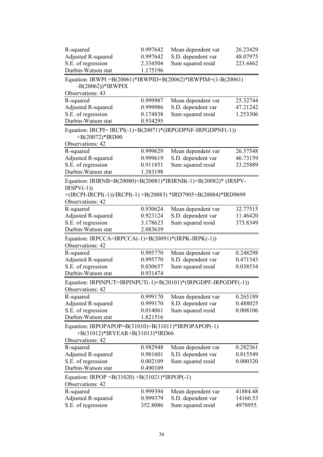| R-squared                                                                              | 0.997642             | Mean dependent var                      | 26.23429             |
|----------------------------------------------------------------------------------------|----------------------|-----------------------------------------|----------------------|
| <b>Adjusted R-squared</b>                                                              | 0.997642             | S.D. dependent var                      | 48.07975             |
| S.E. of regression                                                                     | 2.334504             | Sum squared resid                       | 223.4462             |
| Durbin-Watson stat                                                                     | 1.175196             |                                         |                      |
| Equation: IRWPI = B(20061)*IRWPID+B(20062)*IRWPIM+(1-B(20061)<br>$-B(20062))^*$ IRWPIX |                      |                                         |                      |
| Observations: 43                                                                       |                      |                                         |                      |
| R-squared                                                                              | 0.999987             | Mean dependent var                      | 25.32744             |
| Adjusted R-squared                                                                     | 0.999986             | S.D. dependent var                      | 47.21242             |
| S.E. of regression                                                                     | 0.174838             | Sum squared resid                       | 1.253306             |
| Durbin-Watson stat                                                                     | 0.934295             |                                         |                      |
| Equation: IRCPI= IRCPI(-1)+B(20071)*(IRPGDPNF-IRPGDPNF(-1))<br>+B(20072)*IRD00         |                      |                                         |                      |
| Observations: 42                                                                       |                      |                                         |                      |
| R-squared                                                                              | 0.999629             | Mean dependent var                      | 26.57548             |
| <b>Adjusted R-squared</b>                                                              | 0.999619             | S.D. dependent var                      | 46.73159             |
| S.E. of regression                                                                     | 0.911851             | Sum squared resid                       | 33.25889             |
| Durbin-Watson stat                                                                     | 1.383198             |                                         |                      |
| Equation: IRIRNB=B(20080)+B(20081)*IRIRNB(-1)+B(20082)* (IRSPV-                        |                      |                                         |                      |
| $IRSPV(-1))$                                                                           |                      |                                         |                      |
| +(IRCPI-IRCPI(-1))/IRCPI(-1) +B(20083) *IRD7905+B(20084)*IRD9699                       |                      |                                         |                      |
| Observations: 42                                                                       |                      |                                         |                      |
| R-squared                                                                              | 0.930624             | Mean dependent var                      | 32.77515             |
| Adjusted R-squared                                                                     | 0.923124             | S.D. dependent var                      | 11.46420             |
| S.E. of regression                                                                     | 3.178623             | Sum squared resid                       | 373.8349             |
| Durbin-Watson stat                                                                     | 2.083639             |                                         |                      |
| Equation: IRPCCA=IRPCCA(-1)+B(20091)*(IRPK-IRPK(-1))                                   |                      |                                         |                      |
| Observations: 42                                                                       |                      |                                         |                      |
| R-squared                                                                              | 0.995770             | Mean dependent var                      | 0.248298             |
| <b>Adjusted R-squared</b>                                                              | 0.995770             | S.D. dependent var                      | 0.471343             |
| S.E. of regression                                                                     | 0.030657             | Sum squared resid                       | 0.038534             |
| Durbin-Watson stat                                                                     | 0.931474             |                                         |                      |
| Equation: IRPINPUT=IRPINPUT(-1)+B(20101)*(IRPGDPF-IRPGDPF(-1))                         |                      |                                         |                      |
| Observations: 42                                                                       |                      |                                         |                      |
| R-squared                                                                              | 0.999170             | Mean dependent var                      | 0.265189             |
| <b>Adjusted R-squared</b>                                                              | 0.999170             | S.D. dependent var                      | 0.488025             |
| S.E. of regression                                                                     | 0.014061             | Sum squared resid                       | 0.008106             |
| Durbin-Watson stat                                                                     | 1.821516             |                                         |                      |
|                                                                                        |                      |                                         |                      |
| Equation: IRPOPAPOP=B(31010)+B(31011)*IRPOPAPOP(-1)<br>+B(31012)*IRYEAR+B(31013)*IRD66 |                      |                                         |                      |
| Observations: 42                                                                       |                      |                                         |                      |
| R-squared                                                                              | 0.982948             | Mean dependent var                      | 0.282361             |
| Adjusted R-squared<br>S.E. of regression                                               | 0.981601<br>0.002109 | S.D. dependent var<br>Sum squared resid | 0.015549<br>0.000320 |
| Durbin-Watson stat                                                                     | 0.490109             |                                         |                      |
|                                                                                        |                      |                                         |                      |
| Equation: IRPOP = $B(31020) + B(31021)$ *IRPOP(-1)                                     |                      |                                         |                      |
| Observations: 42                                                                       |                      |                                         |                      |
| R-squared                                                                              | 0.999394             | Mean dependent var                      | 41884.48             |
| <b>Adjusted R-squared</b>                                                              | 0.999379             | S.D. dependent var                      | 14160.53             |
| S.E. of regression                                                                     | 352.8086             | Sum squared resid                       | 4978955.             |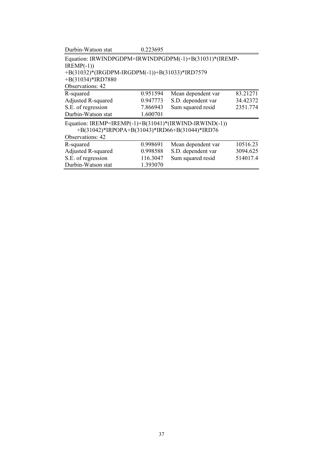| Durbin-Watson stat                                     | 0.223695                                               |                    |          |  |  |  |  |  |  |
|--------------------------------------------------------|--------------------------------------------------------|--------------------|----------|--|--|--|--|--|--|
|                                                        | Equation: IRWINDPGDPM=IRWINDPGDPM(-1)+B(31031)*(IREMP- |                    |          |  |  |  |  |  |  |
| $IREMP(-1))$                                           |                                                        |                    |          |  |  |  |  |  |  |
| +B(31032)*(IRGDPM-IRGDPM(-1))+B(31033)*IRD7579         |                                                        |                    |          |  |  |  |  |  |  |
|                                                        | $+B(31034)*IRD7880$                                    |                    |          |  |  |  |  |  |  |
| Observations: 42                                       |                                                        |                    |          |  |  |  |  |  |  |
| R-squared                                              | 0.951594                                               | Mean dependent var | 83.21271 |  |  |  |  |  |  |
| Adjusted R-squared                                     | 0.947773                                               | S.D. dependent var | 34.42372 |  |  |  |  |  |  |
| S.E. of regression                                     | 7.866943                                               | Sum squared resid  | 2351.774 |  |  |  |  |  |  |
| Durbin-Watson stat                                     | 1.600701                                               |                    |          |  |  |  |  |  |  |
| Equation: IREMP=IREMP(-1)+B(31041)*(IRWIND-IRWIND(-1)) |                                                        |                    |          |  |  |  |  |  |  |
| +B(31042)*IRPOPA+B(31043)*IRD66+B(31044)*IRD76         |                                                        |                    |          |  |  |  |  |  |  |
| Observations: 42                                       |                                                        |                    |          |  |  |  |  |  |  |
| R-squared                                              | 0.998691                                               | Mean dependent var | 10516.23 |  |  |  |  |  |  |
| Adjusted R-squared                                     | 0.998588                                               | S.D. dependent var | 3094.625 |  |  |  |  |  |  |
| S.E. of regression                                     | 116.3047                                               | Sum squared resid  | 514017.4 |  |  |  |  |  |  |
| Durbin-Watson stat                                     | 1.393070                                               |                    |          |  |  |  |  |  |  |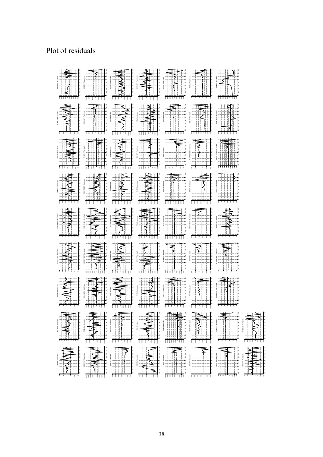## Plot of residuals

| <b>9</b> 9 9 9 9 9<br>IRVT RDC Res<br>ខុន្តន្ត្                       | .<br>-8<br>$-1$<br><b>Til</b><br>* } }<br>$_{\rm 600}$                                                                                                                                                                                                                                                                                                                                                                                     | WWW<br><b>9999999</b><br><b>IRVAOIL Residual</b><br>ŝ.<br>ĝ<br>â                                                                                                                                                                                                                                                                                                                                                            | $\mathbb{P}^+$<br>.<br>E.<br>IRVAOLV I<br>Ls.<br>វ<br>ī<br>$10000 +$<br>$\frac{1}{2}$<br>$\frac{1}{3}$                                                                                                                                                                                                                                                                                           | 珊<br>IRVIPIM Res<br>9 9 9 9<br>$+$<br>$\pm 1$<br>$\frac{1}{8}$<br>そきます                                                                                                                                                                                                                                                                                                                                                                                                                                                                                                                                                                     | .<br>IRKOILB Re<br>$\frac{1}{2}$                                                                                                                                                                                                                                                                                                                                                                                                  | $-1$<br>IRAZYVIV Residuals<br>$-{\frac{1}{2}}\,\, {\frac{1}{2}}\, {\frac{1}{2}}\, {\frac{1}{2}}\,$<br><b>THEFETH</b>                                                                             |   |
|-----------------------------------------------------------------------|--------------------------------------------------------------------------------------------------------------------------------------------------------------------------------------------------------------------------------------------------------------------------------------------------------------------------------------------------------------------------------------------------------------------------------------------|-----------------------------------------------------------------------------------------------------------------------------------------------------------------------------------------------------------------------------------------------------------------------------------------------------------------------------------------------------------------------------------------------------------------------------|--------------------------------------------------------------------------------------------------------------------------------------------------------------------------------------------------------------------------------------------------------------------------------------------------------------------------------------------------------------------------------------------------|--------------------------------------------------------------------------------------------------------------------------------------------------------------------------------------------------------------------------------------------------------------------------------------------------------------------------------------------------------------------------------------------------------------------------------------------------------------------------------------------------------------------------------------------------------------------------------------------------------------------------------------------|-----------------------------------------------------------------------------------------------------------------------------------------------------------------------------------------------------------------------------------------------------------------------------------------------------------------------------------------------------------------------------------------------------------------------------------|--------------------------------------------------------------------------------------------------------------------------------------------------------------------------------------------------|---|
| $\pm$ $\pm$<br>Ļs<br>Ļ8<br>-8<br>-8<br>-s<br>自自<br>$\hat{\mathbf{g}}$ | łв<br>≼<br>-s<br>-8<br>-g<br>$\frac{1}{2}$<br>$^{\circ}$ $^{\circ}$<br>ą.<br>ŝ                                                                                                                                                                                                                                                                                                                                                             | $\frac{1}{1}$<br>ំនុំ<br>$\frac{1}{2}$<br>$rac{1}{2}$<br>$600 -$                                                                                                                                                                                                                                                                                                                                                            | WWWW<br>₫.<br>å,<br>$\begin{matrix} 0 & 0 & 0 \\ 0 & 0 & 0 \\ 0 & 0 & 0 \\ 0 & 0 & 0 \\ 0 & 0 & 0 \\ 0 & 0 & 0 \\ 0 & 0 & 0 \\ 0 & 0 & 0 & 0 \\ 0 & 0 & 0 & 0 \\ 0 & 0 & 0 & 0 \\ 0 & 0 & 0 & 0 & 0 \\ 0 & 0 & 0 & 0 & 0 \\ 0 & 0 & 0 & 0 & 0 \\ 0 & 0 & 0 & 0 & 0 & 0 \\ 0 & 0 & 0 & 0 & 0 & 0 \\ 0 & 0 & 0 & 0 & 0 & 0 \\ 0 & 0 & 0 & 0 & 0 & 0$                                               | $\begin{picture}(180,10) \put(0,0){\line(1,0){100}} \put(10,0){\line(1,0){100}} \put(10,0){\line(1,0){100}} \put(10,0){\line(1,0){100}} \put(10,0){\line(1,0){100}} \put(10,0){\line(1,0){100}} \put(10,0){\line(1,0){100}} \put(10,0){\line(1,0){100}} \put(10,0){\line(1,0){100}} \put(10,0){\line(1,0){100}} \put(10,0){\line(1,0){100}}$<br>HER Research<br>$\begin{array}{ c c c c c c } \hline & - & - & - & - & - \\ \hline & - & - & - & - & - \\ \hline & - & - & - & - & - \\ \hline & - & - & - & - & - \\ \hline & - & - & - & - & - \\ \hline & - & - & - & - & - \\ \hline \end{array}$<br><b>11</b><br>$-988$<br>$\ddot{a}$ | $\sum_{i=1}^{\infty}$<br>- 18<br>- 18                                                                                                                                                                                                                                                                                                                                                                                             | $\prec$<br>$\begin{array}{c c} \hline \bullet & \bullet & \circ \\ \hline \bullet & \bullet & \circ \end{array}$<br>$\overline{a}$<br>i,<br>甫<br>-8<br>-8<br>$rac{1}{2}$ $rac{1}{2}$ $rac{1}{2}$ |   |
| $\frac{0}{5}$<br>88<br>$\frac{1}{2}$<br>88                            | $\begin{picture}(120,140)(-10,140) \put(10,140){\makebox(0,0){$\cdots$}} \put(10,140){\makebox(0,0){$\cdots$}} \put(10,140){\makebox(0,0){$\cdots$}} \put(10,140){\makebox(0,0){$\cdots$}} \put(10,140){\makebox(0,0){$\cdots$}} \put(10,140){\makebox(0,0){$\cdots$}} \put(10,140){\makebox(0,0){$\cdots$}} \put(10,140){\makebox(0,0){$\cdots$}} \put(10,140){\makebox(0$<br><b>IRGRTIV</b><br>a<br>ţ<br>$\mathbb{R}$<br>8888<br>$-8888$ | $\begin{picture}(20,10) \put(0,0){\line(1,0){10}} \put(15,0){\line(1,0){10}} \put(15,0){\line(1,0){10}} \put(15,0){\line(1,0){10}} \put(15,0){\line(1,0){10}} \put(15,0){\line(1,0){10}} \put(15,0){\line(1,0){10}} \put(15,0){\line(1,0){10}} \put(15,0){\line(1,0){10}} \put(15,0){\line(1,0){10}} \put(15,0){\line(1,0){10}} \put(15,0){\line(1$<br>.<br>4<br>ŧĐ<br>-8<br>e<br>$\mathbf{I}$<br>888<br>$^{\circ}$ 8 8 8 8 | ┼┤╌┣ <b>๏</b><br>╎┤╌┣๏<br>╎┤╌┣๏<br><u>╎┤</u> ╌┣╛<br>IRSUBV Residuals<br>-s<br>車<br>didi<br>÷ĭ.                                                                                                                                                                                                                                                                                                   | <b>THE</b><br><b>THE</b><br>19 19 19<br>$\frac{-1}{\frac{1}{8}+\frac{1}{8}}$<br>ą<br>à.                                                                                                                                                                                                                                                                                                                                                                                                                                                                                                                                                    | $\begin{picture}(180,10) \put(0,0){\line(1,0){10}} \put(10,0){\line(1,0){10}} \put(10,0){\line(1,0){10}} \put(10,0){\line(1,0){10}} \put(10,0){\line(1,0){10}} \put(10,0){\line(1,0){10}} \put(10,0){\line(1,0){10}} \put(10,0){\line(1,0){10}} \put(10,0){\line(1,0){10}} \put(10,0){\line(1,0){10}} \put(10,0){\line(1,0){10}} \put(10,0){\line($<br>E<br>$\sim$<br>$\frac{1}{8}$<br>$\ddot{\phantom{0}}$<br>ŝ.<br>ŝ<br>$200 -$ | $\frac{1}{2}$<br>-<br>-<br>-<br>ਟ<br>-+++<br>IRBOPEODC Residuals<br>‡‡<br>-8<br>$-$<br><b>THIL</b><br><b>A 4 4 4 4 5 6 9 6</b>                                                                   |   |
| INVAN<br>-s<br>$\frac{1}{2}$<br>ड़े है<br>$7200 +$                    | WWW<br>$\}$<br>-8<br>$\frac{1}{2}$<br>-8<br>ī<br>$rac{1}{2}$<br>$rac{3}{4}$                                                                                                                                                                                                                                                                                                                                                                | WWW.<br>H<br>6<br>2<br>2<br>-8<br>T<br>Ħ<br>$\frac{1}{2}$                                                                                                                                                                                                                                                                                                                                                                   | $\frac{1}{1+\epsilon}$<br>IRIGV<br>Ļ8<br>-s<br>$\overline{\mathbb{R}}$<br>$\frac{1}{2}$                                                                                                                                                                                                                                                                                                          | $\begin{array}{c} \begin{array}{c} \text{ } \\ \text{ } \\ \text{ } \\ \text{ } \\ \end{array} \end{array}$<br>$\mathbb{R}$<br>珊<br>19 (8 14)<br>11.<br>ŧ<br>Ħ<br>aidi<br>Ħ<br>ំនុំនុំនុំ<br>$\frac{1}{6}$                                                                                                                                                                                                                                                                                                                                                                                                                                 | 电卡<br>罪<br>$\frac{1}{2}$<br>9 9 9 9<br>RPOP <sub>Re</sub><br>-8<br>-11<br>ĦĦ<br>் ஜ்<br>ą                                                                                                                                                                                                                                                                                                                                         | IRXFYSD Residuals<br>다.<br>ļ<br>카레<br>$\frac{1}{8}$<br>है है है                                                                                                                                  |   |
| <b>1</b><br>Ţ<br>.<br>÷.                                              | łз<br>ţ.<br>-8<br>.<br>$\mathbb{R}$<br>$\frac{1}{\frac{1}{2}}$<br>$\frac{8}{3}$                                                                                                                                                                                                                                                                                                                                                            | $\left\langle \right\rangle$<br>-8<br>s<br>-8<br>$\sum$<br><b>TI</b><br>$\frac{1}{2}$                                                                                                                                                                                                                                                                                                                                       | $\mathbf{t}^*$<br>∰<br><b>ANY</b><br>ł.<br>Residuals<br>-s<br>-s<br>IRGV<br>n<br>R<br>Ħ<br>Ţ<br>$^{\circ}$ 8<br>$\frac{1}{3}$                                                                                                                                                                                                                                                                    |                                                                                                                                                                                                                                                                                                                                                                                                                                                                                                                                                                                                                                            | -8<br>-8<br>$\mathbb{H}^+$<br>-8<br>-8<br>Ħ<br>ą<br>ई<br>$rac{20}{3}$                                                                                                                                                                                                                                                                                                                                                             | l-s<br>Realdual<br><b>IRMFYSD</b>                                                                                                                                                                |   |
| .<br>$\Rightarrow$<br>-8                                              | $\begin{array}{c c} \hline \bullet & \bullet & \bullet \\ \hline \bullet & \bullet & \bullet \\ \hline \bullet & \bullet & \bullet \end{array}$<br>$\vec{R}$<br>-++<br>88888<br>ំខ្ញុំខ្ញុំ                                                                                                                                                                                                                                                | Residuals<br> -<br> <br>-8<br>$\blacksquare$<br>$\mathbf{I}$<br>II<br>$\begin{array}{c} \vdots \\ \vdots \\ \vdots \\ \vdots \end{array}$                                                                                                                                                                                                                                                                                   | $\begin{picture}(120,10) \put(0,0){\vector(1,0){100}} \put(15,0){\vector(1,0){100}} \put(15,0){\vector(1,0){100}} \put(15,0){\vector(1,0){100}} \put(15,0){\vector(1,0){100}} \put(15,0){\vector(1,0){100}} \put(15,0){\vector(1,0){100}} \put(15,0){\vector(1,0){100}} \put(15,0){\vector(1,0){100}} \put(15,0){\vector(1,0){100}} \put(15,0){\vector(1,0){100}}$<br>€<br>ıg.<br>p p<br>$= 100$ | $\begin{picture}(180,10) \put(0,0){\line(1,0){100}} \put(0,0){\line(1,0){100}} \put(0,0){\line(1,0){100}} \put(0,0){\line(1,0){100}} \put(0,0){\line(1,0){100}} \put(0,0){\line(1,0){100}} \put(0,0){\line(1,0){100}} \put(0,0){\line(1,0){100}} \put(0,0){\line(1,0){100}} \put(0,0){\line(1,0){100}} \put(0,0){\line(1,0){100}} \put(0,0){\line($<br>-8<br>.<br><br>韭<br>t 1 1 -<br><b>THE</b><br>8888                                                                                                                                                                                                                                   | ₽s<br>18<br>18<br>18<br>$\sim$<br>$\frac{1}{1}$<br>$\frac{1}{2}$<br>-8<br>-8<br>ा<br>â<br>ĝ<br>$rac{1}{2}$                                                                                                                                                                                                                                                                                                                        | $\frac{1}{\sqrt{2}}$<br>$\overline{\phantom{a}}$<br>$\overline{a}$<br>IRX/GNODOP Residuals<br>$\frac{1}{1}$<br>$\perp$                                                                           |   |
| $\mathbb{P}$<br>$\begin{matrix} 8 \\ 8 \\ 8 \end{matrix}$<br>6 2 4 9  | $\begin{picture}(120,15) \put(0,0){\line(1,0){15}} \put(15,0){\line(1,0){15}} \put(15,0){\line(1,0){15}} \put(15,0){\line(1,0){15}} \put(15,0){\line(1,0){15}} \put(15,0){\line(1,0){15}} \put(15,0){\line(1,0){15}} \put(15,0){\line(1,0){15}} \put(15,0){\line(1,0){15}} \put(15,0){\line(1,0){15}} \put(15,0){\line(1,0){15}} \put(15,0){\line($<br>十十<br>$\frac{1}{2}$<br>888                                                          | ╠<br>i i<br>ំនិទំនិទិ                                                                                                                                                                                                                                                                                                                                                                                                       | $\frac{1}{\sqrt{2}}$<br>IRXFY Re<br>-8<br>-12<br>Ls.<br>19888<br>F,                                                                                                                                                                                                                                                                                                                              | $\frac{1}{\sqrt{2}}$<br>8 9 9 9<br>÷.<br>шĻ<br>$- \frac{1}{2}$<br>888<br>$- 888$                                                                                                                                                                                                                                                                                                                                                                                                                                                                                                                                                           | $\mathbf{r}^*$<br>$\sqrt{ }$<br>-s<br>18 18 19<br>$\overline{\bullet}$<br>் 8                                                                                                                                                                                                                                                                                                                                                     | 建工<br>₹<br>Real dual s<br>과<br>RAXXXXPP<br>$\overline{\phantom{a}}$                                                                                                                              |   |
|                                                                       | 塐                                                                                                                                                                                                                                                                                                                                                                                                                                          |                                                                                                                                                                                                                                                                                                                                                                                                                             |                                                                                                                                                                                                                                                                                                                                                                                                  |                                                                                                                                                                                                                                                                                                                                                                                                                                                                                                                                                                                                                                            | $rac{1}{2}$                                                                                                                                                                                                                                                                                                                                                                                                                       |                                                                                                                                                                                                  |   |
|                                                                       | 12 12 12 12 12 12                                                                                                                                                                                                                                                                                                                                                                                                                          | $\overline{\mathbf{R}}$<br>-8<br>-8                                                                                                                                                                                                                                                                                                                                                                                         |                                                                                                                                                                                                                                                                                                                                                                                                  | ₹<br>#<br>9 9 9                                                                                                                                                                                                                                                                                                                                                                                                                                                                                                                                                                                                                            | ₹                                                                                                                                                                                                                                                                                                                                                                                                                                 | IRXNFSD Res                                                                                                                                                                                      | 彗 |

-10 -20 -30 -40 0 40 30 20 10

-10 -10 -10

15 10

-120 -40 -80 0 80 40 -10000 -15000 -20000 -5000 0 5000 20000 15000 10000 -1000 -2000 0 4000 3000 2000 1000 -1000 -2000 0 3000 2000 1000 -2000 -4000 -6000 0 8000 6000 4000 2000 10000 -1000 -2000 0 4000 3000 2000 1000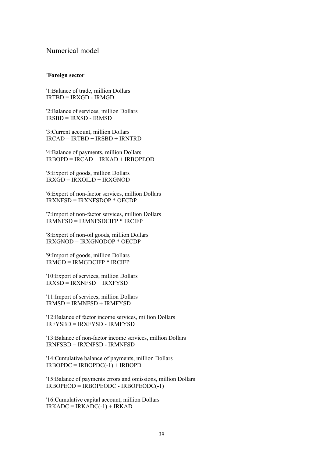### Numerical model

#### **'Foreign sector**

'1:Balance of trade, million Dollars IRTBD = IRXGD - IRMGD

'2:Balance of services, million Dollars IRSBD = IRXSD - IRMSD

'3:Current account, million Dollars IRCAD = IRTBD + IRSBD + IRNTRD

'4:Balance of payments, million Dollars  $IRBOPD = IRCAD + IRKAD + IRBOPEOD$ 

'5:Export of goods, million Dollars  $IRXGD = IRXOILD + IRXGNOD$ 

'6:Export of non-factor services, million Dollars IRXNFSD = IRXNFSDOP \* OECDP

'7:Import of non-factor services, million Dollars IRMNFSD = IRMNFSDCIFP \* IRCIFP

'8:Export of non-oil goods, million Dollars IRXGNOD = IRXGNODOP \* OECDP

'9:Import of goods, million Dollars IRMGD = IRMGDCIFP \* IRCIFP

'10:Export of services, million Dollars  $IRXSD = IRXNFSD + IRXFYSD$ 

'11:Import of services, million Dollars  $IRMSD = IRMNFSD + IRMFYSD$ 

'12:Balance of factor income services, million Dollars IRFYSBD = IRXFYSD - IRMFYSD

'13:Balance of non-factor income services, million Dollars IRNFSBD = IRXNFSD - IRMNFSD

'14:Cumulative balance of payments, million Dollars  $IRBOPDC = IRBOPDC(-1) + IRBOPD$ 

'15:Balance of payments errors and omissions, million Dollars  $IRBOPEOD = IRBOPEODC - IRBOPEODC(-1)$ 

'16:Cumulative capital account, million Dollars  $IRKADC = IRKADC(-1) + IRKAD$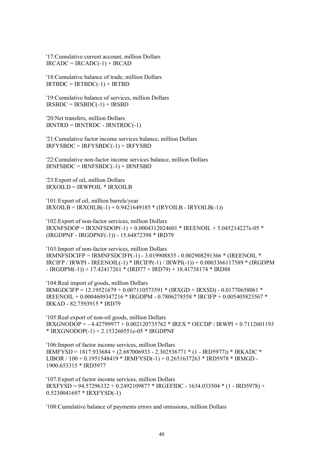'17:Cumulative current account, million Dollars  $IRCADC = IRCADC(-1) + IRCAD$ 

'18:Cumulative balance of trade, million Dollars  $IRTBDC = IRTBDC(-1) + IRTBD$ 

'19:Cumulative balance of services, million Dollars  $IRSBDC = IRSBDC(-1) + IRSBD$ 

'20:Net transfers, million Dollars  $IRNTRD = IRNTRDC - IRNTRDC(-1)$ 

'21:Cumulative factor income services balance, million Dollars IRFYSBDC = IRFYSBDC(-1) + IRFYSBD

'22:Cumulative non-factor income services balance, million Dollars IRNFSBDC = IRNFSBDC(-1) + IRNFSBD

'23:Export of oil, million Dollars IRXOILD = IRWPOIL \* IRXOILB

'101:Export of oil, million barrels/year  $IRXOLB = IRXOLB(-1) + 0.9421649185 * (IRYOLB - IRYOLB(-1))$ 

'102:Export of non-factor services, million Dollars IRXNFSDOP = IRXNFSDOP(-1) + 0.0004312024601 \* IREENOIL + 5.045214227e-05 \* (IRGDPNF - IRGDPNF(-1)) - 15.64872398 \* IRD79

'103:Import of non-factor services, million Dollars IRMNFSDCIFP = IRMNFSDCIFP(-1) - 3.019908835 - 0.002908291366 \* (IREENOIL \* IRCIFP / IRWPI - IREENOIL(-1) \* IRCIFP(-1) / IRWPI(-1)) + 0.0003366117589 \* (IRGDPM  $-$  IRGDPM(-1)) + 17.42417261 \* (IRD77 + IRD79) + 18.41738174 \* IRD88

'104:Real import of goods, million Dollars  $IRMGDCIFP = 12.19521679 + 0.007110573591 * (IRXGD + IRXSD) - 0.01770658061 *$ IREENOIL + 0.0004609347216 \* IRGDPM - 0.7806278558 \* IRCIFP + 0.005405823567 \* IRKAD - 82.7593915 \* IRD79

'105:Real export of non-oil goods, million Dollars IRXGNODOP = - 4.42799977 + 0.002120735762 \* IREX \* OECDP / IRWPI + 0.7112601193 \* IRXGNODOP(-1) + 2.153260551e-05 \* IRGDPNF

'106:Import of factor income services, million Dollars IRMFYSD = 1817.933684 + (2.687006933 - 2.302536771 \* (1 - IRD5977)) \* IRKADC \* LIBOR / 100 + 0.1951548419 \* IRMFYSD(-1) + 0.2651637263 \* IRD5978 \* IRMGD - 1900.653315 \* IRD5977

'107:Export of factor income services, million Dollars IRXFYSD = 94.57296332 + 0.2492109877 \* IRGEFIDC - 1634.033504 \* (1 - IRD5978) + 0.5230041697 \* IRXFYSD(-1)

'108:Cumulative balance of payments errors and omissions, million Dollars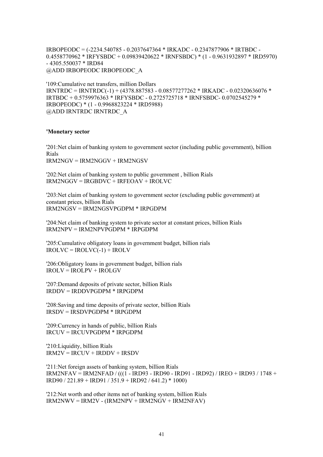IRBOPEODC = (-2234.540785 - 0.2037647364 \* IRKADC - 0.2347877906 \* IRTBDC - 0.4558770962 \* IRFYSBDC + 0.09839420622 \* IRNFSBDC) \* (1 - 0.9631932897 \* IRD5970) - 4305.550037 \* IRD84 @ADD IRBOPEODC IRBOPEODC\_A

'109:Cumulative net transfers, million Dollars IRNTRDC = IRNTRDC(-1) + (4378.887583 - 0.08577277262 \* IRKADC - 0.02320636076 \* IRTBDC + 0.5759976363 \* IRFYSBDC - 0.2725725718 \* IRNFSBDC- 0.0702545279 \* IRBOPEODC) \* (1 - 0.9968823224 \* IRD5988) @ADD IRNTRDC IRNTRDC\_A

#### **'Monetary sector**

'201:Net claim of banking system to government sector (including public government), billion Rials IRM2NGV = IRM2NGGV + IRM2NGSV

'202:Net claim of banking system to public government , billion Rials IRM2NGGV = IRGBDVC + IRFEOAV + IROLVC

'203:Net claim of banking system to government sector (excluding public government) at constant prices, billion Rials IRM2NGSV = IRM2NGSVPGDPM \* IRPGDPM

'204:Net claim of banking system to private sector at constant prices, billion Rials IRM2NPV = IRM2NPVPGDPM \* IRPGDPM

'205:Cumulative obligatory loans in government budget, billion rials  $IROLVC = IROLVC(-1) + IROLV$ 

'206:Obligatory loans in government budget, billion rials  $IROLV = IROLPV + IROLGV$ 

'207:Demand deposits of private sector, billion Rials IRDDV = IRDDVPGDPM \* IRPGDPM

'208:Saving and time deposits of private sector, billion Rials IRSDV = IRSDVPGDPM \* IRPGDPM

'209:Currency in hands of public, billion Rials IRCUV = IRCUVPGDPM \* IRPGDPM

'210:Liquidity, billion Rials  $IRM2V = IRCUV + IRDDV + IRSDV$ 

'211:Net foreign assets of banking system, billion Rials IRM2NFAV = IRM2NFAD / (((1 - IRD93 - IRD90 - IRD91 - IRD92) / IREO + IRD93 / 1748 + IRD90 / 221.89 + IRD91 / 351.9 + IRD92 / 641.2) \* 1000)

'212:Net worth and other items net of banking system, billion Rials  $IRM2NWV = IRM2V - (IRM2NPV + IRM2NGV + IRM2NFAV)$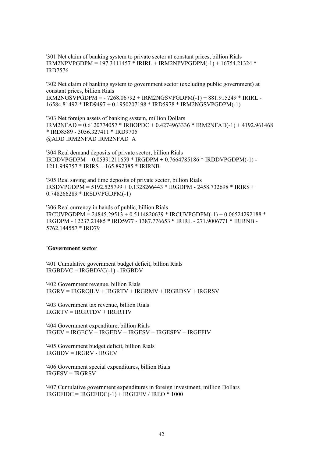'301:Net claim of banking system to private sector at constant prices, billion Rials  $IRM2NPVPGDPM = 197.3411457 * IRIRL + IRM2NPVPGDPM(-1) + 16754.21324 *$ IRD7576

'302:Net claim of banking system to government sector (excluding public government) at constant prices, billion Rials

IRM2NGSVPGDPM = - 7268.06792 + IRM2NGSVPGDPM(-1) + 881.915249 \* IRIRL - 16584.81492 \* IRD9497 + 0.1950207198 \* IRD5978 \* IRM2NGSVPGDPM(-1)

'303:Net foreign assets of banking system, million Dollars IRM2NFAD = 0.6120774057 \* IRBOPDC + 0.4274963336 \* IRM2NFAD(-1) + 4192.961468 \* IRD8589 - 3056.327411 \* IRD9705 @ADD IRM2NFAD IRM2NFAD\_A

'304:Real demand deposits of private sector, billion Rials  $IRDDVPGDPM = 0.05391211659 * IRGDPM + 0.7664785186 * IRDDVPGDPM(-1) -$ 1211.949757 \* IRIRS + 165.892385 \* IRIRNB

'305:Real saving and time deposits of private sector, billion Rials IRSDVPGDPM = 5192.525799 + 0.1328266443 \* IRGDPM - 2458.732698 \* IRIRS + 0.748266289 \* IRSDVPGDPM(-1)

'306:Real currency in hands of public, billion Rials  $IRCUVPGPPM = 24845.29513 + 0.5114820639 * IRCUVPGPPM(-1) + 0.06524292188 *$ IRGDPM - 12237.21485 \* IRD5977 - 1387.776653 \* IRIRL - 271.9006771 \* IRIRNB - 5762.144557 \* IRD79

#### **'Government sector**

'401:Cumulative government budget deficit, billion Rials IRGBDVC = IRGBDVC(-1) - IRGBDV

'402:Government revenue, billion Rials IRGRV = IRGROILV + IRGRTV + IRGRMV + IRGRDSV + IRGRSV

'403:Government tax revenue, billion Rials IRGRTV = IRGRTDV + IRGRTIV

'404:Government expenditure, billion Rials IRGEV = IRGECV + IRGEDV + IRGESV + IRGESPV + IRGEFIV

'405:Government budget deficit, billion Rials IRGBDV = IRGRV - IRGEV

'406:Government special expenditures, billion Rials IRGESV = IRGRSV

'407:Cumulative government expenditures in foreign investment, million Dollars  $IRGETDC = IRGETDC(-1) + IRGETIV / IREO * 1000$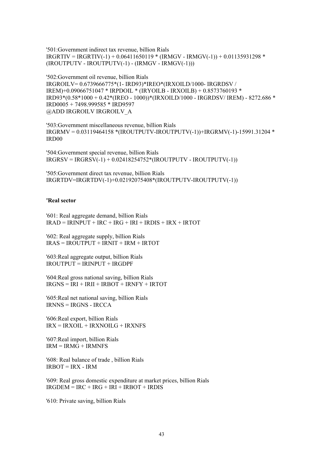'501:Government indirect tax revenue, billion Rials  $IRGRTIV = IRGRTIV(-1) + 0.06411650119 * (IRMGV - IRMGV(-1)) + 0.01135931298 *$ (IROUTPUTV - IROUTPUTV(-1) - (IRMGV - IRMGV(-1)))

'502:Government oil revenue, billion Rials IRGROILV= 0.6739666775\*(1- IRD93)\*IREO\*(IRXOILD/1000- IRGRDSV / IREM)+0.09066751047 \* IRPDOIL \* (IRYOILB - IRXOILB) + 0.8573760193 \* IRD93\*(0.58\*1000 + 0.42\*(IREO - 1000))\*(IRXOILD/1000 - IRGRDSV/ IREM) - 8272.686 \* IRD0005 + 7498.999585 \* IRD9597 @ADD IRGROILV IRGROILV\_A

'503:Government miscellaneous revenue, billion Rials IRGRMV = 0.03119464158 \*(IROUTPUTV-IROUTPUTV(-1))+IRGRMV(-1)-15991.31204 \* IRD00

'504:Government special revenue, billion Rials  $IRGRSV = IRGRSV(-1) + 0.02418254752*(IROUTPUTV - IROUTPUTV(-1)))$ 

'505:Government direct tax revenue, billion Rials IRGRTDV=IRGRTDV(-1)+0.02192075408\*(IROUTPUTV-IROUTPUTV(-1))

#### **'Real sector**

'601: Real aggregate demand, billion Rials  $IRAD = IRINPUT + IRC + IRG + IRI + IRDIS + IRX + IRTOT$ 

'602: Real aggregate supply, billion Rials  $IRAS = IROUTPIJT + IRNIT + IRM + IRTOT$ 

'603:Real aggregate output, billion Rials IROUTPUT = IRINPUT + IRGDPF

'604:Real gross national saving, billion Rials  $IRGNS = IRI + IRII + IRBOT + IRNFY + IRTOT$ 

'605:Real net national saving, billion Rials  $IRNNS = IRGNS - IRCCA$ 

'606:Real export, billion Rials  $IRX = IRXOL + IRXNOILG + IRXNFS$ 

'607:Real import, billion Rials  $IRM = IRMG + IRMNFS$ 

'608: Real balance of trade , billion Rials  $IRBOT = IRX - IRM$ 

'609: Real gross domestic expenditure at market prices, billion Rials  $IRGDEM = IRC + IRG + IRI + IRBOT + IRDIS$ 

'610: Private saving, billion Rials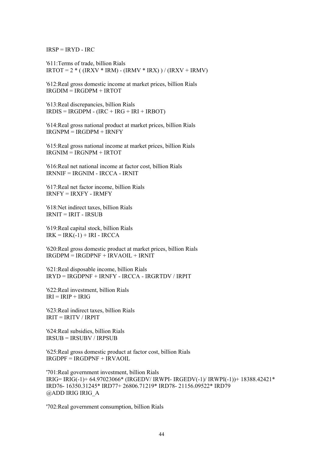$IRSP = IRYD - IRC$ 

'611:Terms of trade, billion Rials  $IRTOT = 2 * ( (IRXV * IRM) - (IRMV * IRX)) / (IRXV + IRMV)$ 

'612:Real gross domestic income at market prices, billion Rials IRGDIM = IRGDPM + IRTOT

'613:Real discrepancies, billion Rials  $IRDIS = IRGDPM - (IRC + IRG + IRI + IRBOT)$ 

'614:Real gross national product at market prices, billion Rials  $IRGNPM = IRGDPM + IRNFY$ 

'615:Real gross national income at market prices, billion Rials  $IRGNIM = IRGNPM + IRTOT$ 

'616:Real net national income at factor cost, billion Rials IRNNIF = IRGNIM - IRCCA - IRNIT

'617:Real net factor income, billion Rials  $IRNFY = IRXFY - IRMFY$ 

'618:Net indirect taxes, billion Rials IRNIT = IRIT - IRSUB

'619:Real capital stock, billion Rials  $IRK = IRK(-1) + IRI - IRCCA$ 

'620:Real gross domestic product at market prices, billion Rials  $IRGDPM = IRGDPNF + IRVAOIL + IRNIT$ 

'621:Real disposable income, billion Rials IRYD = IRGDPNF + IRNFY - IRCCA - IRGRTDV / IRPIT

'622:Real investment, billion Rials  $IRI = IRIP + IRIG$ 

'623:Real indirect taxes, billion Rials IRIT = IRITV / IRPIT

'624:Real subsidies, billion Rials IRSUB = IRSUBV / IRPSUB

'625:Real gross domestic product at factor cost, billion Rials IRGDPF = IRGDPNF + IRVAOIL

'701:Real government investment, billion Rials IRIG= IRIG(-1)+ 64.97023066\* (IRGEDV/ IRWPI- IRGEDV(-1)/ IRWPI(-1))+ 18388.42421\* IRD76- 16350.31245\* IRD77+ 26806.71219\* IRD78- 21156.09522\* IRD79 @ADD IRIG IRIG\_A

'702:Real government consumption, billion Rials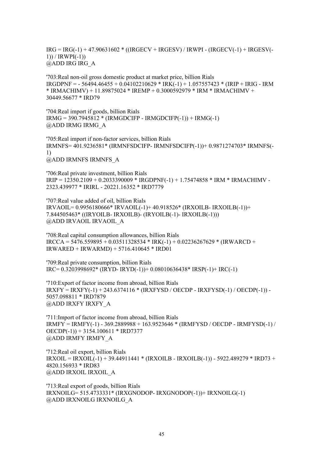IRG = IRG(-1) + 47.90631602 \* ((IRGECV + IRGESV) / IRWPI - (IRGECV(-1) + IRGESV(- 1)) / IRWPI(-1)) @ADD IRG IRG\_A

'703:Real non-oil gross domestic product at market price, billion Rials  $IRGDPNF = -56494.46455 + 0.04102210629 * IRK(-1) + 1.057557423 * (IRIP + IRIG - IRM)$  $*$  IRMACHIMV) + 11.89875024  $*$  IREMP + 0.3000592979  $*$  IRM  $*$  IRMACHIMV + 30449.56677 \* IRD79

'704:Real import if goods, billion Rials IRMG = 390.7945812 \* (IRMGDCIFP - IRMGDCIFP(-1)) + IRMG(-1) @ADD IRMG IRMG\_A

'705:Real import if non-factor services, billion Rials IRMNFS= 401.9236581\* (IRMNFSDCIFP- IRMNFSDCIFP(-1))+ 0.9871274703\* IRMNFS(- 1) @ADD IRMNFS IRMNFS\_A

'706:Real private investment, billion Rials IRIP = 12350.2109 + 0.2033390009 \* IRGDPNF(-1) + 1.75474858 \* IRM \* IRMACHIMV - 2323.439977 \* IRIRL - 20221.16352 \* IRD7779

'707:Real value added of oil, billion Rials IRVAOIL= 0.9956180666\* IRVAOIL(-1)+ 40.918526\* (IRXOILB- IRXOILB(-1))+ 7.844505463\* ((IRYOILB- IRXOILB)- (IRYOILB(-1)- IRXOILB(-1))) @ADD IRVAOIL IRVAOIL\_A

'708:Real capital consumption allowances, billion Rials  $IRCCA = 5476.559895 + 0.03511328534 * IRK(-1) + 0.02236267629 * (IRWARCD +$ IRWARED + IRWARMD) + 5716.410645 \* IRD01

'709:Real private consumption, billion Rials IRC= 0.3203998692\* (IRYD- IRYD(-1))+ 0.08010636438\* IRSP(-1)+ IRC(-1)

'710:Export of factor income from abroad, billion Rials IRXFY = IRXFY(-1) + 243.6374116 \* (IRXFYSD / OECDP - IRXFYSD(-1) / OECDP(-1)) - 5057.098811 \* IRD7879 @ADD IRXFY IRXFY\_A

'711:Import of factor income from abroad, billion Rials IRMFY = IRMFY(-1) - 369.2889988 + 163.9523646 \* (IRMFYSD / OECDP - IRMFYSD(-1) /  $OECDP(-1)$  + 3154.100611 \* IRD7377 @ADD IRMFY IRMFY\_A

'712:Real oil export, billion Rials  $IRXOIL = IRXOIL(-1) + 39.44911441 * (IRXOILB - IRXOILB(-1)) - 5922.489279 * IRD73 +$ 4820.156933 \* IRD83 @ADD IRXOIL IRXOIL\_A

'713:Real export of goods, billion Rials IRXNOILG= 515.4733331\* (IRXGNODOP- IRXGNODOP(-1))+ IRXNOILG(-1) @ADD IRXNOILG IRXNOILG\_A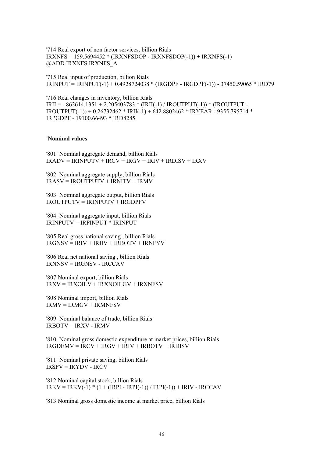'714:Real export of non factor services, billion Rials IRXNFS = 159.5694452 \* (IRXNFSDOP - IRXNFSDOP(-1)) + IRXNFS(-1) @ADD IRXNFS IRXNFS\_A

'715:Real input of production, billion Rials IRINPUT = IRINPUT(-1) + 0.4928724038 \* (IRGDPF - IRGDPF(-1)) - 37450.59065 \* IRD79

'716:Real changes in inventory, billion Rials  $IRII = -862614.1351 + 2.205403783 * (IRII(-1) / IROUTPUT(-1)) * (IROUTPUT -$ IROUTPUT(-1)) + 0.26732462 \* IRII(-1) + 642.8802462 \* IRYEAR - 9355.795714 \* IRPGDPF - 19100.66493 \* IRD8285

#### **'Nominal values**

'801: Nominal aggregate demand, billion Rials  $IRADV = IRINPUTV + IRCV + IRGV + IRIV + IRDISV + IRXV$ 

'802: Nominal aggregate supply, billion Rials  $IRASV = IROUTPUTV + IRNITY + IRMV$ 

'803: Nominal aggregate output, billion Rials  $IROLUTION = IRINPUTV + IRGDPFV$ 

'804: Nominal aggregate input, billion Rials IRINPUTV = IRPINPUT \* IRINPUT

'805:Real gross national saving , billion Rials  $IRGNSV = IRIV + IRIIV + IRBOTV + IRNFVV$ 

'806:Real net national saving , billion Rials IRNNSV = IRGNSV - IRCCAV

'807:Nominal export, billion Rials IRXV = IRXOILV + IRXNOILGV + IRXNFSV

'808:Nominal import, billion Rials  $IRMV = IRMGV + IRMNFSV$ 

'809: Nominal balance of trade, billion Rials IRBOTV = IRXV - IRMV

'810: Nominal gross domestic expenditure at market prices, billion Rials  $IRGDEMV = IRCV + IRGV + IRIV + IRBOTV + IRDISV$ 

'811: Nominal private saving, billion Rials  $IRSPV = IRYDV - IRCV$ 

'812:Nominal capital stock, billion Rials  $IRKV = IRKV(-1) * (1 + (IRPI - IRPI(-1)) / IRPI(-1)) + IRIV - IRCCAV$ 

'813:Nominal gross domestic income at market price, billion Rials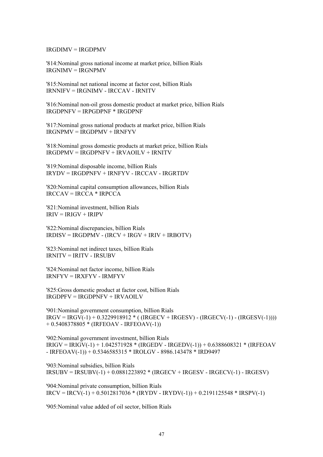IRGDIMV = IRGDPMV

'814:Nominal gross national income at market price, billion Rials IRGNIMV = IRGNPMV

'815:Nominal net national income at factor cost, billion Rials IRNNIFV = IRGNIMV - IRCCAV - IRNITV

'816:Nominal non-oil gross domestic product at market price, billion Rials IRGDPNFV = IRPGDPNF \* IRGDPNF

'817:Nominal gross national products at market price, billion Rials  $IRGNPMV = IRGDPMV + IRNFYV$ 

'818:Nominal gross domestic products at market price, billion Rials  $IRGDPMV = IRGDPNFV + IRVAOILV + IRNITY$ 

'819:Nominal disposable income, billion Rials IRYDV = IRGDPNFV + IRNFYV - IRCCAV - IRGRTDV

'820:Nominal capital consumption allowances, billion Rials  $IRCCAV = IRCCA * IRPCCA$ 

'821:Nominal investment, billion Rials  $IRIV = IRIGV + IRIPV$ 

'822:Nominal discrepancies, billion Rials  $IRDISV = IRGDPMV - (IRCV + IRGV + IRIV + IRBOTV)$ 

'823:Nominal net indirect taxes, billion Rials IRNITV = IRITV - IRSUBV

'824:Nominal net factor income, billion Rials IRNFYV = IRXFYV - IRMFYV

'825:Gross domestic product at factor cost, billion Rials  $IRGDPFV = IRGDPNFV + IRVAOILV$ 

'901:Nominal government consumption, billion Rials  $IRGV = IRGV(-1) + 0.3229918912 * ( (IRGECV + IRGESV) - (IRGECV(-1) - (IRGESV(-1))))$ + 0.5408378805 \* (IRFEOAV - IRFEOAV(-1))

'902:Nominal government investment, billion Rials  $IRIGV = IRIGV(-1) + 1.042571928 * (IRGEDV - IRGEDV(-1)) + 0.6388608321 * (IRFEOAV$ - IRFEOAV(-1)) + 0.5346585315 \* IROLGV - 8986.143478 \* IRD9497

'903:Nominal subsidies, billion Rials  $IRSUBV = IRSUBV(-1) + 0.0881223892 * (IRGECV + IRGESV - IRGECV(-1) - IRGESV)$ 

'904:Nominal private consumption, billion Rials  $IRCV = IRCV(-1) + 0.5012817036 * (IRYDV - IRYDV(-1)) + 0.2191125548 * IRSPV(-1)$ 

'905:Nominal value added of oil sector, billion Rials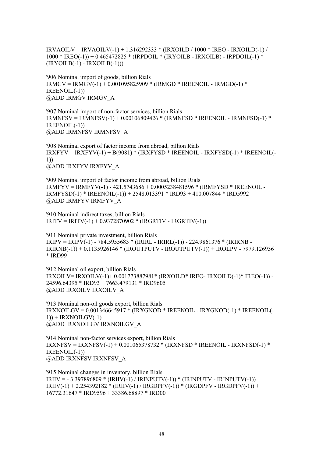IRVAOILV = IRVAOILV(-1) + 1.316292333 \* (IRXOILD / 1000 \* IREO - IRXOILD(-1) / 1000 \* IREO(-1)) + 0.465472825 \* (IRPDOIL \* (IRYOILB - IRXOILB) - IRPDOIL(-1) \*  $(IRYOLB(-1) - IRXOLB(-1)))$ 

'906:Nominal import of goods, billion Rials  $IRMGV = IRMGV(-1) + 0.001095825909 * (IRMGD * IREENOLL - IRMGD(-1) * )$ IREENOIL(-1)) @ADD IRMGV IRMGV\_A

'907:Nominal import of non-factor services, billion Rials  $IRMNFSV = IRMNFSV(-1) + 0.00106809426 * (IRMNFSD * IREENOLL - IRMNFSD(-1) * )$ IREENOIL(-1)) @ADD IRMNFSV IRMNFSV\_A

'908:Nominal export of factor income from abroad, billion Rials  $IRXFYV = IRXFYV(-1) + B(9081) * (IRXFYSD * IREENOLL - IRXFYSD(-1) * IREENOLL(-1))$ 1)) @ADD IRXFYV IRXFYV\_A

'909:Nominal import of factor income from abroad, billion Rials IRMFYV = IRMFYV(-1) - 421.5743686 + 0.0005238481596 \* (IRMFYSD \* IREENOIL - IRMFYSD(-1) \* IREENOIL(-1)) + 2548.013391 \* IRD93 + 410.007844 \* IRD5992 @ADD IRMFYV IRMFYV\_A

'910:Nominal indirect taxes, billion Rials IRITV = IRITV(-1) + 0.9372870902 \* (IRGRTIV - IRGRTIV(-1))

'911:Nominal private investment, billion Rials  $IRIPV = IRIPV(-1) - 784.5955683 * (IRIRL - IRIRL(-1)) - 224.9861376 * (IRIRNB -$ IRIRNB(-1)) + 0.1135926146 \* (IROUTPUTV - IROUTPUTV(-1)) + IROLPV - 7979.126936 \* IRD99

'912:Nominal oil export, billion Rials IRXOILV= IRXOILV(-1)+ 0.001773887981\* (IRXOILD\* IREO- IRXOILD(-1)\* IREO(-1)) - 24596.64395 \* IRD93 + 7663.479131 \* IRD9605 @ADD IRXOILV IRXOILV\_A

'913:Nominal non-oil goods export, billion Rials IRXNOILGV = 0.001346645917 \* (IRXGNOD \* IREENOIL - IRXGNOD(-1) \* IREENOIL(-  $1)$ ) + IRXNOILGV(-1) @ADD IRXNOILGV IRXNOILGV\_A

'914:Nominal non-factor services export, billion Rials IRXNFSV = IRXNFSV(-1) + 0.001065378732 \* (IRXNFSD \* IREENOIL - IRXNFSD(-1) \* IREENOIL(-1)) @ADD IRXNFSV IRXNFSV\_A

'915:Nominal changes in inventory, billion Rials  $IRIIV = -3.397896809 * (IRIIV(-1) / IRINPUTV(-1)) * (IRINPUTV - IRINPUTV(-1)) +$ IRIIV(-1) + 2.254392182 \* (IRIIV(-1) / IRGDPFV(-1)) \* (IRGDPFV - IRGDPFV(-1)) + 16772.31647 \* IRD9596 + 33386.68897 \* IRD00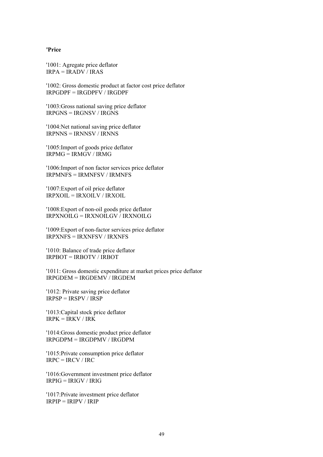#### **'Price**

'1001: Agregate price deflator IRPA = IRADV / IRAS

'1002: Gross domestic product at factor cost price deflator  $IRPGDPF = IRGDPFV / IRGDPF$ 

'1003:Gross national saving price deflator IRPGNS = IRGNSV / IRGNS

'1004:Net national saving price deflator IRPNNS = IRNNSV / IRNNS

'1005:Import of goods price deflator  $IRPMG = IRMGV / IRMG$ 

'1006:Import of non factor services price deflator IRPMNFS = IRMNFSV / IRMNFS

'1007:Export of oil price deflator  $IRPXOII = IRXOII.V / IRXOII$ 

'1008:Export of non-oil goods price deflator IRPXNOILG = IRXNOILGV / IRXNOILG

'1009:Export of non-factor services price deflator IRPXNFS = IRXNFSV / IRXNFS

'1010: Balance of trade price deflator IRPBOT = IRBOTV / IRBOT

'1011: Gross domestic expenditure at market prices price deflator IRPGDEM = IRGDEMV / IRGDEM

'1012: Private saving price deflator  $IRPSP = IRSPV / IRSP$ 

'1013:Capital stock price deflator  $IRPK = IRKV / IRK$ 

'1014:Gross domestic product price deflator IRPGDPM = IRGDPMV / IRGDPM

'1015:Private consumption price deflator  $IRPC = IRCV / IRC$ 

'1016:Government investment price deflator IRPIG = IRIGV / IRIG

'1017:Private investment price deflator IRPIP = IRIPV / IRIP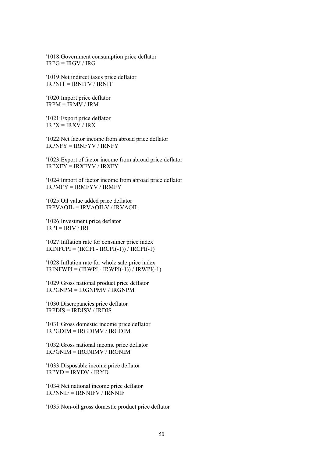'1018:Government consumption price deflator  $IRPG = IRGV / IRG$ 

'1019:Net indirect taxes price deflator IRPNIT = IRNITV / IRNIT

'1020:Import price deflator  $IRPM = IRMV / IRM$ 

'1021:Export price deflator  $IRPX = IRXY / IRX$ 

'1022:Net factor income from abroad price deflator IRPNFY = IRNFYV / IRNFY

'1023:Export of factor income from abroad price deflator IRPXFY = IRXFYV / IRXFY

'1024:Import of factor income from abroad price deflator IRPMFY = IRMFYV / IRMFY

'1025:Oil value added price deflator IRPVAOIL = IRVAOILV / IRVAOIL

'1026:Investment price deflator  $IRPI = IRIV / IRI$ 

'1027:Inflation rate for consumer price index  $IRINFCPI = (IRCPI - IRCPI(-1)) / IRCPI(-1)$ 

'1028:Inflation rate for whole sale price index  $IRINFWPI = (IRWPI - IRWPI(-1)) / IRWPI(-1)$ 

'1029:Gross national product price deflator  $IRPGNPM = IRGNPMV / IRGNPM$ 

'1030:Discrepancies price deflator IRPDIS = IRDISV / IRDIS

'1031:Gross domestic income price deflator IRPGDIM = IRGDIMV / IRGDIM

'1032:Gross national income price deflator IRPGNIM = IRGNIMV / IRGNIM

'1033:Disposable income price deflator  $IRPYD = IRYDV / IRYD$ 

'1034:Net national income price deflator  $IRPNNIF = IRNNIFV / IRNNIF$ 

'1035:Non-oil gross domestic product price deflator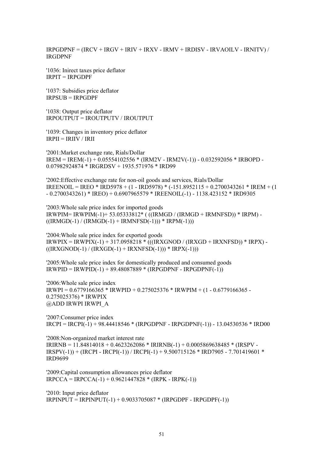IRPGDPNF = (IRCV + IRGV + IRIV + IRXV - IRMV + IRDISV - IRVAOILV - IRNITV) / IRGDPNF

'1036: Inirect taxes price deflator IRPIT = IRPGDPF

'1037: Subsidies price deflator IRPSUB = IRPGDPF

'1038: Output price deflator IRPOUTPUT = IROUTPUTV / IROUTPUT

'1039: Changes in inventory price deflator  $IRPII = IRIIV / IRII$ 

'2001:Market exchange rate, Rials/Dollar  $IREM = IREM(-1) + 0.05554102556 * (IRM2V - IRM2V(-1)) - 0.032592056 * IRBOPD -$ 0.07982924874 \* IRGRDSV + 1935.571976 \* IRD99

'2002:Effective exchange rate for non-oil goods and services, Rials/Dollar IREENOIL = IREO \* IRD5978 + (1 - IRD5978) \* (-151.8952115 + 0.2700343261 \* IREM + (1) - 0.2700343261) \* IREO) + 0.6907965579 \* IREENOIL(-1) - 1138.423152 \* IRD9305

'2003:Whole sale price index for imported goods IRWPIM= IRWPIM(-1)+ 53.05333812\* ( ((IRMGD / (IRMGD + IRMNFSD)) \* IRPM) -  $((IRMGD(-1) / (IRMGD(-1)) + IRMNFSD(-1))) * IRPM(-1)))$ 

'2004:Whole sale price index for exported goods  $IRWPIX = IRWPIX(-1) + 317.0958218 * (((IRXGNOD / (IRXGD + IRXNFSD)) * IRPX) ((IRXGNOD(-1) / (IRXGD(-1)) + IRXNFSD(-1))) * IRPX(-1)))$ 

'2005:Whole sale price index for domestically produced and consumed goods  $IRWPID = IRWPID(-1) + 89.48087889 * (IRPGDPNF - IRPGDPNF(-1))$ 

'2006:Whole sale price index  $IRWPI = 0.6779166365 * IRWPID + 0.275025376 * IRWPIM + (1 - 0.6779166365 -$ 0.275025376) \* IRWPIX @ADD IRWPI IRWPI\_A

'2007:Consumer price index IRCPI = IRCPI(-1) + 98.44418546 \* (IRPGDPNF - IRPGDPNF(-1)) - 13.04530536 \* IRD00

'2008:Non-organized market interest rate  $IRIRNB = 11.84814018 + 0.4623262086 * IRIRNB(-1) + 0.0005869638485 * (IRSPV IRSPV(-1)) + (IRCPI - IRCPI(-1)) / IRCPI(-1) + 9.500715126 * IRD7905 - 7.701419601 *$ IRD9699

'2009:Capital consumption allowances price deflator  $IRPCCA = IRPCCA(-1) + 0.9621447828 * (IRPK - IRPK(-1))$ 

'2010: Input price deflator  $IRPINPUT = IRPINPUT(-1) + 0.9033705087 * (IRPGDPF - IRPGDPF(-1))$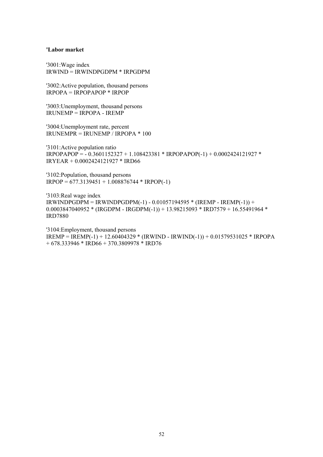#### **'Labor market**

'3001:Wage index IRWIND = IRWINDPGDPM \* IRPGDPM

'3002:Active population, thousand persons IRPOPA = IRPOPAPOP \* IRPOP

'3003:Unemployment, thousand persons  $IRUNEMP = IRPOPA - IREMP$ 

'3004:Unemployment rate, percent IRUNEMPR = IRUNEMP / IRPOPA \* 100

'3101:Active population ratio IRPOPAPOP = - 0.3601152327 + 1.108423381 \* IRPOPAPOP(-1) + 0.0002424121927 \* IRYEAR + 0.0002424121927 \* IRD66

'3102:Population, thousand persons  $IRPOP = 677.3139451 + 1.008876744 * IRPOP(-1)$ 

'3103:Real wage index  $IRWINDPGDPM = IRWINDPGDPM(-1) - 0.01057194595 * (IREMP - IREMP(-1)) +$  $0.0003847040952 * (IRGDPM - IRGDPM(-1)) + 13.98215093 * IRD7579 + 16.55491964 *$ IRD7880

'3104:Employment, thousand persons IREMP = IREMP(-1) + 12.60404329 \* (IRWIND - IRWIND(-1)) + 0.01579531025 \* IRPOPA  $+ 678.333946 * IRD66 + 370.3809978 * IRD76$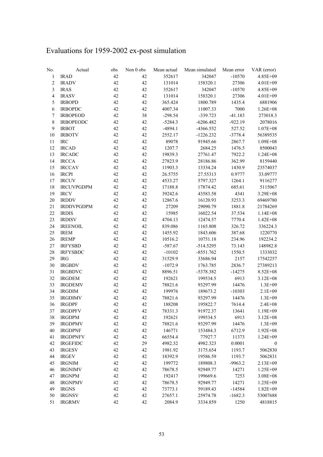# Evaluations for 1959-2002 ex-post simulation

| No.                      | Actual            | obs | Non 0 obs | Mean actual | Mean simulated | Mean error | VAR (error)      |
|--------------------------|-------------------|-----|-----------|-------------|----------------|------------|------------------|
| $\mathbf{1}$             | <b>IRAD</b>       | 42  | 42        | 352617      | 342047         | $-10570$   | 4.85E+09         |
| $\sqrt{2}$               | <b>IRADV</b>      | 42  | 42        | 131014      | 158320.1       | 27306      | $4.01E + 09$     |
| $\mathfrak{Z}$           | <b>IRAS</b>       | 42  | 42        | 352617      | 342047         | $-10570$   | 4.85E+09         |
| $\overline{\mathcal{A}}$ | <b>IRASV</b>      | 42  | 42        | 131014      | 158320.1       | 27306      | 4.01E+09         |
| 5                        | <b>IRBOPD</b>     | 42  | 42        | 365.424     | 1800.789       | 1435.4     | 6881906          |
| $\sqrt{6}$               | <b>IRBOPDC</b>    | 42  | 42        | 4007.34     | 11007.33       | 7000       | $1.26E + 08$     |
| $\tau$                   | <b>IRBOPEOD</b>   | 42  | 38        | $-298.54$   | $-339.723$     | $-41.183$  | 273018.3         |
| $\,8\,$                  | <b>IRBOPEODC</b>  | 42  | 42        | $-5284.3$   | $-6206.482$    | $-922.19$  | 2078016          |
| $\mathfrak{g}$           | <b>IRBOT</b>      | 42  | 42        | $-4894.1$   | -4366.552      | 527.52     | $1.07E + 08$     |
| $10\,$                   | <b>IRBOTV</b>     | 42  | 42        | 2552.17     | $-1226.232$    | $-3778.4$  | 56389535         |
| $11\,$                   | <b>IRC</b>        | 42  | 42        | 89078       | 91945.66       | 2867.7     | $1.09E + 08$     |
| 12                       | <b>IRCAD</b>      | 42  | 42        | 1207.7      | 2684.25        | 1476.5     | 8500043          |
| 13                       | <b>IRCADC</b>     | 42  | 42        | 19839.3     | 27761.47       | 7922.2     | $1.24E + 08$     |
| 14                       | <b>IRCCA</b>      | 42  | 42        | 27823.9     | 28186.86       | 362.99     | 8159440          |
| 15                       | <b>IRCCAV</b>     | 42  | 42        | 11903.3     | 13334.24       | 1430.9     | 23574037         |
| 16                       | <b>IRCPI</b>      | 42  | 42        | 26.5755     | 27.55313       | 0.9777     | 33.09777         |
| 17                       | <b>IRCUV</b>      | 42  | 42        | 4533.27     | 5797.327       | 1264.1     | 9116277          |
| 18                       | <b>IRCUVPGDPM</b> | 42  | 42        | 17188.8     | 17874.42       | 685.61     | 5115067          |
| 19                       | <b>IRCV</b>       | 42  | 42        | 39242.6     | 43583.58       | 4341       | 3.29E+08         |
| $20\,$                   | <b>IRDDV</b>      | 42  | 42        | 12867.6     | 16120.93       | 3253.3     | 69469780         |
| $21\,$                   | <b>IRDDVPGDPM</b> | 42  | 42        | 27209       | 29090.79       | 1881.8     | 21784269         |
| 22                       | <b>IRDIS</b>      | 42  | 42        | 15985       | 16022.54       | 37.534     | $1.14E + 08$     |
| 23                       | <b>IRDISV</b>     | 42  | 42        | 4704.13     | 12474.57       | 7770.4     | $1.42E + 08$     |
| 24                       | <b>IREENOIL</b>   | 42  | 42        | 839.086     | 1165.808       | 326.72     | 336224.3         |
| 25                       | <b>IREM</b>       | 42  | 42        | 1455.92     | 1843.606       | 387.68     | 1220770          |
| 26                       | <b>IREMP</b>      | 42  | 42        | 10516.2     | 10751.18       | 234.96     | 192234.2         |
| $27\,$                   | <b>IRFYSBD</b>    | 42  | 42        | $-587.67$   | $-514.5295$    | 73.143     | 148982.8         |
| 28                       | <b>IRFYSBDC</b>   | 42  | 42        | $-10102$    | $-8551.762$    | 1550.5     | 1333032          |
| 29                       | <b>IRG</b>        | 42  | 42        | 31529.9     | 33686.94       | 2157       | 17542257         |
| 30                       | <b>IRGBDV</b>     | 42  | 42        | $-1072.9$   | 1763.785       | 2836.7     | 27389213         |
| 31                       | <b>IRGBDVC</b>    | 42  | 42        | 8896.51     | -5378.382      | $-14275$   | 8.52E+08         |
| 32                       | <b>IRGDEM</b>     | 42  | 42        | 192621      | 199534.5       | 6913       | $3.12E + 08$     |
| 33                       | <b>IRGDEMV</b>    | 42  | 42        | 78821.6     | 93297.99       | 14476      | $1.3E + 09$      |
| 34                       | <b>IRGDIM</b>     | 42  | 42        | 199976      | 189673.2       | $-10303$   | $2.1E + 09$      |
| 35                       | <b>IRGDIMV</b>    | 42  | 42        | 78821.6     | 93297.99       | 14476      | $1.3E + 09$      |
| 36                       | <b>IRGDPF</b>     | 42  | 42        | 188208      | 195822.7       | 7614.4     | $2.4E + 08$      |
| 37                       | <b>IRGDPFV</b>    | 42  | 42        | 78331.3     | 91972.37       | 13641      | $1.19E + 09$     |
| 38                       | <b>IRGDPM</b>     | 42  | 42        | 192621      | 199534.5       | 6913       | $3.12E + 08$     |
| 39                       | <b>IRGDPMV</b>    | 42  | 42        | 78821.6     | 93297.99       | 14476      | $1.3E + 09$      |
| $40\,$                   | <b>IRGDPNF</b>    | 42  | 42        | 146771      | 153484.3       | 6712.9     | $1.92E + 08$     |
| 41                       | <b>IRGDPNFV</b>   | 42  | 42        | 66554.4     | 77927.7        | 11373      | 1.24E+09         |
| 42                       | <b>IRGEFIDC</b>   | 42  | 29        | 4982.32     | 4982.323       | 0.0001     | $\boldsymbol{0}$ |
| 43                       | <b>IRGESV</b>     | 42  | 42        | 1981.92     | 3175.654       | 1193.7     | 5062830          |
| 44                       | <b>IRGEV</b>      | 42  | 42        | 18392.9     | 19586.59       | 1193.7     | 5062831          |
| 45                       | <b>IRGNIM</b>     | 42  | 42        | 199772      | 189808.3       | $-9963.2$  | 2.13E+09         |
| 46                       | <b>IRGNIMV</b>    | 42  | 42        | 78678.5     | 92949.77       | 14271      | 1.25E+09         |
| 47                       | <b>IRGNPM</b>     | 42  | 42        | 192417      | 199669.6       | 7253       | $3.08E + 08$     |
| 48                       | <b>IRGNPMV</b>    | 42  | 42        | 78678.5     | 92949.77       | 14271      | 1.25E+09         |
| 49                       | <b>IRGNS</b>      | 42  | 42        | 73773.1     | 59189.43       | $-14584$   | $1.82E + 09$     |
| 50                       | <b>IRGNSV</b>     | 42  | 42        | 27657.1     | 25974.78       | $-1682.3$  | 53007688         |
| 51                       | <b>IRGRMV</b>     | 42  | 42        | 2084.9      | 3334.859       | 1250       | 4818815          |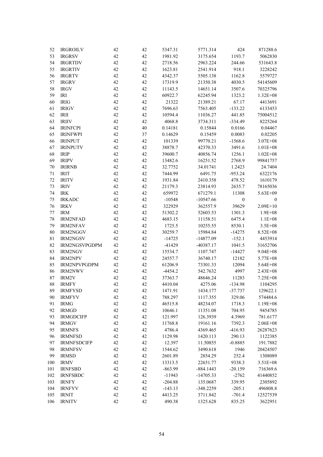| 52      | <b>IRGROILV</b>    | 42 | 42 | 5347.31   | 5771.314    | 424              | 871288.6     |
|---------|--------------------|----|----|-----------|-------------|------------------|--------------|
| 53      | <b>IRGRSV</b>      | 42 | 42 | 1981.92   | 3175.654    | 1193.7           | 5062830      |
| 54      | <b>IRGRTDV</b>     | 42 | 42 | 2718.56   | 2963.224    | 244.66           | 531643.8     |
| 55      | <b>IRGRTIV</b>     | 42 | 42 | 1623.81   | 2541.914    | 918.1            | 3228242      |
| 56      | <b>IRGRTV</b>      | 42 | 42 | 4342.37   | 5505.138    | 1162.8           | 5579727      |
| 57      | <b>IRGRV</b>       | 42 | 42 | 17319.9   | 21350.38    | 4030.5           | 54145609     |
| 58      | <b>IRGV</b>        | 42 | 42 | 11143.5   | 14651.14    | 3507.6           | 70325796     |
| 59      | IRI                | 42 | 42 | 60922.7   | 62245.94    | 1323.2           | $1.32E + 08$ |
| 60      | <b>IRIG</b>        | 42 | 42 | 21322     | 21389.21    | 67.17            | 4413691      |
| 61      | <b>IRIGV</b>       | 42 | 42 | 7696.63   | 7563.405    | $-133.22$        | 6133453      |
| 62      | IRII               | 42 | 42 | 10594.4   | 11036.27    | 441.85           | 75004512     |
| 63      | <b>IRIIV</b>       | 42 | 42 | 4068.8    | 3734.311    | $-334.49$        | 8225264      |
| 64      | <b>IRINFCPI</b>    | 42 | 40 | 0.14181   | 0.15844     | 0.0166           | 0.04467      |
| 65      | <b>IRINFWPI</b>    | 42 | 37 | 0.14629   | 0.15459     | 0.0083           | 0.02205      |
| 66      | <b>IRINPUT</b>     | 42 | 42 | 101339    | 99770.21    | $-1568.6$        | $3.07E + 08$ |
| 67      | <b>IRINPUTV</b>    | 42 | 42 | 38878.7   | 42370.33    | 3491.6           | $1.01E + 08$ |
| 68      | <b>IRIP</b>        | 42 | 42 | 39600.7   | 40856.74    | 1256.1           | $1.02E + 08$ |
| 69      | <b>IRIPV</b>       | 42 | 42 | 13482.6   | 16251.52    | 2768.9           | 99841757     |
| 70      | <b>IRIRNB</b>      | 42 | 42 | 32.7752   | 34.01741    | 1.2423           | 24.7404      |
| $71\,$  | <b>IRIT</b>        | 42 | 42 | 7444.99   | 6491.75     | $-953.24$        | 6322176      |
| 72      | <b>IRITV</b>       | 42 | 42 | 1931.84   | 2410.358    | 478.52           | 1610179      |
| 73      | <b>IRIV</b>        | 42 | 42 | 21179.3   | 23814.93    | 2635.7           | 78165036     |
| 74      | <b>IRK</b>         | 42 | 42 | 659972    | 671279.1    | 11308            | 5.63E+09     |
| 75      | <b>IRKADC</b>      | 42 | 42 | $-10548$  | $-10547.66$ | $\boldsymbol{0}$ | $\mathbf{0}$ |
| 76      | <b>IRKV</b>        | 42 | 42 | 322929    | 362557.9    | 39629            | $2.09E + 10$ |
| $77 \,$ | <b>IRM</b>         | 42 | 42 | 51302.2   | 52603.53    | 1301.3           | $1.9E + 08$  |
| 78      | <b>IRM2NFAD</b>    | 42 | 42 | 4683.15   | 11158.51    | 6475.4           | $1.1E + 08$  |
| 79      | <b>IRM2NFAV</b>    | 42 | 42 | 1725.5    | 10255.55    | 8530.1           | $3.5E + 08$  |
| 80      | IRM2NGGV           | 42 | 42 | 30259.7   | 15984.84    | $-14275$         | 8.52E+08     |
| 81      | <b>IRM2NGSV</b>    | 42 | 42 | $-14725$  | $-14877.09$ | $-152.1$         | 4453914      |
| 82      | IRM2NGSVPGDPM      | 42 | 42 | $-41429$  | -40387.17   | 1041.5           | 31652706     |
| 83      | <b>IRM2NGV</b>     | 42 | 42 | 15534.7   | 1107.747    | $-14427$         | $9.04E + 08$ |
| 84      | <b>IRM2NPV</b>     | 42 | 42 | 24557.7   | 36740.17    | 12182            | 5.77E+08     |
| 85      | IRM2NPVPGDPM       | 42 | 42 | 61206.9   | 73301.33    | 12094            | $5.64E + 08$ |
| 86      | <b>IRM2NWV</b>     | 42 | 42 | $-4454.2$ | 542.7632    | 4997             | $2.43E + 08$ |
| 87      | IRM2V              | 42 | 42 | 37363.7   | 48646.24    | 11283            | 7.25E+08     |
| 88      | <b>IRMFY</b>       | 42 | 42 | 4410.04   | 4275.06     | $-134.98$        | 1104295      |
| 89      | <b>IRMFYSD</b>     | 42 | 42 | 1471.91   | 1434.177    | $-37.737$        | 129622.1     |
| 90      | <b>IRMFYV</b>      | 42 | 42 | 788.297   | 1117.355    | 329.06           | 574484.6     |
| 91      | <b>IRMG</b>        | 42 | 42 | 46515.8   | 48234.07    | 1718.3           | 1.19E+08     |
| 92      | <b>IRMGD</b>       | 42 | 42 | 10646.1   | 11351.08    | 704.95           | 9454785      |
| 93      | <b>IRMGDCIFP</b>   | 42 | 42 | 121.997   | 126.3939    | 4.3969           | 781.6177     |
| 94      | <b>IRMGV</b>       | 42 | 42 | 11768.8   | 19161.16    | 7392.3           | $2.06E + 08$ |
| 95      | <b>IRMNFS</b>      | 42 | 42 | 4786.4    | 4369.465    | $-416.93$        | 26287623     |
| 96      | <b>IRMNFSD</b>     | 42 | 42 | 1129.98   | 1420.113    | 290.13           | 1122385      |
| 97      | <b>IRMNFSDCIFP</b> | 42 | 42 | 12.397    | 11.50855    | $-0.8885$        | 191.7882     |
| 98      | <b>IRMNFSV</b>     | 42 | 42 | 1544.62   | 3490.618    | 1946             | 20424507     |
| 99      | <b>IRMSD</b>       | 42 | 42 | 2601.89   | 2854.29     | 252.4            | 1308089      |
| 100     | <b>IRMV</b>        | 42 | 42 | 13313.5   | 22651.77    | 9338.3           | 3.51E+08     |
| 101     | <b>IRNFSBD</b>     | 42 | 42 | $-863.99$ | $-884.1443$ | $-20.159$        | 716369.6     |
| 102     | <b>IRNFSBDC</b>    | 42 | 42 | $-11943$  | $-14705.33$ | $-2762$          | 41440852     |
| 103     | <b>IRNFY</b>       | 42 | 42 | $-204.88$ | 135.0687    | 339.95           | 2305892      |
| 104     | <b>IRNFYV</b>      | 42 | 42 | $-143.13$ | -348.2259   | $-205.1$         | 496808.8     |
| 105     | <b>IRNIT</b>       | 42 | 42 | 4413.25   | 3711.842    | $-701.4$         | 12527539     |
| 106     | <b>IRNITV</b>      | 42 | 42 | 490.38    | 1325.628    | 835.25           | 3622951      |
|         |                    |    |    |           |             |                  |              |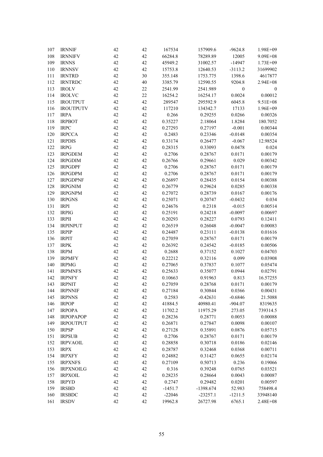| 107 | <b>IRNNIF</b>                   | 42 | 42 | 167534             | 157909.6           | $-9624.8$        | 1.98E+09     |
|-----|---------------------------------|----|----|--------------------|--------------------|------------------|--------------|
| 108 | <b>IRNNIFV</b>                  | 42 | 42 | 66284.8            | 78289.89           | 12005            | $9.09E + 08$ |
| 109 | <b>IRNNS</b>                    | 42 | 42 | 45949.2            | 31002.57           | $-14947$         | $1.73E + 09$ |
| 110 | <b>IRNNSV</b>                   | 42 | 42 | 15753.8            | 12640.53           | $-3113.2$        | 31699902     |
| 111 | <b>IRNTRD</b>                   | 42 | 30 | 355.148            | 1753.775           | 1398.6           | 4617877      |
| 112 | <b>IRNTRDC</b>                  | 42 | 40 | 3385.79            | 12590.55           | 9204.8           | 2.94E+08     |
| 113 | <b>IROLV</b>                    | 42 | 22 | 2541.99            | 2541.989           | $\boldsymbol{0}$ | $\mathbf{0}$ |
| 114 | <b>IROLVC</b>                   | 42 | 22 | 16254.2            | 16254.17           | 0.0024           | 0.00012      |
| 115 | <b>IROUTPUT</b>                 | 42 | 42 | 289547             | 295592.9           | 6045.8           | 9.51E+08     |
| 116 | <b>IROUTPUTV</b>                | 42 | 42 | 117210             | 134342.7           | 17133            | 1.96E+09     |
| 117 | <b>IRPA</b>                     | 42 | 42 | 0.266              | 0.29255            | 0.0266           | 0.00326      |
| 118 | <b>IRPBOT</b>                   | 42 | 42 | 0.35227            | 2.18064            | 1.8284           | 180.7052     |
| 119 | <b>IRPC</b>                     | 42 | 42 | 0.27293            | 0.27197            | $-0.001$         | 0.00344      |
| 120 | <b>IRPCCA</b>                   | 42 | 42 | 0.2483             | 0.23346            | $-0.0148$        | 0.00354      |
| 121 | <b>IRPDIS</b>                   | 42 | 42 | 0.33174            | 0.26477            | $-0.067$         | 12.98524     |
| 122 | <b>IRPG</b>                     | 42 | 42 | 0.28315            | 0.33093            | 0.0478           | 0.024        |
| 123 | <b>IRPGDEM</b>                  | 42 | 42 | 0.2706             | 0.28767            | 0.0171           | 0.00179      |
| 124 | <b>IRPGDIM</b>                  | 42 | 42 | 0.26766            | 0.29661            | 0.029            | 0.00342      |
| 125 | <b>IRPGDPF</b>                  | 42 | 42 | 0.2706             | 0.28767            | 0.0171           | 0.00179      |
| 126 | <b>IRPGDPM</b>                  | 42 | 42 | 0.2706             | 0.28767            | 0.0171           | 0.00179      |
| 127 | <b>IRPGDPNF</b>                 | 42 | 42 | 0.26897            | 0.28435            | 0.0154           | 0.00388      |
| 128 | <b>IRPGNIM</b>                  | 42 | 42 | 0.26779            | 0.29624            | 0.0285           | 0.00338      |
| 129 | <b>IRPGNPM</b>                  | 42 | 42 | 0.27072            | 0.28739            | 0.0167           | 0.00176      |
| 130 | <b>IRPGNS</b>                   | 42 | 42 | 0.25071            | 0.20747            | $-0.0432$        | 0.034        |
| 131 | <b>IRPI</b>                     | 42 | 42 | 0.24676            | 0.2318             | $-0.015$         | 0.00514      |
| 132 | <b>IRPIG</b>                    | 42 | 42 | 0.25191            | 0.24218            | $-0.0097$        | 0.00697      |
| 133 | <b>IRPII</b>                    | 42 | 42 | 0.20293            | 0.28227            | 0.0793           | 0.12411      |
| 134 | <b>IRPINPUT</b>                 | 42 | 42 | 0.26519            | 0.26048            | $-0.0047$        | 0.00083      |
| 135 | <b>IRPIP</b>                    | 42 | 42 | 0.24487            | 0.23111            | $-0.0138$        | 0.01616      |
| 136 | <b>IRPIT</b>                    | 42 | 42 | 0.27059            | 0.28767            | 0.0171           | 0.00179      |
| 137 | <b>IRPK</b>                     | 42 | 42 | 0.26392            | 0.24542            | $-0.0185$        | 0.00506      |
| 138 | <b>IRPM</b>                     | 42 | 42 | 0.2688             | 0.37152            | 0.1027           | 0.04703      |
| 139 | <b>IRPMFY</b>                   | 42 | 42 | 0.22212            | 0.32116            | 0.099            | 0.03908      |
| 140 | <b>IRPMG</b>                    | 42 | 42 | 0.27065            | 0.37837            | 0.1077           | 0.05474      |
| 141 | <b>IRPMNFS</b>                  | 42 | 42 | 0.25633            | 0.35077            | 0.0944           | 0.02791      |
| 142 | <b>IRPNFY</b>                   | 42 | 42 | 0.10663            | 0.91963            | 0.813            | 16.57255     |
| 143 | <b>IRPNIT</b>                   | 42 | 42 | 0.27059            | 0.28768            | 0.0171           | 0.00179      |
| 144 | <b>IRPNNIF</b>                  | 42 | 42 | 0.27184            | 0.30844            | 0.0366           | 0.00431      |
| 145 | <b>IRPNNS</b>                   | 42 | 42 | 0.2583             | $-0.42631$         | $-0.6846$        | 21.5088      |
| 146 | <b>IRPOP</b>                    | 42 | 42 | 41884.5            | 40980.41           | $-904.07$        | 8319635      |
| 147 | <b>IRPOPA</b>                   | 42 | 42 | 11702.2            | 11975.29           | 273.05           | 739314.5     |
| 148 | <b>IRPOPAPOP</b>                | 42 | 42 | 0.28236            | 0.28771            | 0.0053           | 0.00088      |
| 149 | <b>IRPOUTPUT</b>                | 42 | 42 | 0.26871            | 0.27847            | 0.0098           | 0.00107      |
| 150 | <b>IRPSP</b>                    | 42 | 42 | 0.27128            | 0.35891            | 0.0876           | 0.05715      |
| 151 | <b>IRPSUB</b>                   | 42 | 42 | 0.2706             | 0.28767            | 0.0171           | 0.00179      |
| 152 | <b>IRPVAOIL</b>                 | 42 | 42 | 0.28858            | 0.30718            | 0.0186           | 0.02146      |
| 153 | <b>IRPX</b>                     | 42 | 42 | 0.28787            | 0.32468            | 0.0368           | 0.00711      |
| 154 |                                 | 42 | 42 |                    |                    | 0.0655           | 0.02174      |
| 155 | <b>IRPXFY</b><br><b>IRPXNFS</b> | 42 | 42 | 0.24882<br>0.27109 | 0.31427<br>0.50713 | 0.236            | 0.19066      |
| 156 | <b>IRPXNOILG</b>                | 42 | 42 | 0.316              | 0.39248            | 0.0765           | 0.03521      |
| 157 | <b>IRPXOIL</b>                  | 42 | 42 | 0.28235            | 0.28664            | 0.0043           | 0.00087      |
| 158 | <b>IRPYD</b>                    | 42 | 42 | 0.2747             | 0.29482            | 0.0201           | 0.00597      |
| 159 |                                 | 42 | 42 |                    |                    | 52.983           | 758498.4     |
| 160 | <b>IRSBD</b>                    | 42 | 42 | $-1451.7$          | -1398.674          |                  | 33948140     |
|     | <b>IRSBDC</b>                   |    |    | $-22046$           | $-23257.1$         | $-1211.5$        |              |
| 161 | <b>IRSDV</b>                    | 42 | 42 | 19962.8            | 26727.98           | 6765.1           | 2.48E+08     |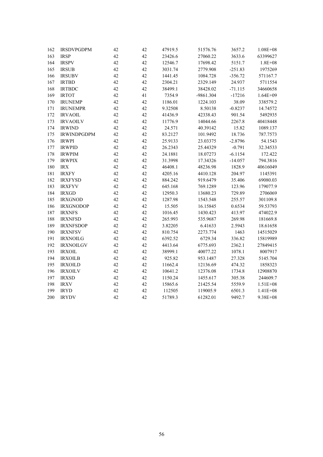| 162 | <b>IRSDVPGDPM</b>  | 42 | 42 | 47919.5 | 51576.76  | 3657.2    | $1.08E + 08$ |
|-----|--------------------|----|----|---------|-----------|-----------|--------------|
| 163 | <b>IRSP</b>        | 42 | 42 | 23426.6 | 27060.22  | 3633.6    | 63399627     |
| 164 | <b>IRSPV</b>       | 42 | 42 | 12546.7 | 17698.42  | 5151.7    | $1.8E + 08$  |
| 165 | <b>IRSUB</b>       | 42 | 42 | 3031.74 | 2779.908  | $-251.83$ | 1975269      |
| 166 | <b>IRSUBV</b>      | 42 | 42 | 1441.45 | 1084.728  | $-356.72$ | 571167.7     |
| 167 | <b>IRTBD</b>       | 42 | 42 | 2304.21 | 2329.149  | 24.937    | 5711554      |
| 168 | <b>IRTBDC</b>      | 42 | 42 | 38499.1 | 38428.02  | $-71.115$ | 34660658     |
| 169 | <b>IRTOT</b>       | 42 | 41 | 7354.9  | -9861.304 | $-17216$  | $1.64E + 09$ |
| 170 | <b>IRUNEMP</b>     | 42 | 42 | 1186.01 | 1224.103  | 38.09     | 338579.2     |
| 171 | <b>IRUNEMPR</b>    | 42 | 42 | 9.32508 | 8.50138   | $-0.8237$ | 14.74572     |
| 172 | <b>IRVAOIL</b>     | 42 | 42 | 41436.9 | 42338.43  | 901.54    | 5492935      |
| 173 | <b>IRVAOILV</b>    | 42 | 42 | 11776.9 | 14044.66  | 2267.8    | 40418448     |
| 174 | <b>IRWIND</b>      | 42 | 42 | 24.571  | 40.39142  | 15.82     | 1089.137     |
| 175 | <b>IRWINDPGDPM</b> | 42 | 42 | 83.2127 | 101.9492  | 18.736    | 787.7573     |
| 176 | <b>IRWPI</b>       | 42 | 42 | 25.9133 | 23.03375  | $-2.8796$ | 54.1543      |
| 177 | <b>IRWPID</b>      | 42 | 42 | 26.2343 | 25.44329  | $-0.791$  | 32.34533     |
| 178 | <b>IRWPIM</b>      | 42 | 42 | 24.1881 | 18.07273  | $-6.1154$ | 172.422      |
| 179 | <b>IRWPIX</b>      | 42 | 42 | 31.3998 | 17.34326  | $-14.057$ | 794.3816     |
| 180 | $\text{IRX}$       | 42 | 42 | 46408.1 | 48236.98  | 1828.9    | 40616049     |
| 181 | <b>IRXFY</b>       | 42 | 42 | 4205.16 | 4410.128  | 204.97    | 1145391      |
| 182 | <b>IRXFYSD</b>     | 42 | 42 | 884.242 | 919.6479  | 35.406    | 69080.03     |
| 183 | <b>IRXFYV</b>      | 42 | 42 | 645.168 | 769.1289  | 123.96    | 179077.9     |
| 184 | <b>IRXGD</b>       | 42 | 42 | 12950.3 | 13680.23  | 729.89    | 2706069      |
| 185 | <b>IRXGNOD</b>     | 42 | 42 | 1287.98 | 1543.548  | 255.57    | 301109.8     |
| 186 | <b>IRXGNODOP</b>   | 42 | 42 | 15.505  | 16.15845  | 0.6534    | 59.53793     |
| 187 | <b>IRXNFS</b>      | 42 | 42 | 1016.45 | 1430.423  | 413.97    | 474022.9     |
| 188 | <b>IRXNFSD</b>     | 42 | 42 | 265.993 | 535.9687  | 269.98    | 181669.8     |
| 189 | <b>IRXNFSDOP</b>   | 42 | 42 | 3.82205 | 6.41633   | 2.5943    | 18.61658     |
| 190 | <b>IRXNFSV</b>     | 42 | 42 | 810.754 | 2273.774  | 1463      | 14515029     |
| 191 | <b>IRXNOILG</b>    | 42 | 42 | 6392.52 | 6729.34   | 336.82    | 15819989     |
| 192 | <b>IRXNOILGV</b>   | 42 | 42 | 4413.64 | 6775.693  | 2362.1    | 27849415     |
| 193 | <b>IRXOIL</b>      | 42 | 42 | 38999.1 | 40077.22  | 1078.1    | 8007917      |
| 194 | <b>IRXOILB</b>     | 42 | 42 | 925.82  | 953.1487  | 27.328    | 5145.704     |
| 195 | <b>IRXOILD</b>     | 42 | 42 | 11662.4 | 12136.69  | 474.32    | 1858323      |
| 196 | <b>IRXOILV</b>     | 42 | 42 | 10641.2 | 12376.08  | 1734.8    | 12908870     |
| 197 | <b>IRXSD</b>       | 42 | 42 | 1150.24 | 1455.617  | 305.38    | 244609.7     |
| 198 | <b>IRXV</b>        | 42 | 42 | 15865.6 | 21425.54  | 5559.9    | 1.51E+08     |
| 199 | <b>IRYD</b>        | 42 | 42 | 112505  | 119005.9  | 6501.3    | $1.41E + 08$ |
| 200 | <b>IRYDV</b>       | 42 | 42 | 51789.3 | 61282.01  | 9492.7    | 9.38E+08     |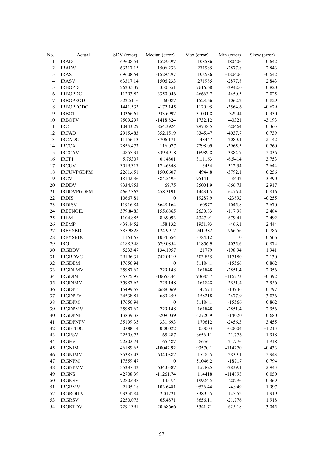| No.              | Actual            | SDV (error) | Median (error)              | Max (error)       | Min (error)           | Skew (error) |
|------------------|-------------------|-------------|-----------------------------|-------------------|-----------------------|--------------|
| $\mathbf{1}$     | <b>IRAD</b>       | 69608.54    | $-15295.97$                 | 108586            | $-180406$             | $-0.642$     |
| $\overline{c}$   | <b>IRADV</b>      | 63317.15    | 1506.233                    | 271985            | $-2877.8$             | 2.843        |
| $\mathfrak{Z}$   | <b>IRAS</b>       | 69608.54    | $-15295.97$                 | 108586            | $-180406$             | $-0.642$     |
| $\overline{4}$   | <b>IRASV</b>      | 63317.14    | 1506.233                    | 271985            | $-2877.8$             | 2.843        |
| 5                | <b>IRBOPD</b>     | 2623.339    | 350.551                     | 7616.68           | $-3942.6$             | 0.820        |
| $\epsilon$       | <b>IRBOPDC</b>    | 11203.82    | 3350.046                    | 46663.7           | $-4450.5$             | 2.025        |
| $\boldsymbol{7}$ | <b>IRBOPEOD</b>   | 522.5116    | $-1.60087$                  | 1523.66           | $-1062.2$             | 0.829        |
| $\,$ $\,$        | <b>IRBOPEODC</b>  | 1441.533    | $-172.145$                  | 1120.95           | $-3564.6$             | $-0.629$     |
| 9                | <b>IRBOT</b>      | 10366.61    | 933.6997                    | 31001.8           | $-32944$              | $-0.330$     |
| 10               | <b>IRBOTV</b>     | 7509.297    | $-1418.824$                 | 1732.12           | $-40321$              | $-3.193$     |
| $11\,$           | $\rm{IRC}$        | 10443.29    | 854.3924                    | 29738.5           | $-20464$              | 0.365        |
| 12               | <b>IRCAD</b>      | 2915.483    | 352.1519                    | 8345.47           | $-4037.7$             | 0.739        |
| 13               | <b>IRCADC</b>     | 11156.13    | 3706.171                    | 48447             | $-2080.1$             | 2.142        |
| 14               | <b>IRCCA</b>      | 2856.473    | 116.077                     | 7298.09           | $-3965.5$             | 0.760        |
| 15               | <b>IRCCAV</b>     | 4855.31     | -339.4918                   | 16989.8           | $-3884.7$             | 2.036        |
| 16               | <b>IRCPI</b>      | 5.75307     | 0.14801                     | 31.1163           | $-6.5414$             | 3.753        |
| 17               | <b>IRCUV</b>      | 3019.317    | 17.46348                    | 13434             | $-312.34$             | 2.644        |
| 18               | <b>IRCUVPGDPM</b> | 2261.651    | 150.0607                    | 4944.8            | $-3792.1$             | 0.256        |
| 19               | <b>IRCV</b>       | 18142.36    | 384.5495                    | 95141.1           | $-8642$               | 3.990        |
| $20\,$           | <b>IRDDV</b>      | 8334.853    | 69.75                       | 35001.9           | $-666.73$             | 2.917        |
| 21               | <b>IRDDVPGDPM</b> | 4667.362    | 458.3191                    | 14431.5           | $-6476.4$             | 0.816        |
| 22               | <b>IRDIS</b>      | 10667.81    | $\boldsymbol{0}$            | 19287.9           | -23892                | $-0.255$     |
| 23               | <b>IRDISV</b>     | 11916.84    | 3648.164                    | 60977             | $-1045.8$             | 2.670        |
| 24               | <b>IREENOIL</b>   | 579.8485    | 155.6865                    | 2630.83           | $-117.98$             | 2.484        |
| 25               | <b>IREM</b>       | 1104.885    | $-8.69093$                  | 4347.91           | $-679.41$             | 2.492        |
| 26               | <b>IREMP</b>      | 438.4452    | 158.132                     | 1951.93           | $-466.1$              | 2.444        |
| $27\,$           | <b>IRFYSBD</b>    | 385.9828    | 124.9912                    | 941.382           | $-966.56$             | $-0.786$     |
| 28               | <b>IRFYSBDC</b>   | 1154.57     | 1034.654                    | 3784.12           | $\boldsymbol{0}$      | 0.566        |
| 29               | $\rm IRG$         | 4188.348    | 679.0854                    | 11856.9           | $-4035.6$             | 0.874        |
| 30               | <b>IRGBDV</b>     | 5233.47     | 134.1957                    | 21779             | $-198.94$             | 1.941        |
| 31               | <b>IRGBDVC</b>    | 29196.31    | $-742.0119$                 | 303.835           | $-117180$             | $-2.130$     |
| 32               | <b>IRGDEM</b>     | 17656.94    | $\boldsymbol{0}$            | 51184.1           | $-15566$              | 0.862        |
| 33               | <b>IRGDEMV</b>    | 35987.62    | 729.148                     | 161848            | $-2851.4$             | 2.956        |
| 34               | <b>IRGDIM</b>     | 45775.92    | $-10658.44$                 | 93685.7           | $-116273$             | $-0.392$     |
| 35               | <b>IRGDIMV</b>    | 35987.62    | 729.148                     | 161848            | $-2851.4$             | 2.956        |
| 36               | <b>IRGDPF</b>     | 15499.57    | 2688.069                    | 47574             | $-13946$              | 0.797        |
| 37               | <b>IRGDPFV</b>    | 34538.81    | 689.459                     | 158218            | $-2477.9$             | 3.036        |
|                  |                   |             |                             |                   |                       |              |
| 38<br>39         | <b>IRGDPM</b>     | 17656.94    | $\boldsymbol{0}$<br>729.148 | 51184.1<br>161848 | $-15566$<br>$-2851.4$ | 0.862        |
| 40               | <b>IRGDPMV</b>    | 35987.62    | 3209.039                    | 42720.9           |                       | 2.956        |
| 41               | <b>IRGDPNF</b>    | 13839.38    |                             |                   | $-14020$<br>$-2456.3$ | 0.680        |
|                  | <b>IRGDPNFV</b>   | 35199.35    | 331.693                     | 170612            |                       | 3.455        |
| 42               | <b>IRGEFIDC</b>   | 0.00014     | 0.00022                     | 0.0003            | $-0.0004$             | $-1.213$     |
| 43               | <b>IRGESV</b>     | 2250.073    | 65.487                      | 8656.11           | $-21.776$             | 1.918        |
| 44               | <b>IRGEV</b>      | 2250.074    | 65.487                      | 8656.1            | $-21.776$             | 1.918        |
| 45               | <b>IRGNIM</b>     | 46189.65    | $-10042.92$                 | 93570.1           | $-114270$             | $-0.433$     |
| 46               | <b>IRGNIMV</b>    | 35387.43    | 634.0387                    | 157825            | $-2839.1$             | 2.943        |
| 47               | <b>IRGNPM</b>     | 17559.47    | $\boldsymbol{0}$            | 51046.2           | $-18717$              | 0.794        |
| 48               | <b>IRGNPMV</b>    | 35387.43    | 634.0387                    | 157825            | $-2839.1$             | 2.943        |
| 49               | <b>IRGNS</b>      | 42708.39    | $-11261.74$                 | 114418            | $-114895$             | 0.050        |
| 50               | <b>IRGNSV</b>     | 7280.638    | $-1457.4$                   | 19924.5           | $-20296$              | 0.369        |
| 51               | <b>IRGRMV</b>     | 2195.18     | 103.6481                    | 9536.44           | $-4.949$              | 1.997        |
| 52               | <b>IRGROILV</b>   | 933.4284    | 2.01721                     | 3389.25           | $-145.52$             | 1.919        |
| 53               | <b>IRGRSV</b>     | 2250.073    | 65.4871                     | 8656.11           | $-21.776$             | 1.918        |
| 54               | <b>IRGRTDV</b>    | 729.1391    | 20.68666                    | 3341.71           | $-625.18$             | 3.045        |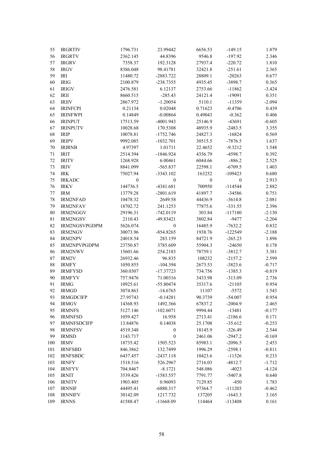| 55       | <b>IRGRTIV</b>     | 1796.731         | 23.99442         | 6656.53          | $-149.15$        | 1.879    |
|----------|--------------------|------------------|------------------|------------------|------------------|----------|
| 56       | <b>IRGRTV</b>      | 2362.145         | 44.8396          | 9546.8           | $-197.92$        | 2.346    |
| 57       | <b>IRGRV</b>       | 7358.37          | 192.3128         | 27937.4          | $-220.72$        | 1.810    |
| 58       | <b>IRGV</b>        | 8386.048         | 98.41781         | 32421.8          | $-251.61$        | 2.365    |
|          |                    |                  |                  | 28809.1          |                  |          |
| 59       | IRI                | 11480.72         | $-2883.722$      |                  | $-20263$         | 0.677    |
| 60       | <b>IRIG</b>        | 2100.879         | $-238.7355$      | 4935.45          | -3898.7          | 0.365    |
| 61       | <b>IRIGV</b>       | 2476.581         | 6.12137          | 2753.66          | $-11862$         | $-3.424$ |
| 62       | IRII               | 8660.515         | $-285.43$        | 24121.4          | $-19091$         | 0.351    |
| 63       | <b>IRIIV</b>       | 2867.972         | $-1.20054$       | 5110.1           | $-11359$         | $-2.094$ |
| 64       | <b>IRINFCPI</b>    | 0.21134          | 0.02048          | 0.71623          | $-0.4706$        | 0.439    |
| 65       | <b>IRINFWPI</b>    | 0.14849          | $-0.00864$       | 0.49043          | $-0.362$         | 0.406    |
| 66       | <b>IRINPUT</b>     | 17513.59         | -4001.943        | 25146.9          | -43691           | $-0.605$ |
| 67       | <b>IRINPUTV</b>    | 10028.68         | 170.5308         | 48935.9          | $-2483.5$        | 3.355    |
| 68       | <b>IRIP</b>        | 10078.81         | $-1752.746$      | 24827.3          | $-16824$         | 0.569    |
| 69       | <b>IRIPV</b>       | 9992.085         | $-1032.701$      | 30515.5          | $-7876.5$        | 1.637    |
| 70       | <b>IRIRNB</b>      | 4.97397          | 1.01711          | 22.4652          | $-9.3212$        | 1.548    |
| 71       | <b>IRIT</b>        | 2514.394         | $-1846.924$      | 4356.79          | $-4598.7$        | 0.392    |
| 72       | <b>IRITV</b>       | 1268.928         | 6.00461          | 6044.66          | $-886.2$         | 2.525    |
| 73       | <b>IRIV</b>        | 8841.099         | $-565.837$       | 22598.1          | $-6709.5$        | 1.403    |
| 74       | <b>IRK</b>         | 75027.94         | $-3343.102$      | 163252           | $-109423$        | 0.680    |
|          |                    |                  |                  |                  |                  |          |
| 75       | <b>IRKADC</b>      | $\boldsymbol{0}$ | $\boldsymbol{0}$ | $\boldsymbol{0}$ | $\boldsymbol{0}$ | 2.913    |
| 76       | <b>IRKV</b>        | 144736.5         | $-4341.681$      | 700950           | $-114544$        | 2.882    |
| $77 \,$  | <b>IRM</b>         | 13779.28         | $-2801.619$      | 41897.7          | -34586           | 0.751    |
| 78       | <b>IRM2NFAD</b>    | 10478.32         | 2649.58          | 44436.9          | $-3614.8$        | 2.081    |
| 79       | <b>IRM2NFAV</b>    | 18702.72         | 241.1253         | 77875.6          | $-331.55$        | 2.396    |
| 80       | IRM2NGGV           | 29196.31         | $-742.0119$      | 303.84           | $-117180$        | $-2.130$ |
| 81       | <b>IRM2NGSV</b>    | 2110.43          | -49.83421        | 3802.84          | $-9477$          | $-2.204$ |
| 82       | IRM2NGSVPGDPM      | 5626.074         | $\boldsymbol{0}$ | 16485.9          | $-7632.2$        | 0.832    |
| 83       | <b>IRM2NGV</b>     | 30073.96         | $-854.8265$      | 1938.76          | $-122549$        | $-2.188$ |
| 84       | <b>IRM2NPV</b>     | 24018.54         | 283.159          | 84721.9          | $-265.23$        | 1.896    |
| 85       | IRM2NPVPGDPM       | 23750.87         | 3785.609         | 55904.3          | $-24650$         | 0.178    |
| 86       | <b>IRM2NWV</b>     | 15601.66         | 254.2183         | 78759.1          | $-3812.7$        | 3.381    |
| $\bf 87$ | IRM2V              | 26932.46         | 96.835           | 108232           | $-2157.2$        | 2.599    |
| $\bf 88$ | <b>IRMFY</b>       | 1050.855         | $-104.394$       | 2673.53          | $-3823.6$        | $-0.717$ |
| 89       | <b>IRMFYSD</b>     | 360.0307         | $-17.37723$      | 734.756          | $-1385.3$        | $-0.819$ |
| 90       | <b>IRMFYV</b>      | 757.9476         | 71.00316         | 3433.98          | $-313.09$        | 2.736    |
| 91       | <b>IRMG</b>        | 10925.61         | $-55.80474$      | 35317.6          | $-21105$         | 0.954    |
|          | 92 IRMGD           | 3074.863         | $-14.6765$       | 11107            | $-5572$          | 1.543    |
| 93       | <b>IRMGDCIFP</b>   | 27.95743         |                  | 90.3739          | $-54.007$        | 0.954    |
|          |                    |                  | $-0.14281$       |                  |                  |          |
| 94       | <b>IRMGV</b>       | 14368.93         | 1492.366         | 67837.2          | $-2004.9$        | 2.465    |
| 95       | <b>IRMNFS</b>      | 5127.146         | $-102.6071$      | 9994.44          | $-13481$         | $-0.177$ |
| 96       | <b>IRMNFSD</b>     | 1059.427         | 16.958           | 2713.41          | $-2186.6$        | 0.171    |
| 97       | <b>IRMNFSDCIFP</b> | 13.84876         | 0.14038          | 25.1708          | $-35.612$        | $-0.253$ |
| 98       | <b>IRMNFSV</b>     | 4519.348         | $\boldsymbol{0}$ | 18145.9          | $-326.49$        | 2.544    |
| 99       | <b>IRMSD</b>       | 1143.717         | $\boldsymbol{0}$ | 2461.06          | $-2947.2$        | $-0.169$ |
| 100      | <b>IRMV</b>        | 18735.42         | 1505.523         | 85983.1          | $-2096.5$        | 2.453    |
| 101      | <b>IRNFSBD</b>     | 846.3862         | 132.7499         | 1996.29          | $-2598.1$        | $-0.811$ |
| 102      | <b>IRNFSBDC</b>    | 6437.457         | $-2437.118$      | 10423.6          | $-11326$         | 0.233    |
| 103      | <b>IRNFY</b>       | 1518.516         | 526.2967         | 2716.03          | $-4812.7$        | $-1.712$ |
| 104      | <b>IRNFYV</b>      | 704.8467         | $-8.1721$        | 548.086          | $-4023$          | $-4.124$ |
| 105      | <b>IRNIT</b>       | 3539.426         | -1583.557        | 7791.77          | $-5407.8$        | 0.640    |
| 106      | <b>IRNITV</b>      | 1903.405         | 0.96093          | 7129.85          | $-450$           | 1.783    |
| 107      | <b>IRNNIF</b>      | 44495.41         | -6880.317        | 97364.7          | $-111203$        | $-0.462$ |
| 108      | <b>IRNNIFV</b>     | 30142.09         | 1217.732         | 137205           | $-1643.3$        | 3.165    |
| 109      | <b>IRNNS</b>       | 41588.47         | $-11668.09$      | 114464           | $-113408$        | 0.161    |
|          |                    |                  |                  |                  |                  |          |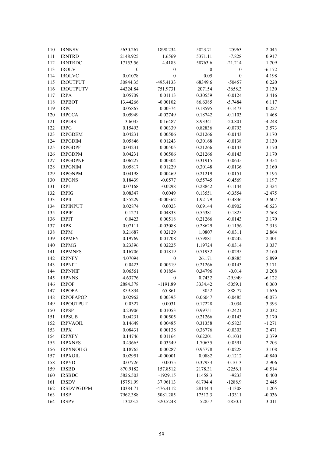| 110 | <b>IRNNSV</b>     | 5630.267         | -1898.234        | 5823.71          | $-25963$         | $-2.045$ |
|-----|-------------------|------------------|------------------|------------------|------------------|----------|
| 111 | <b>IRNTRD</b>     | 2148.925         | 1.6569           | 5371.11          | $-7.828$         | 0.917    |
| 112 | <b>IRNTRDC</b>    | 17153.56         | 4.4183           | 58763.6          | $-21.214$        | 1.709    |
| 113 | <b>IROLV</b>      | $\boldsymbol{0}$ | $\boldsymbol{0}$ | $\boldsymbol{0}$ | $\boldsymbol{0}$ | $-6.172$ |
| 114 | <b>IROLVC</b>     | 0.01078          | $\boldsymbol{0}$ | 0.05             | $\boldsymbol{0}$ | 4.198    |
| 115 | <b>IROUTPUT</b>   | 30844.35         | -495.4133        | 68349.6          | $-50457$         | 0.220    |
| 116 | <b>IROUTPUTV</b>  | 44324.84         | 751.9731         | 207154           | $-3658.3$        | 3.130    |
| 117 | <b>IRPA</b>       | 0.05709          | 0.01113          | 0.30559          | $-0.0124$        | 3.416    |
| 118 | <b>IRPBOT</b>     | 13.44266         | $-0.00102$       | 86.6385          | $-5.7484$        | 6.117    |
| 119 | <b>IRPC</b>       | 0.05867          | 0.00374          | 0.18595          | $-0.1473$        | 0.227    |
| 120 | <b>IRPCCA</b>     | 0.05949          | $-0.02749$       | 0.18742          | $-0.1103$        | 1.468    |
| 121 | <b>IRPDIS</b>     | 3.6035           | 0.16487          | 8.93341          | $-20.801$        | $-4.248$ |
| 122 | <b>IRPG</b>       | 0.15493          | 0.00339          | 0.82836          | $-0.0793$        | 3.573    |
| 123 | <b>IRPGDEM</b>    | 0.04231          | 0.00506          | 0.21266          | $-0.0143$        | 3.170    |
| 124 | <b>IRPGDIM</b>    | 0.05846          | 0.01243          | 0.30168          | $-0.0138$        | 3.130    |
| 125 | <b>IRPGDPF</b>    | 0.04231          | 0.00505          | 0.21266          | $-0.0143$        | 3.170    |
| 126 | <b>IRPGDPM</b>    | 0.04231          | 0.00506          | 0.21266          | $-0.0143$        | 3.170    |
| 127 | <b>IRPGDPNF</b>   | 0.06227          | 0.00304          | 0.31915          | $-0.0645$        | 3.354    |
| 128 | <b>IRPGNIM</b>    | 0.05817          | 0.01229          | 0.30148          | $-0.0136$        | 3.160    |
| 129 | <b>IRPGNPM</b>    | 0.04198          | 0.00469          | 0.21219          | $-0.0151$        | 3.195    |
| 130 | <b>IRPGNS</b>     | 0.18439          | $-0.0577$        | 0.55745          | $-0.4569$        |          |
|     |                   |                  |                  |                  |                  | 1.197    |
| 131 | <b>IRPI</b>       | 0.07168          | $-0.0298$        | 0.28842          | $-0.1144$        | 2.324    |
| 132 | <b>IRPIG</b>      | 0.08347          | 0.0049           | 0.13551          | $-0.3554$        | $-2.475$ |
| 133 | <b>IRPII</b>      | 0.35229          | $-0.00362$       | 1.92179          | $-0.4836$        | 3.607    |
| 134 | <b>IRPINPUT</b>   | 0.02874          | 0.0023           | 0.09144          | $-0.0902$        | $-0.623$ |
| 135 | <b>IRPIP</b>      | 0.1271           | $-0.04833$       | 0.55381          | $-0.1825$        | 2.568    |
| 136 | <b>IRPIT</b>      | 0.0423           | 0.00518          | 0.21266          | $-0.0143$        | 3.170    |
| 137 | <b>IRPK</b>       | 0.07111          | $-0.03088$       | 0.28629          | $-0.1156$        | 2.313    |
| 138 | <b>IRPM</b>       | 0.21687          | 0.02129          | 1.0807           | $-0.0311$        | 2.864    |
| 139 | <b>IRPMFY</b>     | 0.19769          | 0.01708          | 0.79881          | $-0.0242$        | 2.401    |
| 140 | <b>IRPMG</b>      | 0.23396          | 0.02225          | 1.19724          | $-0.0314$        | 3.037    |
| 141 | <b>IRPMNFS</b>    | 0.16706          | 0.01819          | 0.71932          | $-0.0295$        | 2.160    |
| 142 | <b>IRPNFY</b>     | 4.07094          | $\boldsymbol{0}$ | 26.171           | $-0.8885$        | 5.899    |
| 143 | <b>IRPNIT</b>     | 0.0423           | 0.00519          | 0.21266          | $-0.0143$        | 3.171    |
| 144 | <b>IRPNNIF</b>    | 0.06561          | 0.01854          | 0.34796          | $-0.014$         | 3.208    |
| 145 | <b>IRPNNS</b>     | 4.63776          | $\boldsymbol{0}$ | 0.7432           | $-29.949$        | $-6.122$ |
| 146 | <b>IRPOP</b>      | 2884.378         | $-1191.89$       | 3334.42          | $-5059.1$        | 0.060    |
| 147 | <b>IRPOPA</b>     | 859.834          | $-65.861$        | 3052             | $-888.77$        | 1.636    |
| 148 | <b>IRPOPAPOP</b>  | 0.02962          | 0.00395          | 0.06047          | $-0.0485$        | $-0.073$ |
| 149 | <b>IRPOUTPUT</b>  | 0.0327           | 0.0031           | 0.17228          | $-0.034$         | 3.393    |
| 150 | <b>IRPSP</b>      | 0.23906          | 0.01053          | 0.99751          | $-0.2421$        | 2.032    |
| 151 | <b>IRPSUB</b>     | 0.04231          | 0.00505          | 0.21266          | $-0.0143$        | 3.170    |
| 152 | <b>IRPVAOIL</b>   | 0.14649          | 0.00485          | 0.31358          | $-0.5823$        | $-1.271$ |
| 153 | <b>IRPX</b>       | 0.08431          | 0.00138          | 0.36776          | $-0.0303$        | 2.471    |
| 154 | <b>IRPXFY</b>     | 0.14746          | 0.01164          | 0.62201          | $-0.1031$        | 2.379    |
| 155 | <b>IRPXNFS</b>    | 0.43665          | 0.03549          | 1.70635          | $-0.0591$        | 2.203    |
| 156 | <b>IRPXNOILG</b>  | 0.18765          | 0.00287          | 0.95778          | $-0.0228$        | 3.108    |
| 157 | <b>IRPXOIL</b>    | 0.02951          | $-0.00001$       | 0.0882           | $-0.1212$        | $-0.840$ |
| 158 | <b>IRPYD</b>      | 0.07726          | 0.0075           | 0.37933          | $-0.1013$        | 2.906    |
| 159 | <b>IRSBD</b>      | 870.9182         | 157.8512         | 2178.31          | $-2256.1$        | $-0.514$ |
| 160 | <b>IRSBDC</b>     | 5826.503         | $-1929.15$       | 11458.3          | $-9233$          | 0.400    |
| 161 | <b>IRSDV</b>      | 15751.99         | 37.96113         | 61794.4          | $-1288.9$        | 2.445    |
| 162 | <b>IRSDVPGDPM</b> | 10384.71         | $-476.4112$      | 28144.4          | $-11308$         | 1.205    |
| 163 | <b>IRSP</b>       | 7962.388         | 5081.285         | 17512.3          | $-13311$         | $-0.036$ |
| 164 | <b>IRSPV</b>      | 13423.2          | 320.5248         | 52857            | $-2850.1$        | 3.011    |
|     |                   |                  |                  |                  |                  |          |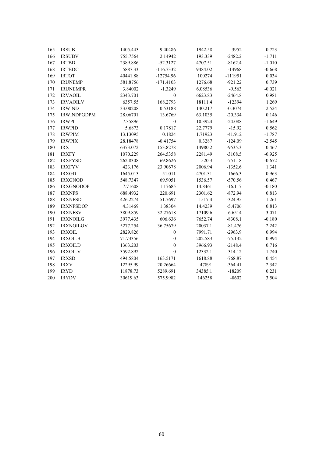| 165 | <b>IRSUB</b>       | 1405.443 | $-9.40486$       | 1942.58 | $-3952$   | $-0.723$ |
|-----|--------------------|----------|------------------|---------|-----------|----------|
| 166 | <b>IRSUBV</b>      | 755.7564 | 2.14942          | 193.339 | $-2482.2$ | $-1.711$ |
| 167 | <b>IRTBD</b>       | 2389.886 | $-52.3127$       | 4707.51 | $-8162.4$ | $-1.010$ |
| 168 | <b>IRTBDC</b>      | 5887.33  | $-116.7332$      | 9484.02 | $-14968$  | $-0.668$ |
| 169 | <b>IRTOT</b>       | 40441.88 | $-12754.96$      | 100274  | $-111951$ | 0.034    |
| 170 | <b>IRUNEMP</b>     | 581.8756 | $-171.4103$      | 1276.68 | $-921.22$ | 0.739    |
| 171 | <b>IRUNEMPR</b>    | 3.84002  | $-1.3249$        | 6.08536 | $-9.563$  | $-0.021$ |
| 172 | <b>IRVAOIL</b>     | 2343.701 | $\boldsymbol{0}$ | 6623.83 | $-2464.8$ | 0.981    |
| 173 | <b>IRVAOILV</b>    | 6357.55  | 168.2793         | 18111.4 | $-12394$  | 1.269    |
| 174 | <b>IRWIND</b>      | 33.00208 | 0.53188          | 140.217 | $-0.3074$ | 2.524    |
| 175 | <b>IRWINDPGDPM</b> | 28.06701 | 13.6769          | 63.1035 | $-20.334$ | 0.146    |
| 176 | <b>IRWPI</b>       | 7.35896  | $\boldsymbol{0}$ | 10.3924 | $-24.088$ | $-1.649$ |
| 177 | <b>IRWPID</b>      | 5.6873   | 0.17817          | 22.7779 | $-15.92$  | 0.562    |
| 178 | <b>IRWPIM</b>      | 13.13095 | 0.1824           | 1.71923 | $-41.912$ | $-1.787$ |
| 179 | <b>IRWPIX</b>      | 28.18478 | $-0.41754$       | 0.3287  | $-124.09$ | $-2.545$ |
| 180 | <b>IRX</b>         | 6373.072 | 153.8278         | 14980.2 | $-9535.3$ | 0.467    |
| 181 | <b>IRXFY</b>       | 1070.229 | 264.5358         | 2281.49 | $-3108.5$ | $-0.925$ |
| 182 | <b>IRXFYSD</b>     | 262.8308 | 69.8626          | 520.3   | $-751.18$ | $-0.672$ |
| 183 | <b>IRXFYV</b>      | 423.176  | 23.90678         | 2006.94 | $-1352.6$ | 1.341    |
| 184 | <b>IRXGD</b>       | 1645.013 | $-51.011$        | 4701.31 | $-1666.3$ | 0.963    |
| 185 | <b>IRXGNOD</b>     | 548.7347 | 69.9051          | 1536.57 | $-570.56$ | 0.467    |
| 186 | <b>IRXGNODOP</b>   | 7.71608  | 1.17685          | 14.8461 | $-16.117$ | $-0.180$ |
| 187 | <b>IRXNFS</b>      | 688.4932 | 220.691          | 2301.62 | $-872.94$ | 0.813    |
| 188 | <b>IRXNFSD</b>     | 426.2274 | 51.7697          | 1517.4  | $-324.95$ | 1.261    |
| 189 | <b>IRXNFSDOP</b>   | 4.31469  | 1.38304          | 14.4239 | $-5.4706$ | 0.813    |
| 190 | <b>IRXNFSV</b>     | 3809.859 | 32.27618         | 17109.6 | $-6.6514$ | 3.071    |
| 191 | <b>IRXNOILG</b>    | 3977.435 | 606.636          | 7652.74 | $-8308.1$ | $-0.180$ |
| 192 | <b>IRXNOILGV</b>   | 5277.254 | 36.75679         | 20037.1 | $-81.476$ | 2.242    |
| 193 | <b>IRXOIL</b>      | 2829.826 | $\boldsymbol{0}$ | 7991.71 | $-2963.9$ | 0.994    |
| 194 | <b>IRXOILB</b>     | 71.73356 | $\boldsymbol{0}$ | 202.583 | $-75.132$ | 0.994    |
| 195 | <b>IRXOILD</b>     | 1363.203 | $\mathbf{0}$     | 3966.93 | $-2148.4$ | 0.716    |
| 196 | <b>IRXOILV</b>     | 3592.892 | $\mathbf{0}$     | 12332.1 | $-314.12$ | 1.740    |
| 197 | <b>IRXSD</b>       | 494.5804 | 163.5171         | 1618.88 | $-768.87$ | 0.454    |
| 198 | <b>IRXV</b>        | 12295.99 | 20.26664         | 47891   | $-364.41$ | 2.342    |
| 199 | $\rm IRYD$         | 11878.73 | 5289.691         | 34385.1 | $-18209$  | 0.231    |
| 200 | <b>IRYDV</b>       | 30619.63 | 575.9982         | 146258  | $-8602$   | 3.504    |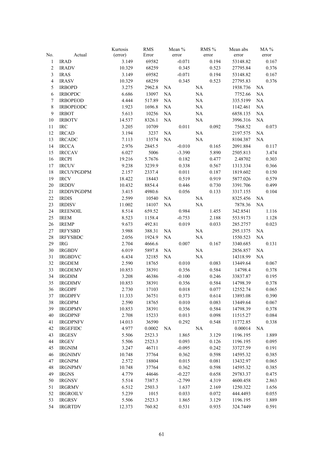|                |                   | Kurtosis | <b>RMS</b> |    | Mean %   |    | RMS % | Mean abs |           | MA %  |
|----------------|-------------------|----------|------------|----|----------|----|-------|----------|-----------|-------|
| No.            | Actual            | (error)  | Error      |    | error    |    | error | error    |           | error |
| $\mathbf{1}$   | <b>IRAD</b>       | 3.149    | 69582      |    | $-0.071$ |    | 0.194 | 53148.82 |           | 0.167 |
| $\overline{2}$ | <b>IRADV</b>      | 10.329   | 68259      |    | 0.345    |    | 0.523 | 27795.84 |           | 0.376 |
| $\mathfrak{Z}$ | <b>IRAS</b>       | 3.149    | 69582      |    | $-0.071$ |    | 0.194 | 53148.82 |           | 0.167 |
| $\overline{4}$ | <b>IRASV</b>      | 10.329   | 68259      |    | 0.345    |    | 0.523 | 27795.83 |           | 0.376 |
| 5              | <b>IRBOPD</b>     | 3.275    | 2962.8     | NA |          | NA |       | 1938.736 | NA        |       |
| $\sqrt{6}$     | <b>IRBOPDC</b>    | 6.686    | 13097      | NA |          | NA |       | 7752.66  | NA        |       |
| $\tau$         | <b>IRBOPEOD</b>   | 4.444    | 517.89     | NA |          | NA |       | 335.5199 | NA        |       |
| $\,$ 8 $\,$    | <b>IRBOPEODC</b>  | 1.923    | 1696.8     | NA |          | NA |       | 1142.461 | NA        |       |
| 9              | <b>IRBOT</b>      | 5.613    | 10256      | NA |          | NA |       | 6858.135 | NA        |       |
| 10             | <b>IRBOTV</b>     | 14.537   | 8326.1     | NA |          | NA |       | 3996.316 | NA        |       |
| 11             | <b>IRC</b>        | 3.205    | 10709      |    | 0.011    |    | 0.092 | 7568.52  |           | 0.073 |
| 12             | <b>IRCAD</b>      | 3.194    | 3237       | NA |          | NA |       | 2197.575 | NA        |       |
| 13             | <b>IRCADC</b>     | 7.113    | 13574      | NA |          | NA |       | 8104.387 | <b>NA</b> |       |
| 14             | <b>IRCCA</b>      | 2.976    | 2845.5     |    | $-0.010$ |    | 0.165 | 2091.884 |           | 0.117 |
| 15             | <b>IRCCAV</b>     | 6.027    | 5006       |    | $-3.390$ |    | 5.890 | 2505.813 |           | 3.474 |
| 16             | <b>IRCPI</b>      | 19.216   | 5.7676     |    | 0.182    |    | 0.477 | 2.48702  |           | 0.303 |
| 17             | <b>IRCUV</b>      | 9.238    | 3239.9     |    | 0.338    |    | 0.567 | 1313.334 |           | 0.366 |
| 18             | <b>IRCUVPGDPM</b> | 2.157    | 2337.4     |    | 0.011    |    | 0.187 | 1819.602 |           | 0.150 |
| 19             | <b>IRCV</b>       | 18.422   | 18443      |    | 0.519    |    | 0.919 | 5877.026 |           | 0.579 |
| 20             | <b>IRDDV</b>      | 10.432   | 8854.4     |    | 0.446    |    | 0.730 | 3391.706 |           | 0.499 |
| 21             | <b>IRDDVPGDPM</b> | 3.415    | 4980.6     |    | 0.056    |    | 0.133 | 3317.155 |           | 0.104 |
| 22             | <b>IRDIS</b>      | 2.599    | 10540      | NA |          | NA |       | 8325.456 | NA        |       |
| 23             | <b>IRDISV</b>     | 11.002   | 14107      | NA |          | NA |       | 7878.36  | NA        |       |
| 24             | <b>IREENOIL</b>   | 8.514    | 659.52     |    | 0.984    |    | 1.455 | 342.8541 |           | 1.116 |
| 25             | <b>IREM</b>       | 8.523    | 1158.4     |    | $-0.753$ |    | 2.188 | 553.9173 |           | 1.128 |
| 26             | <b>IREMP</b>      | 9.673    | 492.81     |    | 0.019    |    | 0.033 | 285.2757 |           | 0.023 |
| 27             | <b>IRFYSBD</b>    | 3.988    | 388.31     | NA |          | NA |       | 295.1375 | NA        |       |
| 28             | <b>IRFYSBDC</b>   | 2.056    | 1924.9     | NA |          | NA |       | 1550.523 | NA        |       |
| 29             | <b>IRG</b>        | 2.704    | 4666.6     |    | 0.007    |    | 0.167 | 3340.685 |           | 0.131 |
| 30             | <b>IRGBDV</b>     | 6.019    | 5897.8     | NA |          | NA |       | 2856.857 | NA        |       |
| 31             | <b>IRGBDVC</b>    | 6.434    | 32185      | NA |          | NA |       | 14318.99 | NA        |       |
| 32             | <b>IRGDEM</b>     | 2.590    | 18765      |    | 0.010    |    | 0.083 | 13449.64 |           | 0.067 |
| 33             | <b>IRGDEMV</b>    | 10.853   | 38391      |    | 0.356    |    | 0.584 | 14798.4  |           | 0.378 |
| 34             | <b>IRGDIM</b>     | 3.208    | 46386      |    | $-0.100$ |    | 0.246 | 33837.87 |           | 0.195 |
| 35             | <b>IRGDIMV</b>    | 10.853   | 38391      |    | 0.356    |    | 0.584 | 14798.39 |           | 0.378 |
| 36             | <b>IRGDPF</b>     | 2.730    | 17103      |    | 0.018    |    | 0.077 | 12552.74 |           | 0.065 |
| 37             | <b>IRGDPFV</b>    | 11.333   | 36751      |    | 0.373    |    | 0.614 | 13893.08 |           | 0.390 |
| 38             | <b>IRGDPM</b>     | 2.590    | 18765      |    | 0.010    |    | 0.083 | 13449.64 |           | 0.067 |
| 39             | <b>IRGDPMV</b>    | 10.853   | 38391      |    | 0.356    |    | 0.584 | 14798.39 |           | 0.378 |
| 40             | <b>IRGDPNF</b>    | 2.708    | 15233      |    | 0.013    |    | 0.098 | 11515.27 |           | 0.084 |
| 41             | <b>IRGDPNFV</b>   | 14.013   | 36590      |    | 0.292    |    | 0.548 | 11772.85 |           | 0.338 |
| 42             | <b>IRGEFIDC</b>   | 4.977    | 0.0002     | NA |          | NA |       | 0.00014  | NA        |       |
| 43             | <b>IRGESV</b>     | 5.506    | 2523.3     |    | 1.865    |    | 3.129 | 1196.195 |           | 1.889 |
| 44             | <b>IRGEV</b>      | 5.506    | 2523.3     |    | 0.093    |    | 0.126 | 1196.195 |           | 0.095 |
| 45             | <b>IRGNIM</b>     | 3.247    | 46711      |    | $-0.095$ |    | 0.242 | 33727.59 |           | 0.191 |
| 46             | <b>IRGNIMV</b>    | 10.748   | 37764      |    | 0.362    |    | 0.598 | 14595.32 |           | 0.385 |
| 47             | <b>IRGNPM</b>     | 2.572    | 18804      |    | 0.015    |    | 0.081 | 13432.97 |           | 0.065 |
| 48             | <b>IRGNPMV</b>    | 10.748   | 37764      |    | 0.362    |    | 0.598 | 14595.32 |           | 0.385 |
| 49             | <b>IRGNS</b>      | 4.779    | 44646      |    | $-0.227$ |    | 0.658 | 29783.37 |           | 0.475 |
| 50             | <b>IRGNSV</b>     | 5.514    | 7387.5     |    | $-2.799$ |    | 4.319 | 4600.458 |           | 2.863 |
| 51             | <b>IRGRMV</b>     | 6.512    | 2503.3     |    | 1.637    |    | 2.169 | 1250.322 |           | 1.656 |
| 52             | <b>IRGROILV</b>   | 5.239    | 1015       |    | 0.033    |    | 0.072 | 444.4493 |           | 0.055 |
| 53             | <b>IRGRSV</b>     | 5.506    | 2523.3     |    | 1.865    |    | 3.129 | 1196.195 |           | 1.889 |
| 54             | <b>IRGRTDV</b>    | 12.373   | 760.82     |    | 0.531    |    | 0.935 | 324.7449 |           | 0.591 |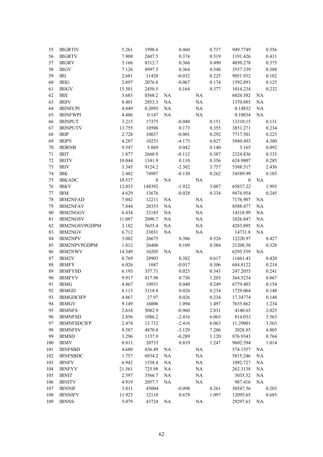| 55     | <b>IRGRTIV</b>     | 5.261  | 1998.6           |                | 0.460    |           | 0.737 | 949.7749             |          | 0.556 |
|--------|--------------------|--------|------------------|----------------|----------|-----------|-------|----------------------|----------|-------|
| 56     | <b>IRGRTV</b>      | 7.908  | 2607.5           |                | 0.374    |           | 0.519 | 1191.426             |          | 0.411 |
| 57     | <b>IRGRV</b>       | 5.166  | 8312.7           |                | 0.366    |           | 0.490 | 4050.278             |          | 0.375 |
| 58     | <b>IRGV</b>        | 7.126  | 8997.5           |                | 0.364    |           | 0.548 | 3557.339             |          | 0.388 |
| 59     | <b>IRI</b>         | 2.681  | 11420            |                | $-0.032$ |           | 0.225 | 9051.932             |          | 0.182 |
| 60     | <b>IRIG</b>        | 2.897  | 2076.8           |                | $-0.067$ |           | 0.174 | 1592.893             |          | 0.125 |
| 61     | <b>IRIGV</b>       | 15.501 | 2450.5           |                | 0.164    |           | 0.377 | 1014.234             |          | 0.232 |
| 62     | IRII               | 3.683  | 8568.2           | NA             |          | NA        |       | 6026.582             | NA       |       |
| 63     | <b>IRIIV</b>       | 8.401  | 2853.3           | NA             |          | NA        |       | 1370.885             | NA       |       |
| 64     | <b>IRINFCPI</b>    | 4.849  | 0.2095           | <b>NA</b>      |          | NA        |       | 0.14832              | NA       |       |
| 65     | <b>IRINFWPI</b>    | 4.486  | 0.147            | $\rm NA$       |          | $\rm NA$  |       | 0.10834              | $\rm NA$ |       |
| 66     | <b>IRINPUT</b>     | 3.213  | 17375            |                | $-0.040$ |           | 0.151 | 13310.15             |          | 0.131 |
| 67     | <b>IRINPUTV</b>    | 13.755 | 10506            |                | 0.173    |           | 0.355 | 3851.271             |          | 0.234 |
| 68     | <b>IRIP</b>        | 2.728  | 10037            |                | $-0.001$ |           | 0.292 | 7717.501             |          | 0.223 |
| 69     | <b>IRIPV</b>       | 4.287  | 10253            |                | $-4.173$ |           | 6.827 | 5880.493             |          | 4.380 |
| $70\,$ | <b>IRIRNB</b>      | 9.547  | 5.069            |                | 0.042    |           | 0.140 | 3.165                |          | 0.092 |
| 71     | <b>IRIT</b>        | 1.877  | 2660.9           |                | $-0.112$ |           | 0.387 | 2324.836             |          | 0.335 |
| 72     | <b>IRITV</b>       | 10.044 | 1341.9           |                | 0.110    |           | 0.356 | 624.9807             |          | 0.285 |
| 73     | <b>IRIV</b>        | 3.345  | 9124.2           |                | $-2.302$ |           | 3.757 | 5388.517             |          | 2.436 |
| 74     | <b>IRK</b>         | 2.482  | 74987            |                | $-0.130$ |           | 0.262 | 54589.99             |          | 0.185 |
| 75     | <b>IRKADC</b>      | 10.537 | $\boldsymbol{0}$ | NA             |          | $\rm NA$  |       | $\mathbf{0}$         | NA       |       |
| 76     | <b>IRKV</b>        | 12.033 | 148392           |                | $-1.922$ |           | 3.087 | 65837.22             |          | 1.993 |
| $77\,$ | <b>IRM</b>         | 4.629  | 13676            |                | $-0.028$ |           | 0.334 | 9474.954             |          | 0.245 |
| $78\,$ | <b>IRM2NFAD</b>    | 7.042  | 12211            | NA             |          | NA        |       | 7176.907             | NA       |       |
| 79     | <b>IRM2NFAV</b>    | 7.844  | 20353            |                |          |           |       |                      |          |       |
| $80\,$ | IRM2NGGV           | 6.434  | 32185            | NA<br>$\rm NA$ |          | NA<br>NA  |       | 8588.477<br>14318.99 | NA       |       |
| 81     | IRM2NGSV           | 11.087 |                  | $\rm NA$       |          | NA        |       |                      | NA       |       |
| 82     | IRM2NGSVPGDPM      | 3.182  | 2090.7<br>5655.4 | $\rm NA$       |          | NA        |       | 1026.847             | NA       |       |
|        |                    |        |                  |                |          |           |       | 4283.895             | NA       |       |
| 83     | IRM2NGV            | 6.712  | 33031            | <b>NA</b>      |          | $\rm NA$  |       | 14731.8              | NA       |       |
| 84     | <b>IRM2NPV</b>     | 5.082  | 26675            |                | 0.386    |           | 0.528 | 12220.97             |          | 0.427 |
| 85     | IRM2NPVPGDPM       | 1.812  | 26400            |                | 0.109    |           | 0.384 | 21208.58             |          | 0.328 |
| 86     | <b>IRM2NWV</b>     | 14.349 | 16205            | NA             |          | $\rm NA$  |       | 6295.559             | NA       |       |
| 87     | IRM2V              | 8.769  | 28903            |                | 0.382    |           | 0.617 | 11661.43             |          | 0.420 |
| $88\,$ | <b>IRMFY</b>       | 6.026  | 1047             |                | $-0.017$ |           | 0.306 | 684.8122             |          | 0.214 |
| 89     | <b>IRMFYSD</b>     | 6.193  | 357.71           |                | 0.025    |           | 0.343 | 247.2055             |          | 0.241 |
| 90     | <b>IRMFYV</b>      | 9.917  | 817.98           |                | 0.736    |           | 1.203 | 364.5234             |          | 0.867 |
| 91     | <b>IRMG</b>        | 4.867  | 10931            |                | 0.040    |           | 0.249 | 6779.403             |          | 0.154 |
|        | 92 IRMGD           | 6.113  | 3118.8           |                | 0.026    |           | 0.234 | 1729.064             |          | 0.148 |
| 93     | <b>IRMGDCIFP</b>   | 4.867  | 27.97            |                | 0.026    |           | 0.234 | 17.34774             |          | 0.148 |
| 94     | <b>IRMGV</b>       | 9.149  | 16006            |                | 1.094    |           | 1.497 | 7655.862             |          | 1.234 |
| 95     | <b>IRMNFS</b>      | 2.618  | 5082.9           |                | $-0.960$ |           | 2.831 | 4140.65              |          | 2.025 |
| 96     | <b>IRMNFSD</b>     | 2.856  | 1086.2           |                | $-2.416$ |           | 6.063 | 814.033              |          | 3.563 |
| 97     | <b>IRMNFSDCIFP</b> | 2.474  | 13.712           |                | $-2.416$ |           | 6.063 | 11.29001             |          | 3.563 |
| 98     | <b>IRMNFSV</b>     | 8.587  | 4870.8           |                | $-3.129$ |           | 7.206 | 2028.85              |          | 4.805 |
| 99     | <b>IRMSD</b>       | 3.296  | 1157.9           |                | $-0.289$ |           | 1.120 | 876.9343             |          | 0.764 |
| 100    | <b>IRMV</b>        | 8.811  | 20733            |                | 0.819    |           | 1.247 | 9602.594             |          | 1.014 |
| 101    | <b>IRNFSBD</b>     | 4.680  | 836.49           | NA             |          | <b>NA</b> |       | 574.1557             | NA       |       |
| 102    | <b>IRNFSBDC</b>    | 1.757  | 6934.2           | NA             |          | NA        |       | 5815.246             | NA       |       |
| 103    | <b>IRNFY</b>       | 6.942  | 1538.4           | <b>NA</b>      |          | <b>NA</b> |       | 1092.727             | NA       |       |
| 104    | <b>IRNFYV</b>      | 21.561 | 725.98           | <b>NA</b>      |          | <b>NA</b> |       | 262.3138             | NA       |       |
| 105    | <b>IRNIT</b>       | 2.397  | 3566.7           | <b>NA</b>      |          | NA        |       | 3035.52              | NA       |       |
| 106    | <b>IRNITV</b>      | 4.919  | 2057.7           | <b>NA</b>      |          | $\rm NA$  |       | 987.416              | NA       |       |
| 107    | <b>IRNNIF</b>      | 3.811  | 45004            |                | $-0.098$ |           | 0.261 | 30547.56             |          | 0.203 |
| 108    | <b>IRNNIFV</b>     | 11.923 | 32110            |                | 0.678    |           | 1.097 | 12095.65             |          | 0.685 |
| 109    | <b>IRNNS</b>       | 5.079  | 43724            | NA             |          | <b>NA</b> |       | 29297.63             | NA       |       |
|        |                    |        |                  |                |          |           |       |                      |          |       |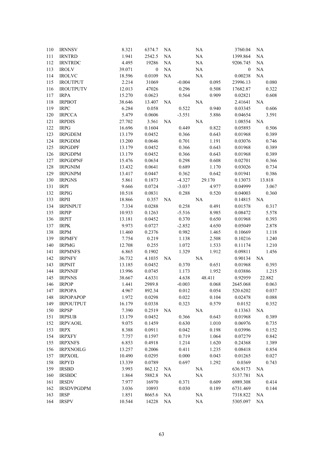| 110        | <b>IRNNSV</b>                     | 8.321            | 6374.7           | NA        |                   | NA             | 3760.04            | NA             |
|------------|-----------------------------------|------------------|------------------|-----------|-------------------|----------------|--------------------|----------------|
| 111        | <b>IRNTRD</b>                     | 1.941            | 2542.5           | $\rm NA$  |                   | $\rm NA$       | 1399.864           | <b>NA</b>      |
| 112        | <b>IRNTRDC</b>                    | 4.495            | 19286            | $\rm NA$  |                   | NA             | 9206.745           | NA             |
| 113        | <b>IROLV</b>                      | 39.071           | $\mathbf{0}$     | $\rm NA$  |                   | $\rm NA$       | $\boldsymbol{0}$   | NA             |
| 114        | <b>IROLVC</b>                     | 18.596           | 0.0109           | NA        |                   | $\rm NA$       | 0.00238            | NA             |
| 115        | <b>IROUTPUT</b>                   | 2.214            | 31069            |           | $-0.004$          | 0.095          | 23996.13           | 0.080          |
| 116        | <b>IROUTPUTV</b>                  | 12.013           | 47026            |           | 0.296             | 0.508          | 17682.87           | 0.322          |
| 117        | <b>IRPA</b>                       | 15.270           | 0.0623           |           | 0.564             | 0.909          | 0.02821            | 0.608          |
| 118        | <b>IRPBOT</b>                     | 38.646           | 13.407           | NA        |                   | $\rm NA$       | 2.41641            | NA             |
| 119        | <b>IRPC</b>                       | 6.284            | 0.058            |           | 0.522             | 0.940          | 0.03345            | 0.606          |
| 120        | <b>IRPCCA</b>                     | 5.479            | 0.0606           |           | $-3.551$          | 5.886          | 0.04654            | 3.591          |
| 121        | <b>IRPDIS</b>                     | 27.702           | 3.561            | <b>NA</b> |                   | $\rm NA$       | 1.08554            | <b>NA</b>      |
| 122        | <b>IRPG</b>                       | 16.696           | 0.1604           |           | 0.449             | 0.822          | 0.05893            | 0.506          |
| 123        | <b>IRPGDEM</b>                    | 13.179           | 0.0452           |           | 0.366             | 0.643          | 0.01968            | 0.389          |
| 124        | <b>IRPGDIM</b>                    | 13.200           | 0.0646           |           | 0.701             | 1.191          | 0.03076            | 0.746          |
| 125        | <b>IRPGDPF</b>                    | 13.179           | 0.0452           |           | 0.366             | 0.643          | 0.01968            | 0.389          |
| 126        | <b>IRPGDPM</b>                    | 13.179           | 0.0452           |           | 0.366             | 0.643          | 0.01968            | 0.389          |
| 127        | <b>IRPGDPNF</b>                   | 15.476           | 0.0634           |           | 0.298             | 0.608          | 0.02701            | 0.366          |
| 128        | <b>IRPGNIM</b>                    | 13.432           | 0.0641           |           | 0.689             | 1.170          | 0.03026            | 0.734          |
| 129        | <b>IRPGNPM</b>                    | 13.417           | 0.0447           |           | 0.362             | 0.642          | 0.01941            | 0.386          |
| 130        | <b>IRPGNS</b>                     | 5.861            | 0.1873           |           | $-4.327$          | 29.170         | 0.13073            | 13.818         |
| 131        | <b>IRPI</b>                       | 9.666            | 0.0724           |           | $-3.037$          | 4.977          | 0.04999            | 3.067          |
| 132        | <b>IRPIG</b>                      | 10.518           | 0.0831           |           | 0.288             | 0.520          | 0.04003            | 0.360          |
| 133        | <b>IRPII</b>                      | 18.866           | 0.357            | NA        |                   | $\rm NA$       | 0.14815            | <b>NA</b>      |
| 134        | <b>IRPINPUT</b>                   | 7.334            | 0.0288           |           | 0.258             | 0.491          | 0.01578            | 0.317          |
| 135        | <b>IRPIP</b>                      | 10.933           | 0.1263           |           | $-5.516$          | 8.985          | 0.08472            | 5.578          |
| 136        | <b>IRPIT</b>                      | 13.181           | 0.0452           |           | 0.370             | 0.650          | 0.01968            | 0.393          |
| 137        | <b>IRPK</b>                       | 9.973            | 0.0727           |           | $-2.852$          | 4.650          | 0.05049            | 2.878          |
| 138        | <b>IRPM</b>                       | 11.460           | 0.2376           |           | 0.982             | 1.465          | 0.10669            | 1.118          |
| 139        | <b>IRPMFY</b>                     | 7.754            | 0.219            |           | 1.138             | 2.508          | 0.10216            | 1.240          |
| 140        | <b>IRPMG</b>                      | 12.708           | 0.255            |           | 1.072             | 1.533          | 0.11174            | 1.210          |
| 141        | <b>IRPMNFS</b>                    | 6.865            | 0.1902           |           | 1.329             | 1.912          | 0.09811            | 1.456          |
| 142        | <b>IRPNFY</b>                     | 36.732           |                  |           |                   | $\rm NA$       |                    | <b>NA</b>      |
| 143        | <b>IRPNIT</b>                     | 13.185           | 4.1035<br>0.0452 | NA        | 0.370             | 0.651          | 0.90134            | 0.393          |
| 144        | <b>IRPNNIF</b>                    |                  |                  |           |                   | 1.952          | 0.01968            | 1.215          |
| 145        | <b>IRPNNS</b>                     | 13.996<br>38.667 | 0.0745<br>4.6331 |           | 1.173             | 48.411         | 0.03886<br>0.92959 | 22.882         |
| 146        | <b>IRPOP</b>                      | 1.441            | 2989.8           |           | 4.638<br>$-0.003$ | 0.068          | 2645.068           | 0.063          |
|            |                                   | 4.967            | 892.34           |           |                   |                |                    |                |
| 147        | <b>IRPOPA</b><br><b>IRPOPAPOP</b> |                  |                  |           | 0.012             | 0.054          | 520.6202           | 0.037          |
| 148<br>149 | <b>IRPOUTPUT</b>                  | 1.972            | 0.0298           |           | 0.022<br>0.323    | 0.104<br>0.579 | 0.02478            | 0.088<br>0.352 |
| 150        |                                   | 16.179<br>7.390  | 0.0338           |           |                   |                | 0.0152             | NA             |
|            | <b>IRPSP</b>                      |                  | 0.2519           | NA        |                   | NA             | 0.13363            |                |
| 151        | <b>IRPSUB</b>                     | 13.179           | 0.0452           |           | 0.366             | 0.643          | 0.01968            | 0.389          |
| 152        | <b>IRPVAOIL</b>                   | 9.075            | 0.1459           |           | 0.630             | 1.010          | 0.06976            | 0.735          |
| 153        | <b>IRPX</b>                       | 8.388            | 0.0911           |           | 0.042             | 0.198          | 0.03996            | 0.152          |
| 154        | <b>IRPXFY</b>                     | 7.757            | 0.1597           |           | 0.719             | 1.064          | 0.07279            | 0.842          |
| 155        | <b>IRPXNFS</b>                    | 6.853            | 0.4918           |           | 1.214             | 1.620          | 0.24368            | 1.389          |
| 156        | <b>IRPXNOILG</b>                  | 13.257           | 0.2006           |           | 0.411             | 1.235          | 0.08418            | 0.854          |
| 157        | <b>IRPXOIL</b>                    | 10.490           | 0.0295           |           | 0.000             | 0.043          | 0.01265            | 0.027          |
| 158        | <b>IRPYD</b>                      | 13.339           | 0.0789           |           | 0.697             | 1.292          | 0.0369             | 0.743          |
| 159        | <b>IRSBD</b>                      | 3.993            | 862.12           | NA        |                   | <b>NA</b>      | 636.9173           | NA             |
| 160        | <b>IRSBDC</b>                     | 1.864            | 5882.8           | NA        |                   | NA             | 5137.781           | NA             |
| 161        | <b>IRSDV</b>                      | 7.977            | 16970            |           | 0.371             | 0.609          | 6989.308           | 0.414          |
| 162        | <b>IRSDVPGDPM</b>                 | 3.036            | 10893            |           | 0.030             | 0.189          | 6731.469           | 0.144          |
| 163        | <b>IRSP</b>                       | 1.851            | 8665.6           | NA        |                   | NA             | 7318.822           | NA             |
| 164        | <b>IRSPV</b>                      | 10.544           | 14228            | NA        |                   | $\rm NA$       | 5305.097           | NA             |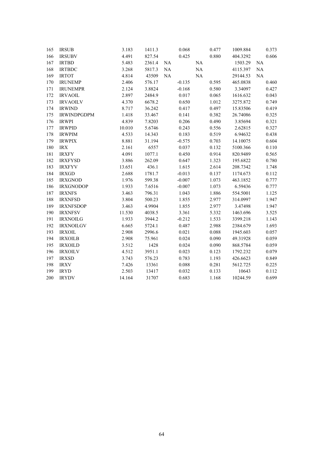| 165 | <b>IRSUB</b>       | 3.183  | 1411.3 |           | 0.068    |          | 0.477 | 1009.884 |           | 0.373 |
|-----|--------------------|--------|--------|-----------|----------|----------|-------|----------|-----------|-------|
| 166 | <b>IRSUBV</b>      | 4.491  | 827.54 |           | 0.425    |          | 0.880 | 404.3292 |           | 0.606 |
| 167 | <b>IRTBD</b>       | 5.483  | 2361.4 | $\rm NA$  |          | $\rm NA$ |       | 1503.29  | $\rm NA$  |       |
| 168 | <b>IRTBDC</b>      | 3.268  | 5817.3 | NA        |          | NA       |       | 4115.397 | NA        |       |
| 169 | <b>IRTOT</b>       | 4.814  | 43509  | <b>NA</b> |          | NA       |       | 29144.53 | <b>NA</b> |       |
| 170 | <b>IRUNEMP</b>     | 2.406  | 576.17 |           | $-0.135$ |          | 0.595 | 465.0838 |           | 0.460 |
| 171 | <b>IRUNEMPR</b>    | 2.124  | 3.8824 |           | $-0.168$ |          | 0.580 | 3.34097  |           | 0.427 |
| 172 | <b>IRVAOIL</b>     | 2.897  | 2484.9 |           | 0.017    |          | 0.065 | 1616.632 |           | 0.043 |
| 173 | <b>IRVAOILV</b>    | 4.370  | 6678.2 |           | 0.650    |          | 1.012 | 3275.872 |           | 0.749 |
| 174 | <b>IRWIND</b>      | 8.717  | 36.242 |           | 0.417    |          | 0.497 | 15.83506 |           | 0.419 |
| 175 | <b>IRWINDPGDPM</b> | 1.418  | 33.467 |           | 0.141    |          | 0.382 | 26.74086 |           | 0.325 |
| 176 | <b>IRWPI</b>       | 4.839  | 7.8203 |           | 0.206    |          | 0.490 | 3.85694  |           | 0.321 |
| 177 | <b>IRWPID</b>      | 10.010 | 5.6746 |           | 0.243    |          | 0.556 | 2.62815  |           | 0.327 |
| 178 | <b>IRWPIM</b>      | 4.533  | 14.343 |           | 0.183    |          | 0.519 | 6.94632  |           | 0.438 |
| 179 | <b>IRWPIX</b>      | 8.881  | 31.194 |           | $-0.575$ |          | 0.703 | 14.10075 |           | 0.604 |
| 180 | $\text{IRX}$       | 2.161  | 6557   |           | 0.037    |          | 0.132 | 5100.366 |           | 0.110 |
| 181 | <b>IRXFY</b>       | 4.091  | 1077.1 |           | 0.450    |          | 0.914 | 820.9489 |           | 0.565 |
| 182 | <b>IRXFYSD</b>     | 3.886  | 262.09 |           | 0.647    |          | 1.323 | 195.6822 |           | 0.780 |
| 183 | <b>IRXFYV</b>      | 13.651 | 436.1  |           | 1.615    |          | 2.614 | 208.7342 |           | 1.748 |
| 184 | <b>IRXGD</b>       | 2.688  | 1781.7 |           | $-0.013$ |          | 0.137 | 1174.673 |           | 0.112 |
| 185 | <b>IRXGNOD</b>     | 1.976  | 599.38 |           | $-0.007$ |          | 1.073 | 463.1852 |           | 0.777 |
| 186 | <b>IRXGNODOP</b>   | 1.933  | 7.6516 |           | $-0.007$ |          | 1.073 | 6.59436  |           | 0.777 |
| 187 | <b>IRXNFS</b>      | 3.463  | 796.31 |           | 1.043    |          | 1.886 | 554.5001 |           | 1.125 |
| 188 | <b>IRXNFSD</b>     | 3.804  | 500.23 |           | 1.855    |          | 2.977 | 314.0997 |           | 1.947 |
| 189 | <b>IRXNFSDOP</b>   | 3.463  | 4.9904 |           | 1.855    |          | 2.977 | 3.47498  |           | 1.947 |
| 190 | <b>IRXNFSV</b>     | 11.530 | 4038.5 |           | 3.361    |          | 5.332 | 1463.696 |           | 3.525 |
| 191 | <b>IRXNOILG</b>    | 1.933  | 3944.2 |           | $-0.212$ |          | 1.533 | 3399.218 |           | 1.143 |
| 192 | <b>IRXNOILGV</b>   | 6.665  | 5724.1 |           | 0.487    |          | 2.988 | 2384.679 |           | 1.693 |
| 193 | <b>IRXOIL</b>      | 2.908  | 2996.6 |           | 0.021    |          | 0.088 | 1945.603 |           | 0.057 |
| 194 | <b>IRXOILB</b>     | 2.908  | 75.961 |           | 0.024    |          | 0.090 | 49.31928 |           | 0.059 |
| 195 | <b>IRXOILD</b>     | 3.512  | 1428   |           | 0.024    |          | 0.090 | 868.5784 |           | 0.059 |
| 196 | <b>IRXOILV</b>     | 4.512  | 3951.1 |           | 0.023    |          | 0.123 | 1792.232 |           | 0.079 |
| 197 | <b>IRXSD</b>       | 3.743  | 576.23 |           | 0.783    |          | 1.193 | 426.6623 |           | 0.849 |
| 198 | <b>IRXV</b>        | 7.426  | 13361  |           | 0.088    |          | 0.281 | 5612.725 |           | 0.225 |
| 199 | <b>IRYD</b>        | 2.503  | 13417  |           | 0.032    |          | 0.133 | 10643    |           | 0.112 |
| 200 | <b>IRYDV</b>       | 14.164 | 31707  |           | 0.683    |          | 1.168 | 10244.59 |           | 0.699 |
|     |                    |        |        |           |          |          |       |          |           |       |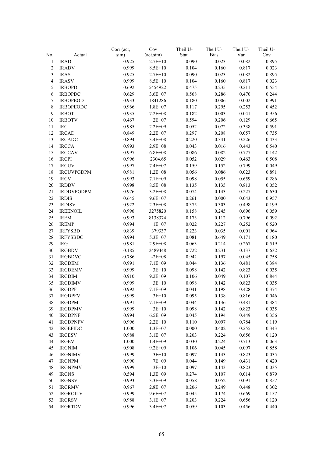|                |                   | Corr (act, | Cov                | Theil U- | Theil U-    | Theil U- | Theil U- |
|----------------|-------------------|------------|--------------------|----------|-------------|----------|----------|
| No.            | Actual            | sim)       | $(\text{act,sim})$ | Stat.    | <b>Bias</b> | Var      | Cov      |
| $\mathbf{1}$   | <b>IRAD</b>       | 0.925      | $2.7E+10$          | 0.090    | 0.023       | 0.082    | 0.895    |
| $\overline{2}$ | <b>IRADV</b>      | 0.999      | $8.5E + 10$        | 0.104    | 0.160       | 0.817    | 0.023    |
| $\mathfrak{Z}$ | <b>IRAS</b>       | 0.925      | $2.7E + 10$        | 0.090    | 0.023       | 0.082    | 0.895    |
| $\overline{4}$ | <b>IRASV</b>      | 0.999      | $8.5E + 10$        | 0.104    | 0.160       | 0.817    | 0.023    |
| 5              | <b>IRBOPD</b>     | 0.692      | 5454922            | 0.475    | 0.235       | 0.211    | 0.554    |
| 6              | <b>IRBOPDC</b>    | 0.629      | $3.6E + 07$        | 0.568    | 0.286       | 0.470    | 0.244    |
| $\tau$         | <b>IRBOPEOD</b>   | 0.933      | 1841286            | 0.180    | 0.006       | 0.002    | 0.991    |
| $\,8\,$        | <b>IRBOPEODC</b>  | 0.966      | $1.8E + 07$        | 0.117    | 0.295       | 0.253    | 0.452    |
| 9              | <b>IRBOT</b>      | 0.935      | $7.2E + 08$        | 0.182    | 0.003       | 0.041    | 0.956    |
| 10             | <b>IRBOTV</b>     | 0.467      | $2E + 07$          | 0.594    | 0.206       | 0.129    | 0.665    |
| 11             | <b>IRC</b>        | 0.985      | $2.2E + 09$        | 0.052    | 0.072       | 0.338    | 0.591    |
| 12             | <b>IRCAD</b>      | 0.849      | $2.2E + 07$        | 0.297    | 0.208       | 0.057    | 0.735    |
| 13             | <b>IRCADC</b>     | 0.894      | $3.4E + 08$        | 0.220    | 0.341       | 0.226    | 0.433    |
| 14             | <b>IRCCA</b>      | 0.993      | $2.9E + 08$        | 0.043    | 0.016       | 0.443    | 0.540    |
| 15             | <b>IRCCAV</b>     | 0.997      | $6.8E + 08$        | 0.086    | 0.082       | 0.777    | 0.142    |
| 16             | <b>IRCPI</b>      | 0.996      | 2304.65            | 0.052    | 0.029       | 0.463    | 0.508    |
| 17             | <b>IRCUV</b>      | 0.997      | $7.4E + 07$        | 0.159    | 0.152       | 0.799    | 0.049    |
| 18             | <b>IRCUVPGDPM</b> | 0.981      | $1.2E + 08$        | 0.056    | 0.086       | 0.023    | 0.891    |
| 19             | <b>IRCV</b>       | 0.993      | $7.1E + 09$        | 0.098    | 0.055       | 0.659    | 0.286    |
| 20             | <b>IRDDV</b>      | 0.998      |                    |          |             |          |          |
|                |                   |            | 8.5E+08            | 0.135    | 0.135       | 0.813    | 0.052    |
| 21             | <b>IRDDVPGDPM</b> | 0.976      | $3.2E + 08$        | 0.074    | 0.143       | 0.227    | 0.630    |
| 22             | <b>IRDIS</b>      | 0.645      | $9.6E + 07$        | 0.261    | 0.000       | 0.043    | 0.957    |
| 23             | <b>IRDISV</b>     | 0.922      | $2.3E + 08$        | 0.375    | 0.303       | 0.498    | 0.199    |
| 24             | <b>IREENOIL</b>   | 0.996      | 3275820            | 0.158    | 0.245       | 0.696    | 0.059    |
| 25             | <b>IREM</b>       | 0.993      | 8138374            | 0.173    | 0.112       | 0.796    | 0.092    |
| 26             | <b>IREMP</b>      | 0.994      | $1E + 07$          | 0.022    | 0.227       | 0.252    | 0.520    |
| 27             | <b>IRFYSBD</b>    | 0.839      | 379337             | 0.223    | 0.035       | 0.001    | 0.964    |
| 28             | <b>IRFYSBDC</b>   | 0.994      | 5.3E+07            | 0.081    | 0.649       | 0.171    | 0.180    |
| 29             | <b>IRG</b>        | 0.981      | $2.9E + 08$        | 0.063    | 0.214       | 0.267    | 0.519    |
| 30             | <b>IRGBDV</b>     | 0.185      | 2489448            | 0.722    | 0.231       | 0.137    | 0.632    |
| 31             | <b>IRGBDVC</b>    | $-0.786$   | $-2E+08$           | 0.942    | 0.197       | 0.045    | 0.758    |
| 32             | <b>IRGDEM</b>     | 0.991      | $7.1E + 09$        | 0.044    | 0.136       | 0.481    | 0.384    |
| 33             | <b>IRGDEMV</b>    | 0.999      | $3E+10$            | 0.098    | 0.142       | 0.823    | 0.035    |
| 34             | <b>IRGDIM</b>     | 0.910      | $9.2E + 09$        | 0.106    | 0.049       | 0.107    | 0.844    |
| 35             | <b>IRGDIMV</b>    | 0.999      | $3E+10$            | 0.098    | 0.142       | 0.823    | 0.035    |
| 36             | <b>IRGDPF</b>     | 0.992      | $7.1E + 09$        | 0.041    | 0.198       | 0.428    | 0.374    |
| 37             | <b>IRGDPFV</b>    | 0.999      | $3E+10$            | 0.095    | 0.138       | 0.816    | 0.046    |
| 38             | <b>IRGDPM</b>     | 0.991      | $7.1E + 09$        | 0.044    | 0.136       | 0.481    | 0.384    |
| 39             | <b>IRGDPMV</b>    | 0.999      | $3E+10$            | 0.098    | 0.142       | 0.823    | 0.035    |
| 40             | <b>IRGDPNF</b>    | 0.994      | $6.5E + 09$        | 0.045    | 0.194       | 0.449    | 0.356    |
| 41             | <b>IRGDPNFV</b>   | 0.996      | $2.2E+10$          | 0.110    | 0.097       | 0.784    | 0.119    |
| 42             | <b>IRGEFIDC</b>   | 1.000      | $1.3E + 07$        | 0.000    | 0.402       | 0.255    | 0.343    |
| 43             | <b>IRGESV</b>     | 0.988      | $3.1E + 07$        | 0.203    | 0.224       | 0.656    | 0.120    |
| 44             | <b>IRGEV</b>      | 1.000      | $1.4E + 09$        | 0.030    | 0.224       | 0.713    | 0.063    |
| 45             | <b>IRGNIM</b>     | 0.908      | $9.2E + 09$        | 0.106    | 0.045       | 0.097    | 0.858    |
| 46             | <b>IRGNIMV</b>    | 0.999      | $3E+10$            | 0.097    | 0.143       | 0.823    | 0.035    |
| 47             | <b>IRGNPM</b>     | 0.990      | 7E+09              | 0.044    | 0.149       | 0.431    | 0.420    |
| 48             | <b>IRGNPMV</b>    | 0.999      | $3E+10$            | 0.097    | 0.143       | 0.823    | 0.035    |
| 49             | <b>IRGNS</b>      | 0.594      | $1.3E + 09$        | 0.274    | 0.107       | 0.014    | 0.879    |
| 50             | <b>IRGNSV</b>     | 0.993      | $3.3E + 09$        | 0.058    | 0.052       | 0.091    | 0.857    |
| 51             | <b>IRGRMV</b>     | 0.967      | $2.8E + 07$        | 0.206    | 0.249       | 0.448    | 0.302    |
| 52             | <b>IRGROILV</b>   | 0.999      | $9.6E + 07$        | 0.045    | 0.174       | 0.669    | 0.157    |
| 53             | <b>IRGRSV</b>     | 0.988      | $3.1E + 07$        | 0.203    | 0.224       | 0.656    | 0.120    |
| 54             | <b>IRGRTDV</b>    | 0.996      | $3.4E + 07$        | 0.059    | 0.103       | 0.456    | 0.440    |
|                |                   |            |                    |          |             |          |          |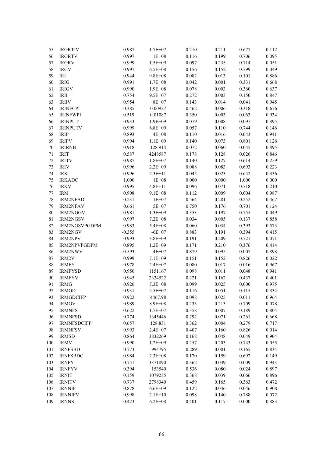| 55          | <b>IRGRTIV</b>     | 0.987     | $1.7E + 07$        | 0.210          | 0.211     | 0.677 | 0.112          |
|-------------|--------------------|-----------|--------------------|----------------|-----------|-------|----------------|
| 56          | <b>IRGRTV</b>      | 0.997     | $1E + 08$          | 0.116          | 0.199     | 0.706 | 0.095          |
| 57          | <b>IRGRV</b>       | 0.999     | $1.5E + 09$        | 0.097          | 0.235     | 0.714 | 0.051          |
| 58          | <b>IRGV</b>        | 0.997     | $6.5E + 08$        | 0.156          | 0.152     | 0.799 | 0.049          |
| 59          | <b>IRI</b>         | 0.944     | $9.8E + 08$        | 0.082          | 0.013     | 0.101 | 0.886          |
| 60          | <b>IRIG</b>        | 0.991     | $1.7E + 08$        | 0.042          | 0.001     | 0.331 | 0.668          |
| 61          | <b>IRIGV</b>       | 0.990     | $1.9E + 08$        | 0.078          | 0.003     | 0.360 | 0.637          |
| 62          | IRII               | 0.754     | $9.5E + 07$        | 0.272          | 0.003     | 0.150 | 0.847          |
| 63          | <b>IRIIV</b>       | 0.954     | 8E+07              | 0.143          | 0.014     | 0.041 | 0.945          |
| 64          | <b>IRINFCPI</b>    | 0.385     | 0.00927            | 0.462          | 0.006     | 0.318 | 0.676          |
| 65          | <b>IRINFWPI</b>    | 0.519     | 0.01087            | 0.350          | 0.003     | 0.063 | 0.934          |
| 66          | <b>IRINPUT</b>     | 0.933     | $1.9E + 09$        | 0.079          | $0.008\,$ | 0.097 | 0.895          |
| 67          | <b>IRINPUTV</b>    | 0.999     | $6.8E + 09$        | 0.057          | 0.110     | 0.744 | 0.146          |
| 68          | <b>IRIP</b>        | 0.893     | $4E + 08$          | 0.110          | 0.016     | 0.043 | 0.941          |
| 69          | <b>IRIPV</b>       | 0.994     | $1.1E + 09$        | 0.140          | 0.073     | 0.801 | 0.126          |
| 70          | <b>IRIRNB</b>      | 0.918     | 128.914            | 0.072          | 0.060     | 0.045 | 0.895          |
| 71          | <b>IRIT</b>        | 0.587     | 4248587            | 0.178          | 0.128     | 0.026 | 0.846          |
| 72          | <b>IRITV</b>       | 0.987     | $1.8E + 07$        | 0.140          | 0.127     | 0.614 | 0.259          |
| 73          | <b>IRIV</b>        | 0.996     | $2.2E + 09$        | 0.088          | 0.083     | 0.693 | 0.223          |
| 74          | <b>IRK</b>         | 0.996     | $2.3E+11$          | 0.045          | 0.023     | 0.642 | 0.336          |
| 75          | <b>IRKADC</b>      | $1.000\,$ | $1E + 08$          | 0.000          | 0.000     | 1.000 | 0.000          |
| 76          | <b>IRKV</b>        | 0.995     | $4.8E + 11$        | 0.096          | 0.071     | 0.718 | 0.210          |
| $77\,$      | <b>IRM</b>         | 0.908     | $9.1E + 08$        | 0.112          | 0.009     | 0.004 | 0.987          |
| 78          | <b>IRM2NFAD</b>    | 0.231     | $1E + 07$          | 0.564          | 0.281     | 0.252 | 0.467          |
| 79          | <b>IRM2NFAV</b>    | 0.661     | 5E+07              | 0.750          | 0.176     | 0.701 | 0.124          |
| 80          | IRM2NGGV           | 0.981     | $1.3E + 09$        | 0.353          | 0.197     | 0.755 | 0.049          |
| $8\sqrt{1}$ | <b>IRM2NGSV</b>    | 0.997     | $7.2E + 08$        | 0.034          | 0.005     | 0.137 | 0.858          |
| 82          | IRM2NGSVPGDPM      | 0.983     | $5.4E + 08$        | 0.060          | 0.034     | 0.393 | 0.573          |
| 83          | IRM2NGV            | $-0.355$  | $-6E+07$           | 0.883          | 0.191     | 0.394 | 0.415          |
| 84          | <b>IRM2NPV</b>     | 0.993     | $3.8E + 09$        | 0.191          | 0.209     | 0.721 | 0.071          |
| 85          | IRM2NPVPGDPM       | 0.895     | $1.2E + 09$        | 0.171          | 0.210     | 0.376 | 0.414          |
| 86          | <b>IRM2NWV</b>     | $-0.593$  | $-4E+07$           | 0.879          | 0.095     | 0.007 | 0.898          |
| $87\,$      | IRM2V              | 0.999     | $7.1E + 09$        | 0.151          | 0.152     | 0.826 | 0.022          |
| 88          | <b>IRMFY</b>       | 0.978     | $2.4E + 07$        | 0.080          | 0.017     | 0.016 | 0.967          |
| 89          | <b>IRMFYSD</b>     | 0.950     | 1151167            | 0.098          | 0.011     | 0.048 | 0.941          |
| 90          | <b>IRMFYV</b>      | 0.945     | 2324522            | 0.221          | 0.162     | 0.437 | 0.401          |
| 91          | <b>IRMG</b>        | 0.926     | $7.3E + 08$        | 0.099          | 0.025     | 0.000 | 0.975          |
| 92          | <b>IRMGD</b>       | 0.931     | 5.5E+07            | 0.116          | 0.051     | 0.115 | 0.834          |
| 93          | <b>IRMGDCIFP</b>   | 0.922     | 4467.98            | 0.098          | 0.025     | 0.011 | 0.964          |
| 94          | <b>IRMGV</b>       | 0.989     | 8.9E+08            | 0.233          | 0.213     | 0.709 | 0.078          |
| 95          | <b>IRMNFS</b>      | 0.622     | $1.7E + 07$        | 0.358          | 0.007     | 0.189 | 0.804          |
| 96          | <b>IRMNFSD</b>     | 0.774     | 1345446            | 0.292          | 0.071     | 0.261 | 0.668          |
| 97          | <b>IRMNFSDCIFP</b> | 0.657     | 128.831            | 0.362          | 0.004     | 0.279 | 0.717          |
| 98          | <b>IRMNFSV</b>     | 0.993     | $2.4E + 07$        | 0.407          | 0.160     | 0.826 | 0.014          |
| 99          | <b>IRMSD</b>       | 0.864     | 3832269            | 0.168          | 0.048     | 0.049 | 0.904          |
| 100         | <b>IRMV</b>        | 0.990     | $1.2E + 09$        | 0.257          | 0.203     | 0.743 | 0.055          |
| 101         | <b>IRNFSBD</b>     | 0.773     | 994795             | 0.289          | 0.001     | 0.165 | 0.834          |
| 102         | <b>IRNFSBDC</b>    | 0.984     | $2.3E + 08$        | 0.170          | 0.159     | 0.692 | 0.149          |
| 103         | <b>IRNFY</b>       | 0.751     | 3371890            | 0.362          | 0.049     | 0.009 | 0.943          |
| 104         | <b>IRNFYV</b>      | 0.394     | 153540             | 0.536          | 0.080     | 0.024 | 0.897          |
|             |                    | 0.159     |                    | 0.368          | 0.039     | 0.066 | 0.896          |
| 105         | <b>IRNIT</b>       | 0.737     | 1079235<br>2798340 |                | 0.165     | 0.363 |                |
| 106         | <b>IRNITV</b>      | 0.878     |                    | 0.459<br>0.122 | 0.046     | 0.046 | 0.472<br>0.908 |
| 107         | <b>IRNNIF</b>      |           | $6.6E + 09$        |                |           |       |                |
| 108         | <b>IRNNIFV</b>     | 0.998     | $2.1E+10$          | 0.098          | 0.140     | 0.788 | 0.072          |
| 109         | <b>IRNNS</b>       | 0.423     | $6.2E + 08$        | 0.401          | 0.117     | 0.000 | 0.883          |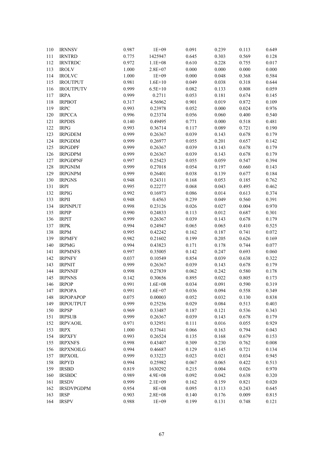| 110 | <b>IRNNSV</b>     | 0.987 | $1E + 09$   | 0.091 | 0.239 | 0.113 | 0.649 |
|-----|-------------------|-------|-------------|-------|-------|-------|-------|
| 111 | <b>IRNTRD</b>     | 0.775 | 1425947     | 0.645 | 0.303 | 0.569 | 0.128 |
| 112 | <b>IRNTRDC</b>    | 0.972 | $1.1E + 08$ | 0.610 | 0.228 | 0.755 | 0.017 |
| 113 | <b>IROLV</b>      | 1.000 | $2.8E + 07$ | 0.000 | 0.000 | 0.000 | 0.000 |
| 114 | <b>IROLVC</b>     | 1.000 | $1E + 09$   | 0.000 | 0.048 | 0.368 | 0.584 |
| 115 | <b>IROUTPUT</b>   | 0.981 | $1.6E + 10$ | 0.049 | 0.038 | 0.318 | 0.644 |
| 116 | <b>IROUTPUTV</b>  | 0.999 | $6.5E + 10$ | 0.082 | 0.133 | 0.808 | 0.059 |
| 117 | <b>IRPA</b>       | 0.999 | 0.2711      | 0.053 | 0.181 | 0.674 | 0.145 |
| 118 | <b>IRPBOT</b>     | 0.317 | 4.56962     | 0.901 | 0.019 | 0.872 | 0.109 |
| 119 | <b>IRPC</b>       | 0.993 | 0.23978     | 0.052 | 0.000 | 0.024 | 0.976 |
| 120 | <b>IRPCCA</b>     | 0.996 | 0.23374     | 0.056 | 0.060 | 0.400 | 0.540 |
| 121 | <b>IRPDIS</b>     | 0.140 | 0.49495     | 0.771 | 0.000 | 0.518 | 0.481 |
| 122 | <b>IRPG</b>       | 0.993 | 0.36714     | 0.117 | 0.089 | 0.721 | 0.190 |
| 123 | <b>IRPGDEM</b>    | 0.999 | 0.26367     | 0.039 | 0.143 | 0.678 | 0.179 |
| 124 | <b>IRPGDIM</b>    | 0.999 | 0.26977     | 0.055 | 0.201 | 0.657 | 0.142 |
| 125 | <b>IRPGDPF</b>    | 0.999 | 0.26367     | 0.039 | 0.143 | 0.678 | 0.179 |
| 126 | <b>IRPGDPM</b>    | 0.999 | 0.26367     | 0.039 | 0.143 | 0.678 | 0.179 |
| 127 | <b>IRPGDPNF</b>   | 0.997 | 0.25423     | 0.055 | 0.059 | 0.547 | 0.394 |
| 128 | <b>IRPGNIM</b>    | 0.999 | 0.27018     | 0.054 | 0.197 | 0.660 | 0.143 |
| 129 | <b>IRPGNPM</b>    | 0.999 | 0.26401     | 0.038 | 0.139 | 0.677 | 0.184 |
| 130 | <b>IRPGNS</b>     | 0.948 | 0.24311     | 0.168 | 0.053 | 0.185 | 0.762 |
| 131 | <b>IRPI</b>       | 0.995 | 0.22277     | 0.068 | 0.043 | 0.495 | 0.462 |
| 132 | <b>IRPIG</b>      | 0.992 | 0.16973     | 0.086 | 0.014 | 0.613 | 0.374 |
| 133 | <b>IRPII</b>      | 0.948 | 0.4563      | 0.239 | 0.049 | 0.560 | 0.391 |
| 134 | <b>IRPINPUT</b>   | 0.998 | 0.23126     | 0.026 | 0.027 | 0.004 | 0.970 |
| 135 | <b>IRPIP</b>      | 0.990 | 0.24833     | 0.113 | 0.012 | 0.687 | 0.301 |
| 136 | <b>IRPIT</b>      | 0.999 | 0.26367     | 0.039 | 0.143 | 0.678 | 0.179 |
| 137 | <b>IRPK</b>       | 0.994 | 0.24947     | 0.065 | 0.065 | 0.410 | 0.525 |
| 138 | <b>IRPM</b>       | 0.995 | 0.42242     | 0.162 | 0.187 | 0.741 | 0.072 |
| 139 | <b>IRPMFY</b>     | 0.982 | 0.21602     | 0.199 | 0.205 | 0.626 | 0.169 |
| 140 | <b>IRPMG</b>      | 0.994 | 0.43823     | 0.171 | 0.178 | 0.744 | 0.077 |
| 141 | <b>IRPMNFS</b>    | 0.997 | 0.35005     | 0.142 | 0.247 | 0.693 | 0.060 |
| 142 | <b>IRPNFY</b>     | 0.037 | 0.10549     | 0.854 | 0.039 | 0.638 | 0.322 |
| 143 | <b>IRPNIT</b>     | 0.999 | 0.26367     | 0.039 | 0.143 | 0.678 | 0.179 |
| 144 | <b>IRPNNIF</b>    | 0.998 | 0.27839     | 0.062 | 0.242 | 0.580 | 0.178 |
| 145 | <b>IRPNNS</b>     | 0.142 | 0.30656     | 0.895 | 0.022 | 0.805 | 0.173 |
| 146 | <b>IRPOP</b>      | 0.991 | $1.6E + 08$ | 0.034 | 0.091 | 0.590 | 0.319 |
| 147 | <b>IRPOPA</b>     | 0.991 | $1.6E + 07$ | 0.036 | 0.094 | 0.558 | 0.349 |
| 148 | <b>IRPOPAPOP</b>  | 0.075 | 0.00003     | 0.052 | 0.032 | 0.130 | 0.838 |
| 149 | <b>IRPOUTPUT</b>  | 0.999 | 0.25256     | 0.029 | 0.084 | 0.513 | 0.403 |
| 150 | <b>IRPSP</b>      | 0.969 | 0.33487     | 0.187 | 0.121 | 0.536 | 0.343 |
| 151 | <b>IRPSUB</b>     | 0.999 |             | 0.039 | 0.143 | 0.678 | 0.179 |
|     |                   |       | 0.26367     |       |       |       | 0.929 |
| 152 | <b>IRPVAOIL</b>   | 0.971 | 0.32951     | 0.111 | 0.016 | 0.055 |       |
| 153 | <b>IRPX</b>       | 1.000 | 0.37641     | 0.066 | 0.163 | 0.794 | 0.043 |
| 154 | <b>IRPXFY</b>     | 0.993 | 0.26524     | 0.135 | 0.168 | 0.679 | 0.153 |
| 155 | <b>IRPXNFS</b>    | 0.998 | 0.43407     | 0.309 | 0.230 | 0.762 | 0.008 |
| 156 | <b>IRPXNOILG</b>  | 0.994 | 0.46687     | 0.129 | 0.145 | 0.721 | 0.134 |
| 157 | <b>IRPXOIL</b>    | 0.999 | 0.33223     | 0.023 | 0.021 | 0.034 | 0.945 |
| 158 | <b>IRPYD</b>      | 0.994 | 0.25982     | 0.067 | 0.065 | 0.422 | 0.513 |
| 159 | <b>IRSBD</b>      | 0.819 | 1630292     | 0.215 | 0.004 | 0.026 | 0.970 |
| 160 | <b>IRSBDC</b>     | 0.989 | $4.9E + 08$ | 0.092 | 0.042 | 0.638 | 0.320 |
| 161 | <b>IRSDV</b>      | 0.999 | 2.1E+09     | 0.162 | 0.159 | 0.821 | 0.020 |
| 162 | <b>IRSDVPGDPM</b> | 0.954 | 8E+08       | 0.095 | 0.113 | 0.243 | 0.645 |
| 163 | <b>IRSP</b>       | 0.903 | $2.8E + 08$ | 0.140 | 0.176 | 0.009 | 0.815 |
| 164 | <b>IRSPV</b>      | 0.988 | $1E + 09$   | 0.199 | 0.131 | 0.748 | 0.121 |